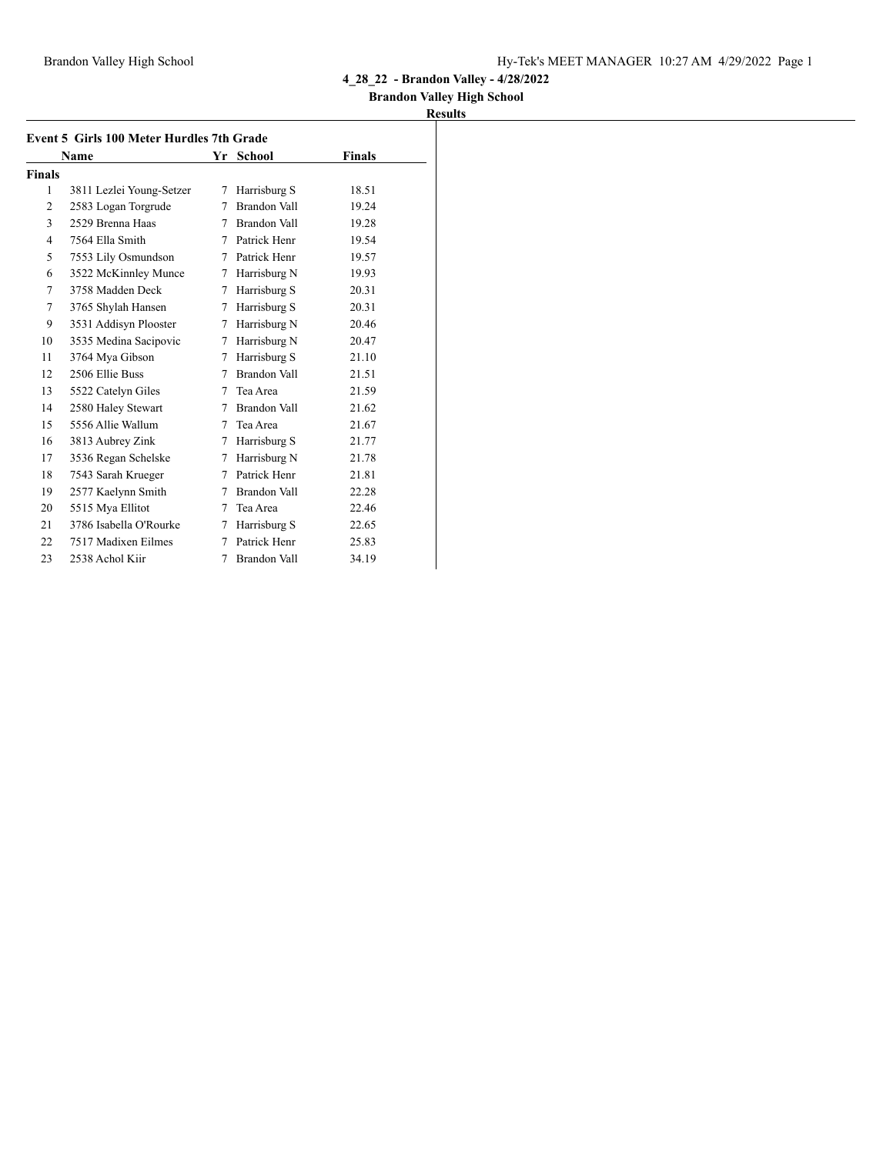## **Brandon Valley High School**

|                | <b>Event 5 Girls 100 Meter Hurdles 7th Grade</b> |   |                     |               |  |
|----------------|--------------------------------------------------|---|---------------------|---------------|--|
|                | Name                                             |   | Yr School           | <b>Finals</b> |  |
| Finals         |                                                  |   |                     |               |  |
| 1              | 3811 Lezlei Young-Setzer                         | 7 | Harrisburg S        | 18.51         |  |
| $\overline{2}$ | 2583 Logan Torgrude                              | 7 | Brandon Vall        | 19.24         |  |
| 3              | 2529 Brenna Haas                                 | 7 | Brandon Vall        | 19.28         |  |
| 4              | 7564 Ella Smith                                  | 7 | Patrick Henr        | 19.54         |  |
| 5              | 7553 Lily Osmundson                              | 7 | Patrick Henr        | 19.57         |  |
| 6              | 3522 McKinnley Munce                             | 7 | Harrisburg N        | 19.93         |  |
| 7              | 3758 Madden Deck                                 | 7 | Harrisburg S        | 20.31         |  |
| 7              | 3765 Shylah Hansen                               | 7 | Harrisburg S        | 20.31         |  |
| 9              | 3531 Addisyn Plooster                            | 7 | Harrisburg N        | 20.46         |  |
| 10             | 3535 Medina Sacipovic                            | 7 | Harrisburg N        | 20.47         |  |
| 11             | 3764 Mya Gibson                                  | 7 | Harrisburg S        | 21.10         |  |
| 12             | 2506 Ellie Buss                                  | 7 | Brandon Vall        | 21.51         |  |
| 13             | 5522 Catelyn Giles                               | 7 | Tea Area            | 21.59         |  |
| 14             | 2580 Haley Stewart                               | 7 | Brandon Vall        | 21.62         |  |
| 15             | 5556 Allie Wallum                                | 7 | Tea Area            | 21.67         |  |
| 16             | 3813 Aubrey Zink                                 | 7 | Harrisburg S        | 21.77         |  |
| 17             | 3536 Regan Schelske                              | 7 | Harrisburg N        | 21.78         |  |
| 18             | 7543 Sarah Krueger                               | 7 | Patrick Henr        | 21.81         |  |
| 19             | 2577 Kaelynn Smith                               | 7 | Brandon Vall        | 22.28         |  |
| 20             | 5515 Mya Ellitot                                 | 7 | Tea Area            | 22.46         |  |
| 21             | 3786 Isabella O'Rourke                           | 7 | Harrisburg S        | 22.65         |  |
| 22             | 7517 Madixen Eilmes                              | 7 | Patrick Henr        | 25.83         |  |
| 23             | 2538 Achol Kiir                                  | 7 | <b>Brandon Vall</b> | 34.19         |  |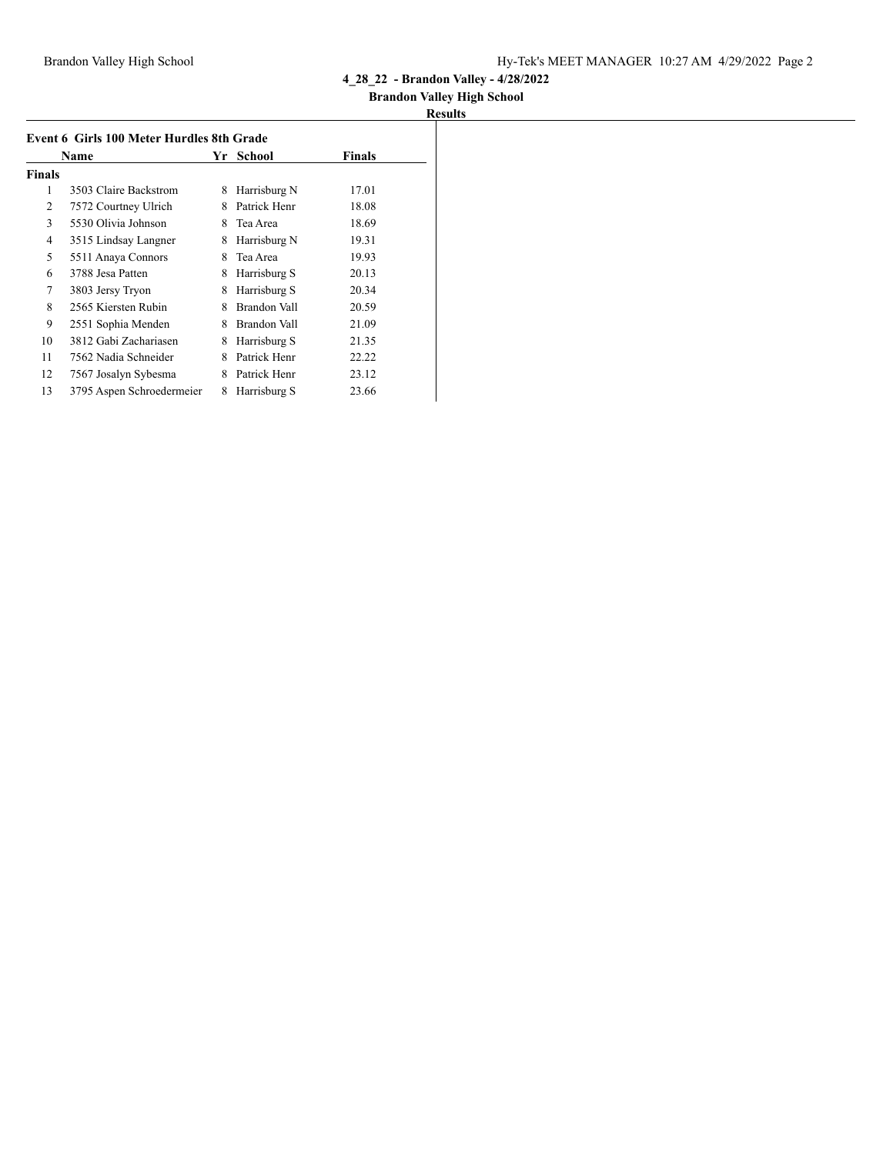## **Brandon Valley High School**

|               | Event 6 Girls 100 Meter Hurdles 8th Grade |    |              |        |  |
|---------------|-------------------------------------------|----|--------------|--------|--|
|               | Name                                      | Yr | School       | Finals |  |
| <b>Finals</b> |                                           |    |              |        |  |
| 1             | 3503 Claire Backstrom                     | 8  | Harrisburg N | 17.01  |  |
| 2             | 7572 Courtney Ulrich                      | 8  | Patrick Henr | 18.08  |  |
| 3             | 5530 Olivia Johnson                       | 8  | Tea Area     | 18.69  |  |
| 4             | 3515 Lindsay Langner                      | 8  | Harrisburg N | 19.31  |  |
| 5             | 5511 Anaya Connors                        | 8  | Tea Area     | 19.93  |  |
| 6             | 3788 Jesa Patten                          | 8  | Harrisburg S | 20.13  |  |
| 7             | 3803 Jersy Tryon                          | 8  | Harrisburg S | 20.34  |  |
| 8             | 2565 Kiersten Rubin                       | 8  | Brandon Vall | 20.59  |  |
| 9             | 2551 Sophia Menden                        | 8  | Brandon Vall | 21.09  |  |
| 10            | 3812 Gabi Zachariasen                     | 8  | Harrisburg S | 21.35  |  |
| 11            | 7562 Nadia Schneider                      | 8  | Patrick Henr | 22.22  |  |
| 12            | 7567 Josalyn Sybesma                      | 8  | Patrick Henr | 23.12  |  |
| 13            | 3795 Aspen Schroedermeier                 | 8  | Harrisburg S | 23.66  |  |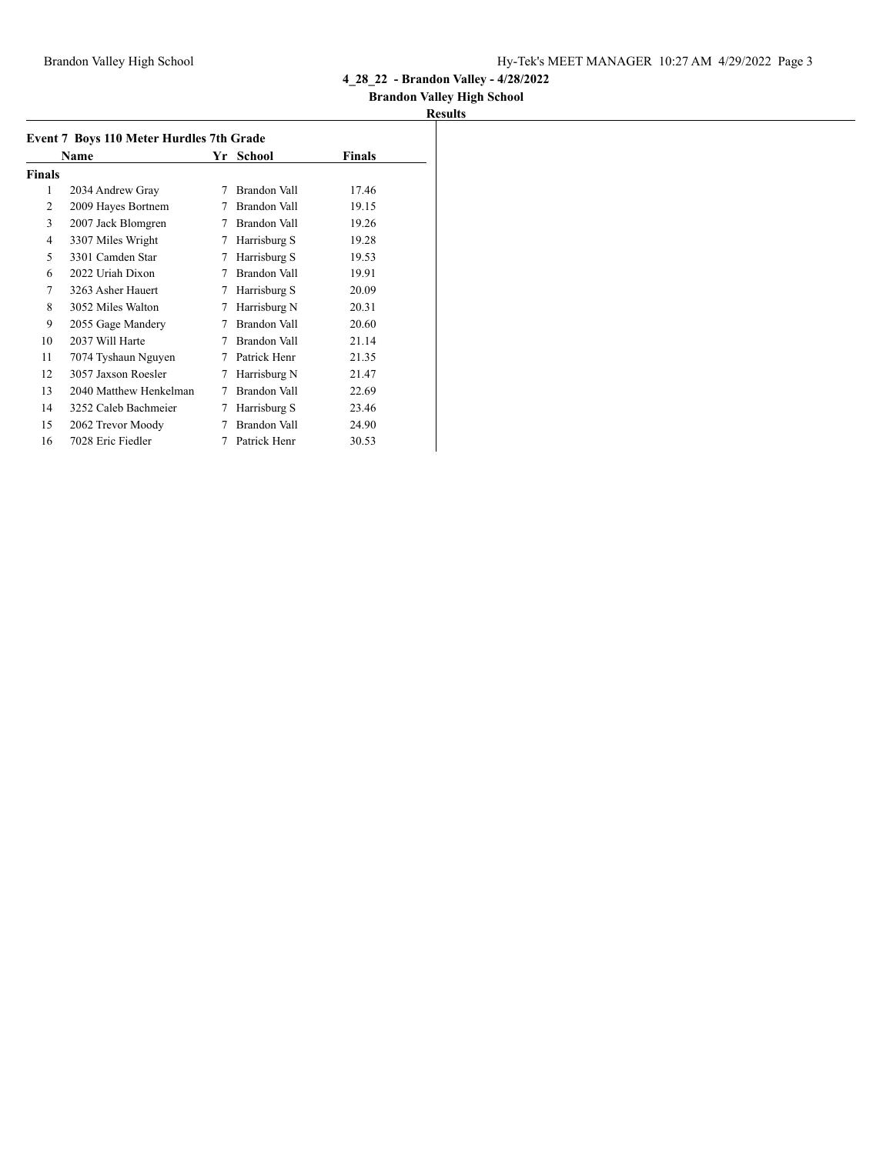## **Brandon Valley High School**

|        | Event 7 Boys 110 Meter Hurdles 7th Grade |    |              |        |
|--------|------------------------------------------|----|--------------|--------|
|        | Name                                     | Yr | School       | Finals |
| Finals |                                          |    |              |        |
| 1      | 2034 Andrew Gray                         | 7  | Brandon Vall | 17.46  |
| 2      | 2009 Hayes Bortnem                       | 7  | Brandon Vall | 19.15  |
| 3      | 2007 Jack Blomgren                       | 7  | Brandon Vall | 19.26  |
| 4      | 3307 Miles Wright                        | 7  | Harrisburg S | 19.28  |
| 5      | 3301 Camden Star                         | 7  | Harrisburg S | 19.53  |
| 6      | 2022 Uriah Dixon                         | 7  | Brandon Vall | 19.91  |
| 7      | 3263 Asher Hauert                        | 7  | Harrisburg S | 20.09  |
| 8      | 3052 Miles Walton                        | 7  | Harrisburg N | 20.31  |
| 9      | 2055 Gage Mandery                        | 7  | Brandon Vall | 20.60  |
| 10     | 2037 Will Harte                          | 7  | Brandon Vall | 21.14  |
| 11     | 7074 Tyshaun Nguyen                      | 7  | Patrick Henr | 21.35  |
| 12     | 3057 Jaxson Roesler                      | 7  | Harrisburg N | 21.47  |
| 13     | 2040 Matthew Henkelman                   | 7  | Brandon Vall | 22.69  |
| 14     | 3252 Caleb Bachmeier                     | 7  | Harrisburg S | 23.46  |
| 15     | 2062 Trevor Moody                        | 7  | Brandon Vall | 24.90  |
| 16     | 7028 Eric Fiedler                        | 7  | Patrick Henr | 30.53  |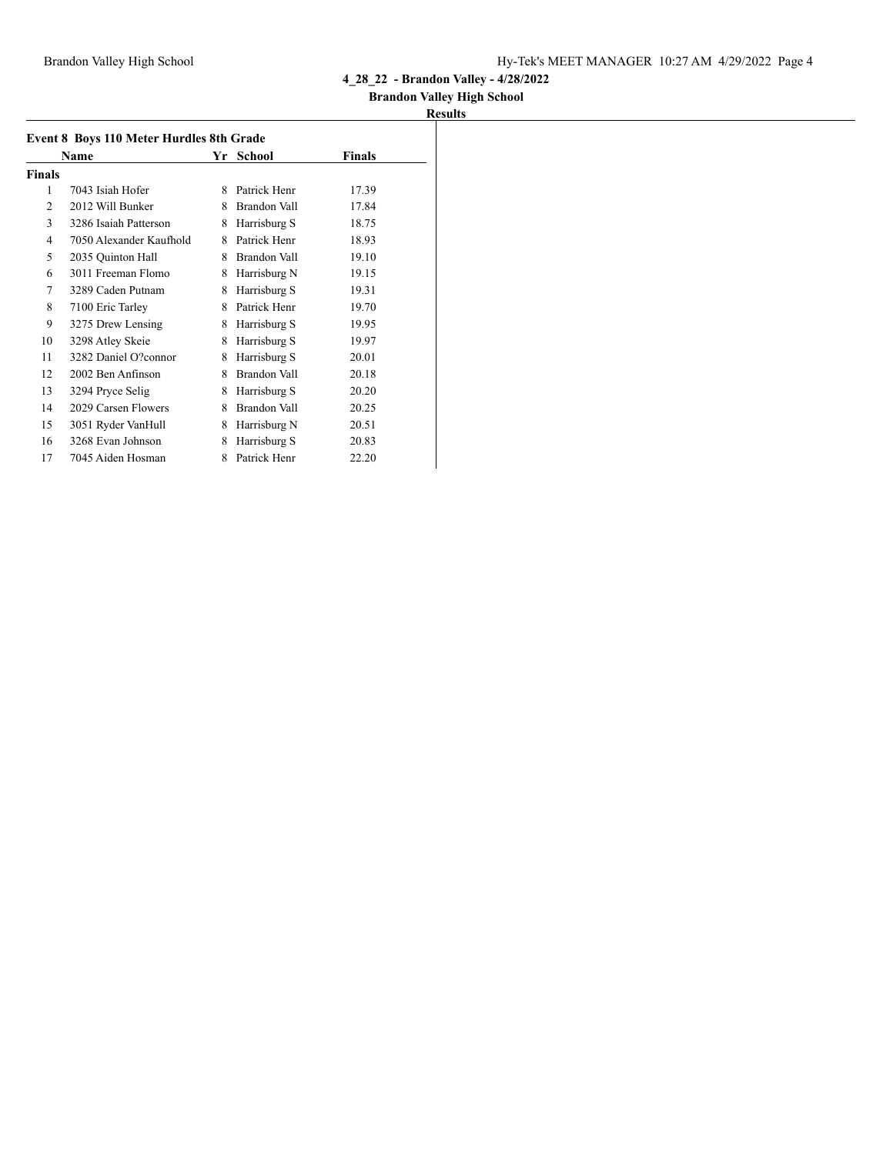## **Brandon Valley High School**

| Event 8 Boys 110 Meter Hurdles 8th Grade |                         |   |              |        |
|------------------------------------------|-------------------------|---|--------------|--------|
|                                          | Name                    |   | Yr School    | Finals |
| <b>Finals</b>                            |                         |   |              |        |
| 1                                        | 7043 Isiah Hofer        | 8 | Patrick Henr | 17.39  |
| 2                                        | 2012 Will Bunker        | 8 | Brandon Vall | 17.84  |
| 3                                        | 3286 Isaiah Patterson   | 8 | Harrisburg S | 18.75  |
| 4                                        | 7050 Alexander Kaufhold | 8 | Patrick Henr | 18.93  |
| 5                                        | 2035 Quinton Hall       | 8 | Brandon Vall | 19.10  |
| 6                                        | 3011 Freeman Flomo      | 8 | Harrisburg N | 19.15  |
| 7                                        | 3289 Caden Putnam       | 8 | Harrisburg S | 19.31  |
| 8                                        | 7100 Eric Tarley        | 8 | Patrick Henr | 19.70  |
| 9                                        | 3275 Drew Lensing       | 8 | Harrisburg S | 19.95  |
| 10                                       | 3298 Atley Skeie        | 8 | Harrisburg S | 19.97  |
| 11                                       | 3282 Daniel O?connor    | 8 | Harrisburg S | 20.01  |
| 12                                       | 2002 Ben Anfinson       | 8 | Brandon Vall | 20.18  |
| 13                                       | 3294 Pryce Selig        | 8 | Harrisburg S | 20.20  |
| 14                                       | 2029 Carsen Flowers     | 8 | Brandon Vall | 20.25  |
| 15                                       | 3051 Ryder VanHull      | 8 | Harrisburg N | 20.51  |
| 16                                       | 3268 Evan Johnson       | 8 | Harrisburg S | 20.83  |
| 17                                       | 7045 Aiden Hosman       | 8 | Patrick Henr | 22.20  |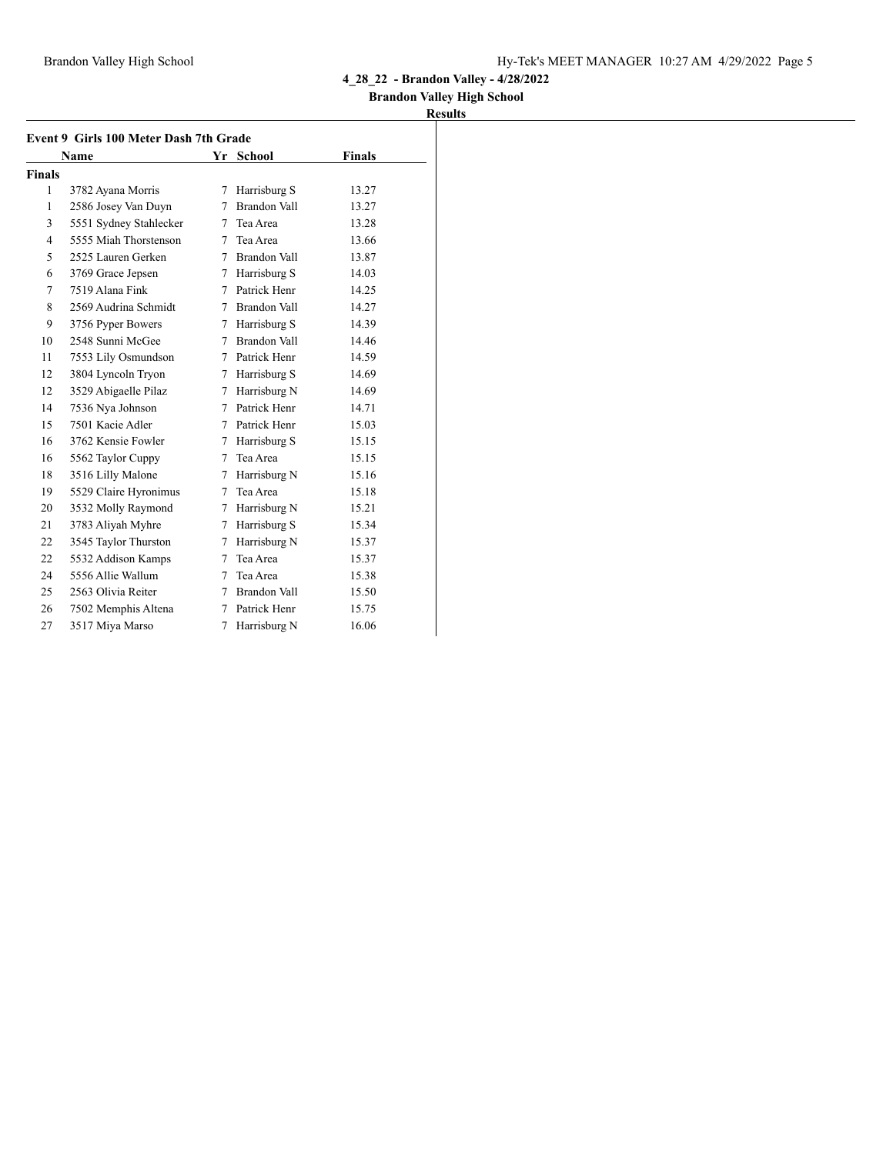### **Brandon Valley High School**

|                | Event 9 Girls 100 Meter Dash 7th Grade |   |                     |               |  |
|----------------|----------------------------------------|---|---------------------|---------------|--|
|                | Name                                   |   | Yr School           | <b>Finals</b> |  |
| <b>Finals</b>  |                                        |   |                     |               |  |
| 1              | 3782 Ayana Morris                      | 7 | Harrisburg S        | 13.27         |  |
| 1              | 2586 Josey Van Duyn                    | 7 | <b>Brandon Vall</b> | 13.27         |  |
| 3              | 5551 Sydney Stahlecker                 | 7 | Tea Area            | 13.28         |  |
| $\overline{4}$ | 5555 Miah Thorstenson                  | 7 | Tea Area            | 13.66         |  |
| 5              | 2525 Lauren Gerken                     | 7 | Brandon Vall        | 13.87         |  |
| 6              | 3769 Grace Jepsen                      |   | 7 Harrisburg S      | 14.03         |  |
| 7              | 7519 Alana Fink                        | 7 | Patrick Henr        | 14.25         |  |
| 8              | 2569 Audrina Schmidt                   |   | 7 Brandon Vall      | 14.27         |  |
| 9              | 3756 Pyper Bowers                      | 7 | Harrisburg S        | 14.39         |  |
| 10             | 2548 Sunni McGee                       | 7 | Brandon Vall        | 14.46         |  |
| 11             | 7553 Lily Osmundson                    | 7 | Patrick Henr        | 14.59         |  |
| 12             | 3804 Lyncoln Tryon                     | 7 | Harrisburg S        | 14.69         |  |
| 12             | 3529 Abigaelle Pilaz                   | 7 | Harrisburg N        | 14.69         |  |
| 14             | 7536 Nya Johnson                       | 7 | Patrick Henr        | 14.71         |  |
| 15             | 7501 Kacie Adler                       |   | 7 Patrick Henr      | 15.03         |  |
| 16             | 3762 Kensie Fowler                     | 7 | Harrisburg S        | 15.15         |  |
| 16             | 5562 Taylor Cuppy                      | 7 | Tea Area            | 15.15         |  |
| 18             | 3516 Lilly Malone                      | 7 | Harrisburg N        | 15.16         |  |
| 19             | 5529 Claire Hyronimus                  | 7 | Tea Area            | 15.18         |  |
| 20             | 3532 Molly Raymond                     | 7 | Harrisburg N        | 15.21         |  |
| 21             | 3783 Aliyah Myhre                      | 7 | Harrisburg S        | 15.34         |  |
| 22             | 3545 Taylor Thurston                   | 7 | Harrisburg N        | 15.37         |  |
| 22             | 5532 Addison Kamps                     | 7 | Tea Area            | 15.37         |  |
| 24             | 5556 Allie Wallum                      | 7 | Tea Area            | 15.38         |  |
| 25             | 2563 Olivia Reiter                     | 7 | Brandon Vall        | 15.50         |  |
| 26             | 7502 Memphis Altena                    | 7 | Patrick Henr        | 15.75         |  |
| 27             | 3517 Miya Marso                        | 7 | Harrisburg N        | 16.06         |  |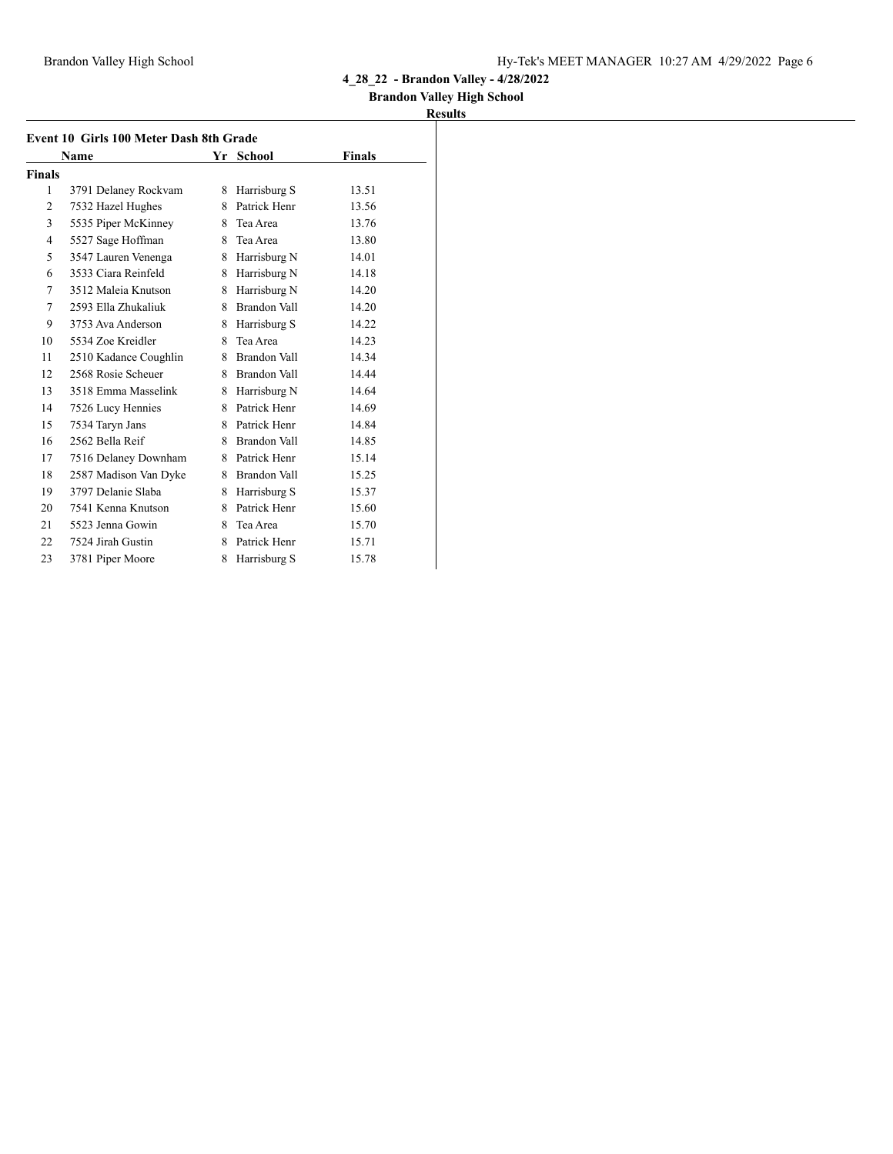## **Brandon Valley High School**

|                | Event 10 Girls 100 Meter Dash 8th Grade |    |                     |        |
|----------------|-----------------------------------------|----|---------------------|--------|
|                | Name                                    |    | Yr School           | Finals |
| <b>Finals</b>  |                                         |    |                     |        |
| 1              | 3791 Delaney Rockvam                    | 8  | Harrisburg S        | 13.51  |
| $\overline{2}$ | 7532 Hazel Hughes                       | 8  | Patrick Henr        | 13.56  |
| 3              | 5535 Piper McKinney                     | 8. | Tea Area            | 13.76  |
| 4              | 5527 Sage Hoffman                       | 8  | Tea Area            | 13.80  |
| 5              | 3547 Lauren Venenga                     | 8  | Harrisburg N        | 14.01  |
| 6              | 3533 Ciara Reinfeld                     | 8  | Harrisburg N        | 14.18  |
| 7              | 3512 Maleja Knutson                     | 8  | Harrisburg N        | 14.20  |
| 7              | 2593 Ella Zhukaliuk                     | 8  | <b>Brandon Vall</b> | 14.20  |
| 9              | 3753 Ava Anderson                       | 8  | Harrisburg S        | 14.22  |
| 10             | 5534 Zoe Kreidler                       | 8  | Tea Area            | 14.23  |
| 11             | 2510 Kadance Coughlin                   |    | 8 Brandon Vall      | 14.34  |
| 12             | 2568 Rosie Scheuer                      |    | 8 Brandon Vall      | 14.44  |
| 13             | 3518 Emma Masselink                     | 8  | Harrisburg N        | 14.64  |
| 14             | 7526 Lucy Hennies                       | 8  | Patrick Henr        | 14.69  |
| 15             | 7534 Taryn Jans                         |    | 8 Patrick Henr      | 14.84  |
| 16             | 2562 Bella Reif                         | 8  | Brandon Vall        | 14.85  |
| 17             | 7516 Delaney Downham                    |    | 8 Patrick Henr      | 15.14  |
| 18             | 2587 Madison Van Dyke                   | 8  | Brandon Vall        | 15.25  |
| 19             | 3797 Delanie Slaba                      | 8  | Harrisburg S        | 15.37  |
| 20             | 7541 Kenna Knutson                      |    | 8 Patrick Henr      | 15.60  |
| 21             | 5523 Jenna Gowin                        | 8  | Tea Area            | 15.70  |
| 22             | 7524 Jirah Gustin                       | 8  | Patrick Henr        | 15.71  |
| 23             | 3781 Piper Moore                        | 8  | Harrisburg S        | 15.78  |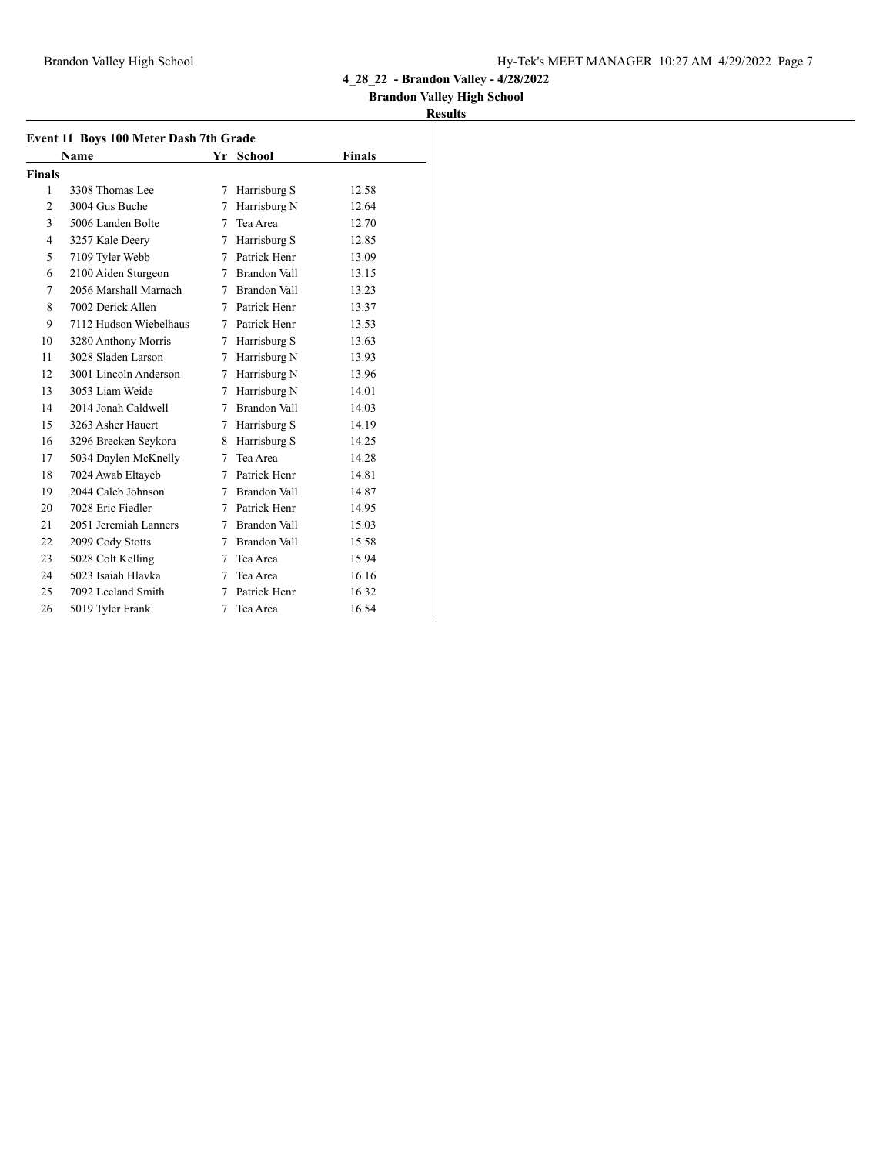### **Brandon Valley High School**

| <b>Finals</b> | Name                   |   | Yr School      | <b>Finals</b> |
|---------------|------------------------|---|----------------|---------------|
|               |                        |   |                |               |
|               |                        |   |                |               |
| 1             | 3308 Thomas Lee        | 7 | Harrisburg S   | 12.58         |
| 2             | 3004 Gus Buche         | 7 | Harrisburg N   | 12.64         |
| 3             | 5006 Landen Bolte      | 7 | Tea Area       | 12.70         |
| 4             | 3257 Kale Deery        | 7 | Harrisburg S   | 12.85         |
| 5             | 7109 Tyler Webb        |   | 7 Patrick Henr | 13.09         |
| 6             | 2100 Aiden Sturgeon    | 7 | Brandon Vall   | 13.15         |
| 7             | 2056 Marshall Marnach  |   | 7 Brandon Vall | 13.23         |
| 8             | 7002 Derick Allen      |   | 7 Patrick Henr | 13.37         |
| 9             | 7112 Hudson Wiebelhaus |   | 7 Patrick Henr | 13.53         |
| 10            | 3280 Anthony Morris    | 7 | Harrisburg S   | 13.63         |
| 11            | 3028 Sladen Larson     | 7 | Harrisburg N   | 13.93         |
| 12            | 3001 Lincoln Anderson  | 7 | Harrisburg N   | 13.96         |
| 13            | 3053 Liam Weide        | 7 | Harrisburg N   | 14.01         |
| 14            | 2014 Jonah Caldwell    | 7 | Brandon Vall   | 14.03         |
| 15            | 3263 Asher Hauert      | 7 | Harrisburg S   | 14.19         |
| 16            | 3296 Brecken Seykora   | 8 | Harrisburg S   | 14.25         |
| 17            | 5034 Daylen McKnelly   | 7 | Tea Area       | 14.28         |
| 18            | 7024 Awab Eltayeb      |   | 7 Patrick Henr | 14.81         |
| 19            | 2044 Caleb Johnson     |   | 7 Brandon Vall | 14.87         |
| 20            | 7028 Eric Fiedler      |   | 7 Patrick Henr | 14.95         |
| 21            | 2051 Jeremiah Lanners  |   | 7 Brandon Vall | 15.03         |
| 22            | 2099 Cody Stotts       |   | 7 Brandon Vall | 15.58         |
| 23            | 5028 Colt Kelling      | 7 | Tea Area       | 15.94         |
| 24            | 5023 Isaiah Hlavka     | 7 | Tea Area       | 16.16         |
| 25            | 7092 Leeland Smith     | 7 | Patrick Henr   | 16.32         |
| 26            | 5019 Tyler Frank       | 7 | Tea Area       | 16.54         |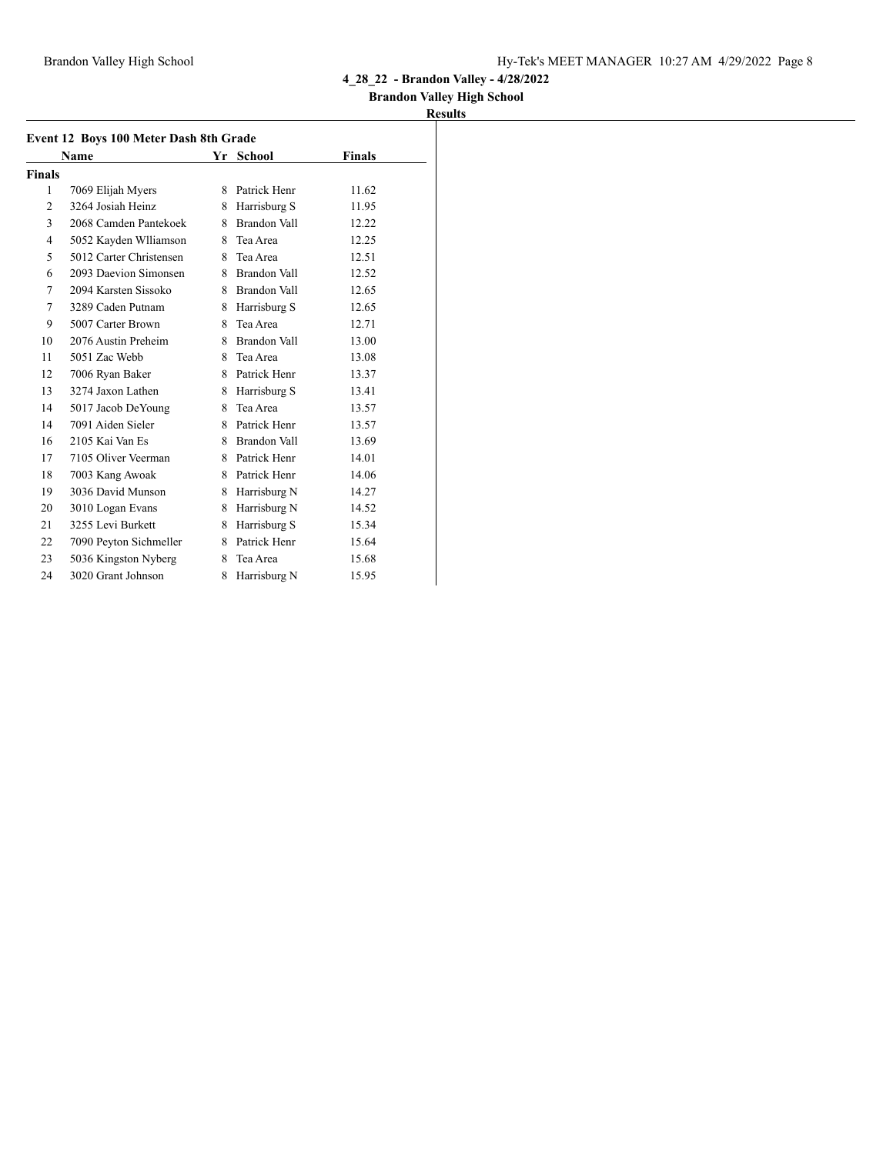## **Brandon Valley High School**

|               | Event 12 Boys 100 Meter Dash 8th Grade |    |                |        |
|---------------|----------------------------------------|----|----------------|--------|
|               | Name                                   |    | Yr School      | Finals |
| <b>Finals</b> |                                        |    |                |        |
| 1             | 7069 Elijah Myers                      | 8. | Patrick Henr   | 11.62  |
| 2             | 3264 Josiah Heinz                      | 8  | Harrisburg S   | 11.95  |
| 3             | 2068 Camden Pantekoek                  |    | 8 Brandon Vall | 12.22  |
| 4             | 5052 Kayden Wlliamson                  | 8  | Tea Area       | 12.25  |
| 5             | 5012 Carter Christensen                |    | 8 Tea Area     | 12.51  |
| 6             | 2093 Daevion Simonsen                  |    | 8 Brandon Vall | 12.52  |
| 7             | 2094 Karsten Sissoko                   |    | 8 Brandon Vall | 12.65  |
| 7             | 3289 Caden Putnam                      | 8  | Harrisburg S   | 12.65  |
| 9             | 5007 Carter Brown                      | 8  | Tea Area       | 12.71  |
| 10            | 2076 Austin Preheim                    |    | 8 Brandon Vall | 13.00  |
| 11            | 5051 Zac Webb                          | 8  | Tea Area       | 13.08  |
| 12            | 7006 Ryan Baker                        | 8. | Patrick Henr   | 13.37  |
| 13            | 3274 Jaxon Lathen                      | 8  | Harrisburg S   | 13.41  |
| 14            | 5017 Jacob DeYoung                     | 8  | Tea Area       | 13.57  |
| 14            | 7091 Aiden Sieler                      | 8  | Patrick Henr   | 13.57  |
| 16            | 2105 Kai Van Es                        | 8. | Brandon Vall   | 13.69  |
| 17            | 7105 Oliver Veerman                    |    | 8 Patrick Henr | 14.01  |
| 18            | 7003 Kang Awoak                        |    | 8 Patrick Henr | 14.06  |
| 19            | 3036 David Munson                      | 8  | Harrisburg N   | 14.27  |
| 20            | 3010 Logan Evans                       | 8  | Harrisburg N   | 14.52  |
| 21            | 3255 Levi Burkett                      | 8  | Harrisburg S   | 15.34  |
| 22            | 7090 Peyton Sichmeller                 | 8  | Patrick Henr   | 15.64  |
| 23            | 5036 Kingston Nyberg                   | 8  | Tea Area       | 15.68  |
| 24            | 3020 Grant Johnson                     | 8  | Harrisburg N   | 15.95  |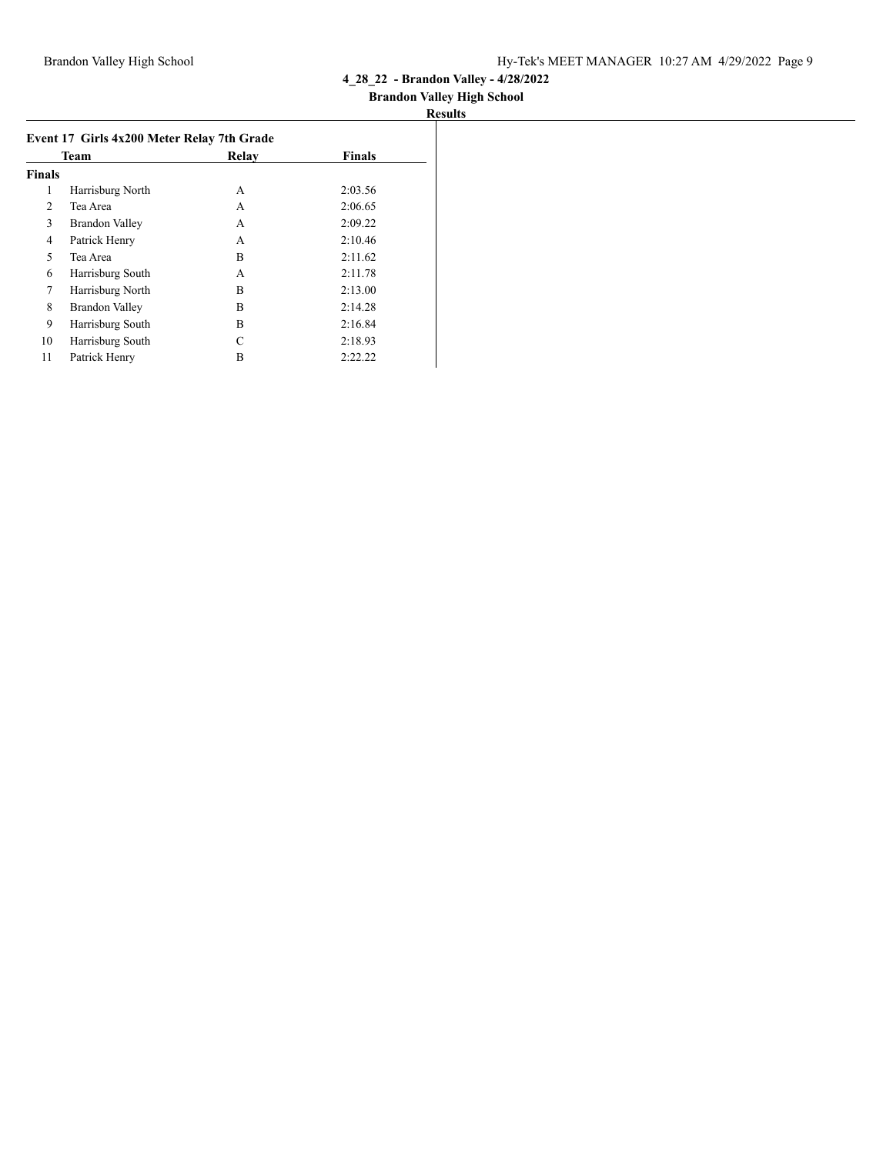## **Brandon Valley High School**

|               | Team                  | Relav | <b>Finals</b> |
|---------------|-----------------------|-------|---------------|
| <b>Finals</b> |                       |       |               |
| 1             | Harrisburg North      | A     | 2:03.56       |
| 2             | Tea Area              | А     | 2:06.65       |
| 3             | <b>Brandon Valley</b> | А     | 2:09.22       |
| 4             | Patrick Henry         | A     | 2:10.46       |
| 5             | Tea Area              | B     | 2:11.62       |
| 6             | Harrisburg South      | A     | 2:11.78       |
| 7             | Harrisburg North      | B     | 2:13.00       |
| 8             | <b>Brandon Valley</b> | B     | 2:14.28       |
| 9             | Harrisburg South      | B     | 2:16.84       |
| 10            | Harrisburg South      | C     | 2:18.93       |
| 11            | Patrick Henry         | B     | 2:22.22       |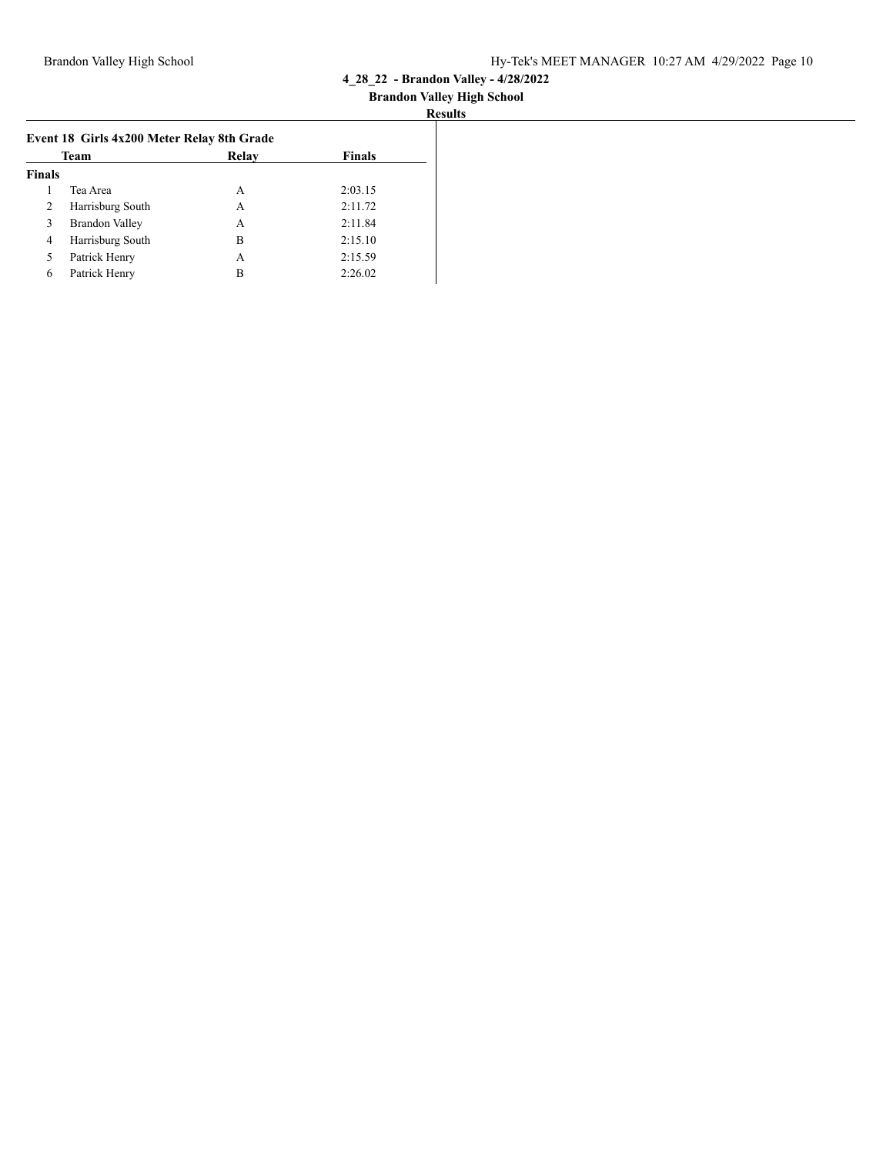| <b>Results</b> |
|----------------|
|----------------|

|               | Team                  | Relay | <b>Finals</b> |
|---------------|-----------------------|-------|---------------|
| <b>Finals</b> |                       |       |               |
|               | Tea Area              | A     | 2:03.15       |
| 2             | Harrisburg South      | А     | 2:11.72       |
| 3             | <b>Brandon Valley</b> | А     | 2:11.84       |
| 4             | Harrisburg South      | B     | 2:15.10       |
| 5             | Patrick Henry         | А     | 2:15.59       |
| 6             | Patrick Henry         | в     | 2:26.02       |
|               |                       |       |               |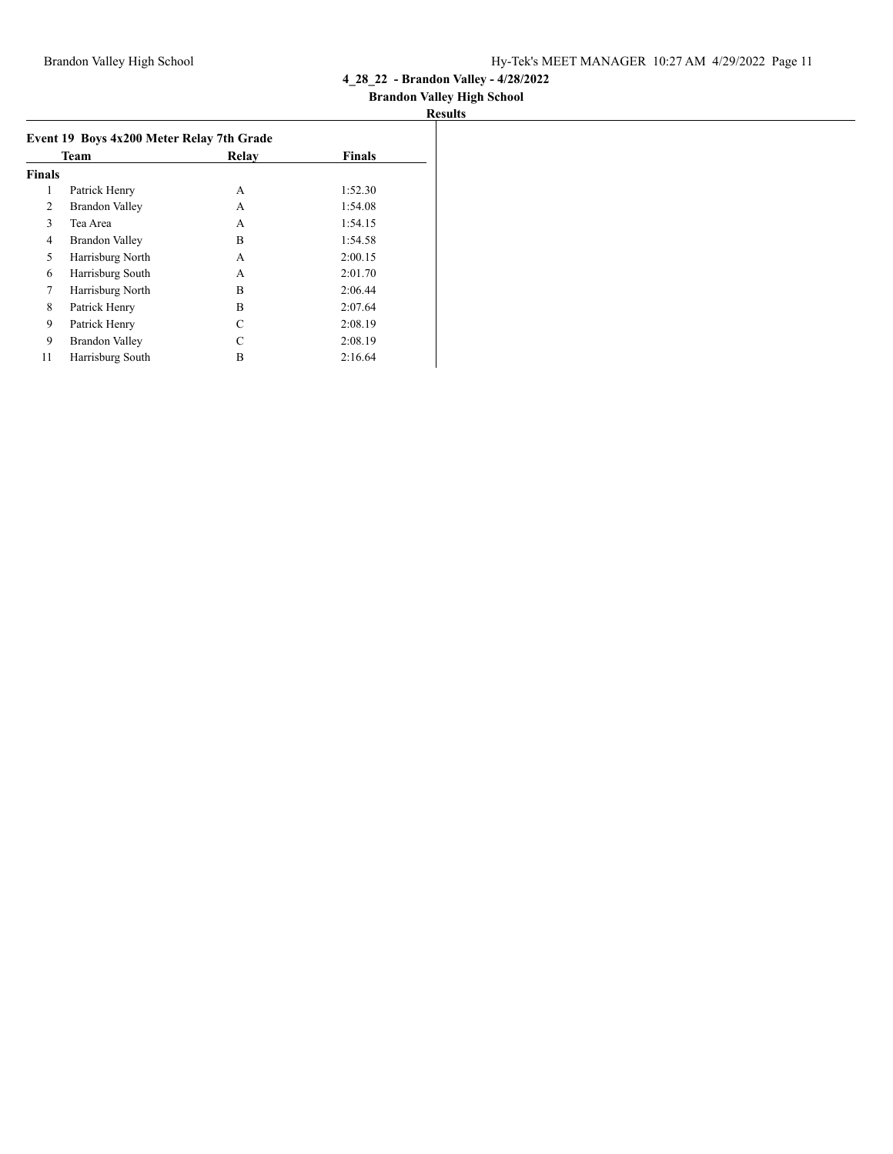## **Brandon Valley High School**

|               | Team                  | Relay | <b>Finals</b> |
|---------------|-----------------------|-------|---------------|
| <b>Finals</b> |                       |       |               |
| 1             | Patrick Henry         | A     | 1:52.30       |
| 2             | <b>Brandon Valley</b> | А     | 1:54.08       |
| 3             | Tea Area              | А     | 1:54.15       |
| 4             | <b>Brandon Valley</b> | B     | 1:54.58       |
| 5             | Harrisburg North      | A     | 2:00.15       |
| 6             | Harrisburg South      | A     | 2:01.70       |
| 7             | Harrisburg North      | B     | 2:06.44       |
| 8             | Patrick Henry         | B     | 2:07.64       |
| 9             | Patrick Henry         | C     | 2:08.19       |
| 9             | <b>Brandon Valley</b> | C     | 2:08.19       |
| 11            | Harrisburg South      | B     | 2:16.64       |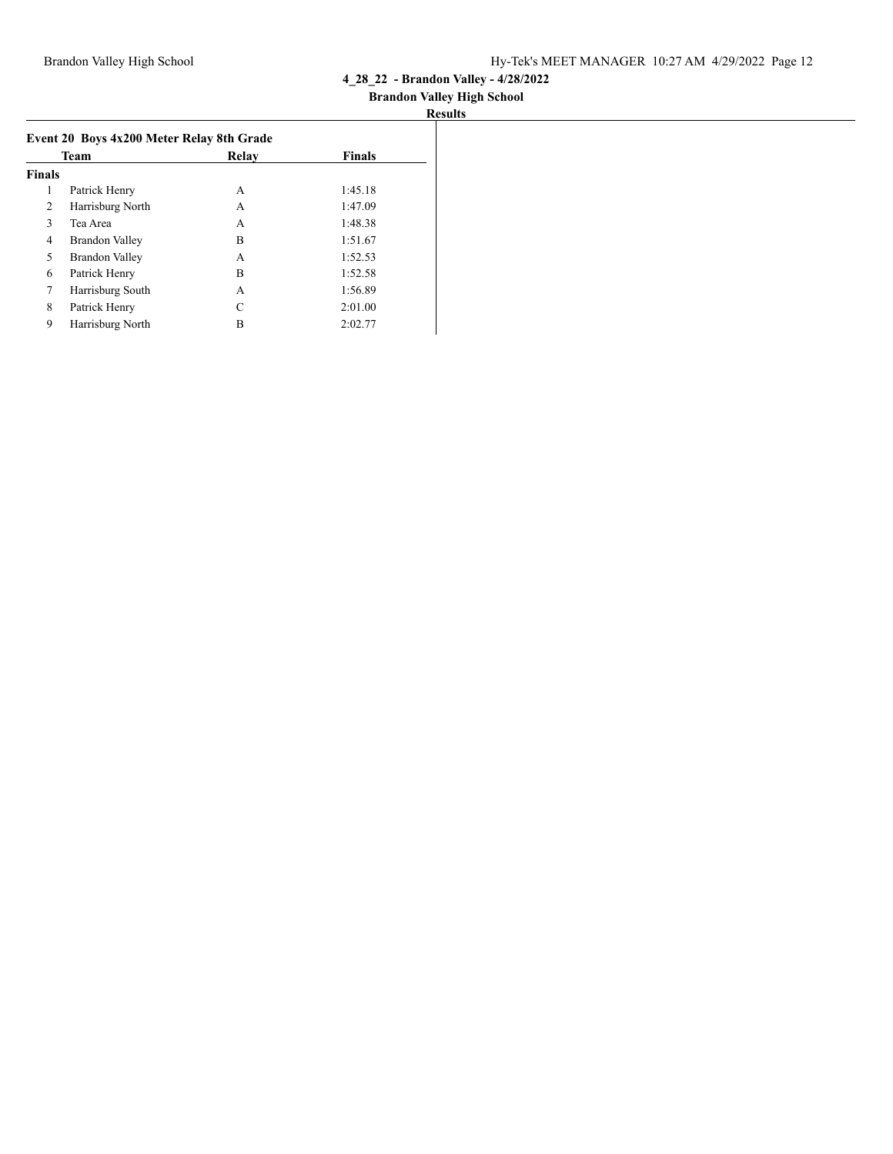### **Brandon Valley High School**

| Event 20 Boys 4x200 Meter Relay 8th Grade |                       |       |               |  |  |
|-------------------------------------------|-----------------------|-------|---------------|--|--|
|                                           | <b>Team</b>           | Relay | <b>Finals</b> |  |  |
| <b>Finals</b>                             |                       |       |               |  |  |
| 1                                         | Patrick Henry         | А     | 1:45.18       |  |  |
| 2                                         | Harrisburg North      | А     | 1:47.09       |  |  |
| 3                                         | Tea Area              | А     | 1:48.38       |  |  |
| 4                                         | Brandon Valley        | B     | 1:51.67       |  |  |
| 5                                         | <b>Brandon Valley</b> | А     | 1:52.53       |  |  |
| 6                                         | Patrick Henry         | B     | 1:52.58       |  |  |
| 7                                         | Harrisburg South      | А     | 1:56.89       |  |  |
| 8                                         | Patrick Henry         | C     | 2:01.00       |  |  |
| 9                                         | Harrisburg North      | B     | 2:02.77       |  |  |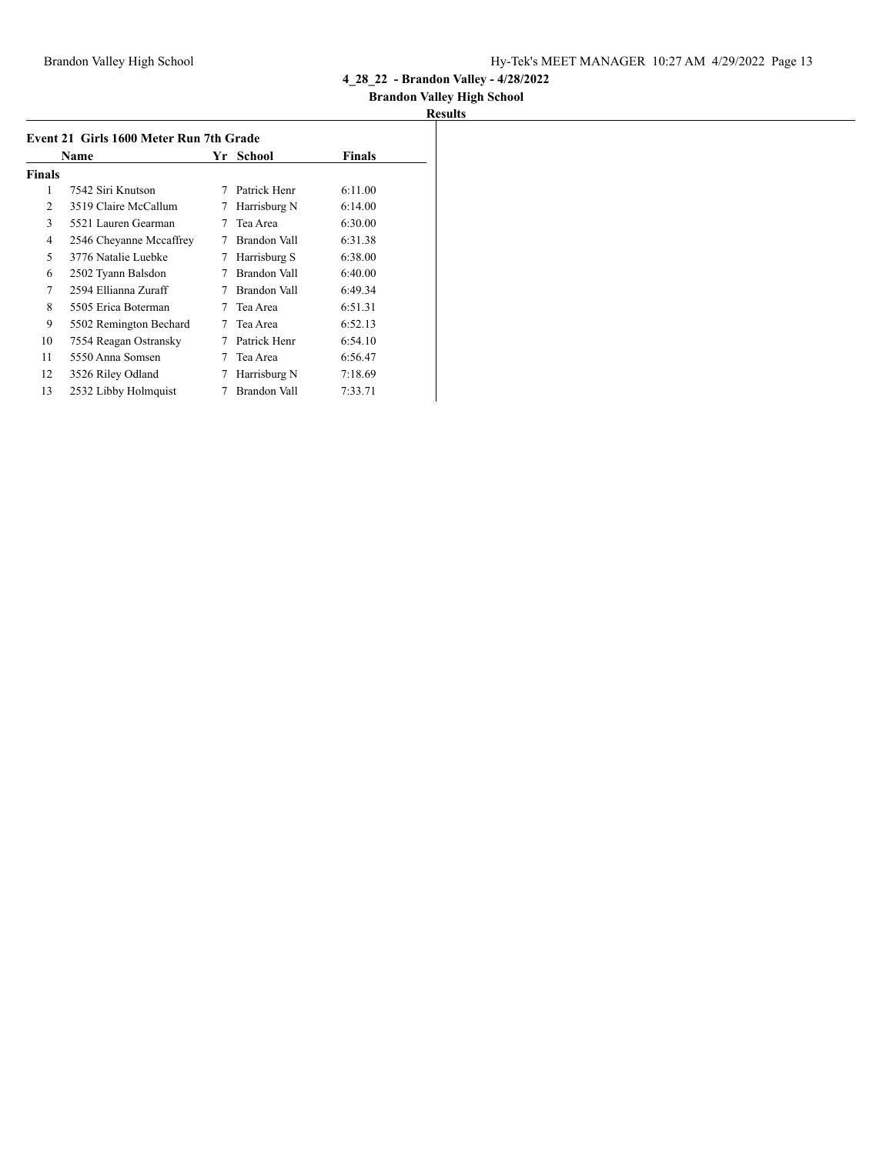## **Brandon Valley High School**

| Event 21 Girls 1600 Meter Run 7th Grade |                         |     |               |               |
|-----------------------------------------|-------------------------|-----|---------------|---------------|
|                                         | Name                    | Yr. | <b>School</b> | <b>Finals</b> |
| <b>Finals</b>                           |                         |     |               |               |
| 1                                       | 7542 Siri Knutson       | 7   | Patrick Henr  | 6:11.00       |
| 2                                       | 3519 Claire McCallum    | 7   | Harrisburg N  | 6:14.00       |
| 3                                       | 5521 Lauren Gearman     |     | Tea Area      | 6:30.00       |
| 4                                       | 2546 Cheyanne Mccaffrey | 7   | Brandon Vall  | 6:31.38       |
| 5                                       | 3776 Natalie Luebke     | 7   | Harrisburg S  | 6:38.00       |
| 6                                       | 2502 Tyann Balsdon      |     | Brandon Vall  | 6:40.00       |
| 7                                       | 2594 Ellianna Zuraff    |     | Brandon Vall  | 6:49.34       |
| 8                                       | 5505 Erica Boterman     | 7   | Tea Area      | 6:51.31       |
| 9                                       | 5502 Remington Bechard  | 7   | Tea Area      | 6:52.13       |
| 10                                      | 7554 Reagan Ostransky   | 7   | Patrick Henr  | 6:54.10       |
| 11                                      | 5550 Anna Somsen        |     | Tea Area      | 6:56.47       |
| 12                                      | 3526 Riley Odland       | 7   | Harrisburg N  | 7:18.69       |
| 13                                      | 2532 Libby Holmquist    |     | Brandon Vall  | 7:33.71       |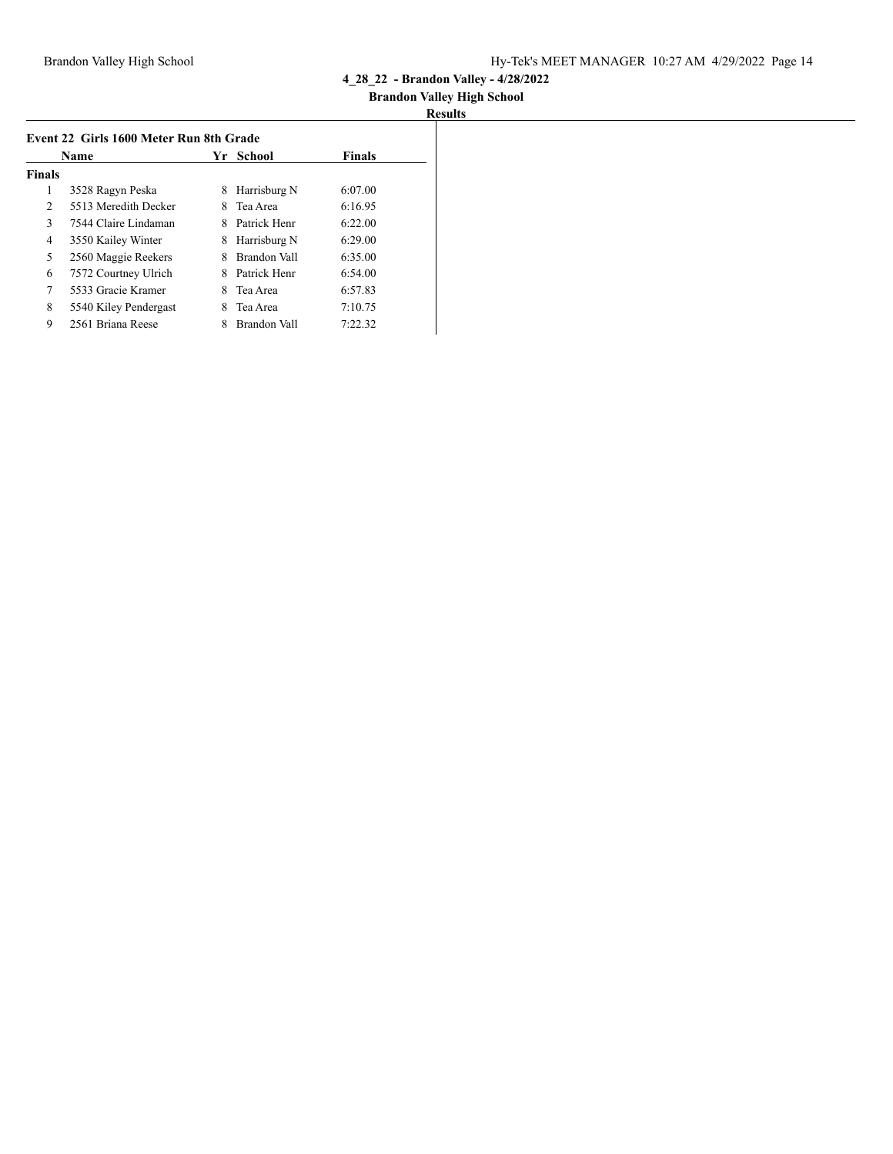## **Brandon Valley High School**

| Event 22 Girls 1600 Meter Run 8th Grade |                       |    |              |               |
|-----------------------------------------|-----------------------|----|--------------|---------------|
|                                         | Name                  | Yr | School       | <b>Finals</b> |
| <b>Finals</b>                           |                       |    |              |               |
| 1                                       | 3528 Ragyn Peska      | 8  | Harrisburg N | 6:07.00       |
| 2                                       | 5513 Meredith Decker  | 8  | Tea Area     | 6:16.95       |
| 3                                       | 7544 Claire Lindaman  | 8  | Patrick Henr | 6:22.00       |
| 4                                       | 3550 Kailey Winter    | 8  | Harrisburg N | 6:29.00       |
| 5                                       | 2560 Maggie Reekers   | 8  | Brandon Vall | 6:35.00       |
| 6                                       | 7572 Courtney Ulrich  |    | Patrick Henr | 6:54.00       |
| 7                                       | 5533 Gracie Kramer    | 8  | Tea Area     | 6:57.83       |
| 8                                       | 5540 Kiley Pendergast | 8  | Tea Area     | 7:10.75       |
| 9                                       | 2561 Briana Reese     | 8  | Brandon Vall | 7:22.32       |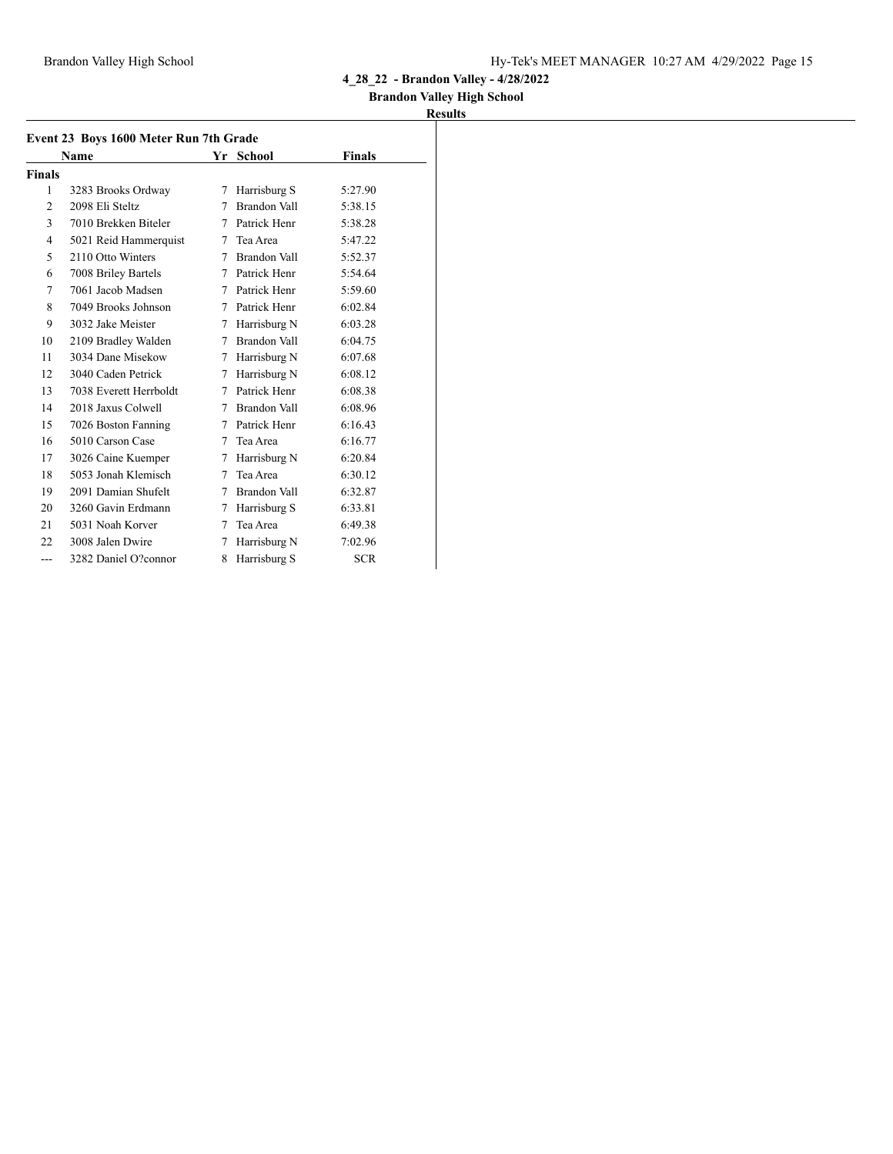### **Brandon Valley High School**

|                | Event 23 Boys 1600 Meter Run 7th Grade |   |                |            |  |  |
|----------------|----------------------------------------|---|----------------|------------|--|--|
|                | Name                                   |   | Yr School      | Finals     |  |  |
| <b>Finals</b>  |                                        |   |                |            |  |  |
| 1              | 3283 Brooks Ordway                     | 7 | Harrisburg S   | 5:27.90    |  |  |
| $\overline{c}$ | 2098 Eli Steltz                        | 7 | Brandon Vall   | 5:38.15    |  |  |
| 3              | 7010 Brekken Biteler                   | 7 | Patrick Henr   | 5:38.28    |  |  |
| 4              | 5021 Reid Hammerquist                  | 7 | Tea Area       | 5:47.22    |  |  |
| 5              | 2110 Otto Winters                      | 7 | Brandon Vall   | 5:52.37    |  |  |
| 6              | 7008 Briley Bartels                    |   | 7 Patrick Henr | 5:54.64    |  |  |
| 7              | 7061 Jacob Madsen                      | 7 | Patrick Henr   | 5:59.60    |  |  |
| 8              | 7049 Brooks Johnson                    | 7 | Patrick Henr   | 6:02.84    |  |  |
| 9              | 3032 Jake Meister                      | 7 | Harrisburg N   | 6:03.28    |  |  |
| 10             | 2109 Bradley Walden                    | 7 | Brandon Vall   | 6:04.75    |  |  |
| 11             | 3034 Dane Misekow                      | 7 | Harrisburg N   | 6:07.68    |  |  |
| 12             | 3040 Caden Petrick                     | 7 | Harrisburg N   | 6:08.12    |  |  |
| 13             | 7038 Everett Herrboldt                 | 7 | Patrick Henr   | 6:08.38    |  |  |
| 14             | 2018 Jaxus Colwell                     | 7 | Brandon Vall   | 6:08.96    |  |  |
| 15             | 7026 Boston Fanning                    | 7 | Patrick Henr   | 6:16.43    |  |  |
| 16             | 5010 Carson Case                       | 7 | Tea Area       | 6:16.77    |  |  |
| 17             | 3026 Caine Kuemper                     | 7 | Harrisburg N   | 6:20.84    |  |  |
| 18             | 5053 Jonah Klemisch                    | 7 | Tea Area       | 6:30.12    |  |  |
| 19             | 2091 Damian Shufelt                    | 7 | Brandon Vall   | 6:32.87    |  |  |
| 20             | 3260 Gavin Erdmann                     | 7 | Harrisburg S   | 6:33.81    |  |  |
| 21             | 5031 Noah Korver                       | 7 | Tea Area       | 6:49.38    |  |  |
| 22             | 3008 Jalen Dwire                       | 7 | Harrisburg N   | 7:02.96    |  |  |
| ---            | 3282 Daniel O?connor                   | 8 | Harrisburg S   | <b>SCR</b> |  |  |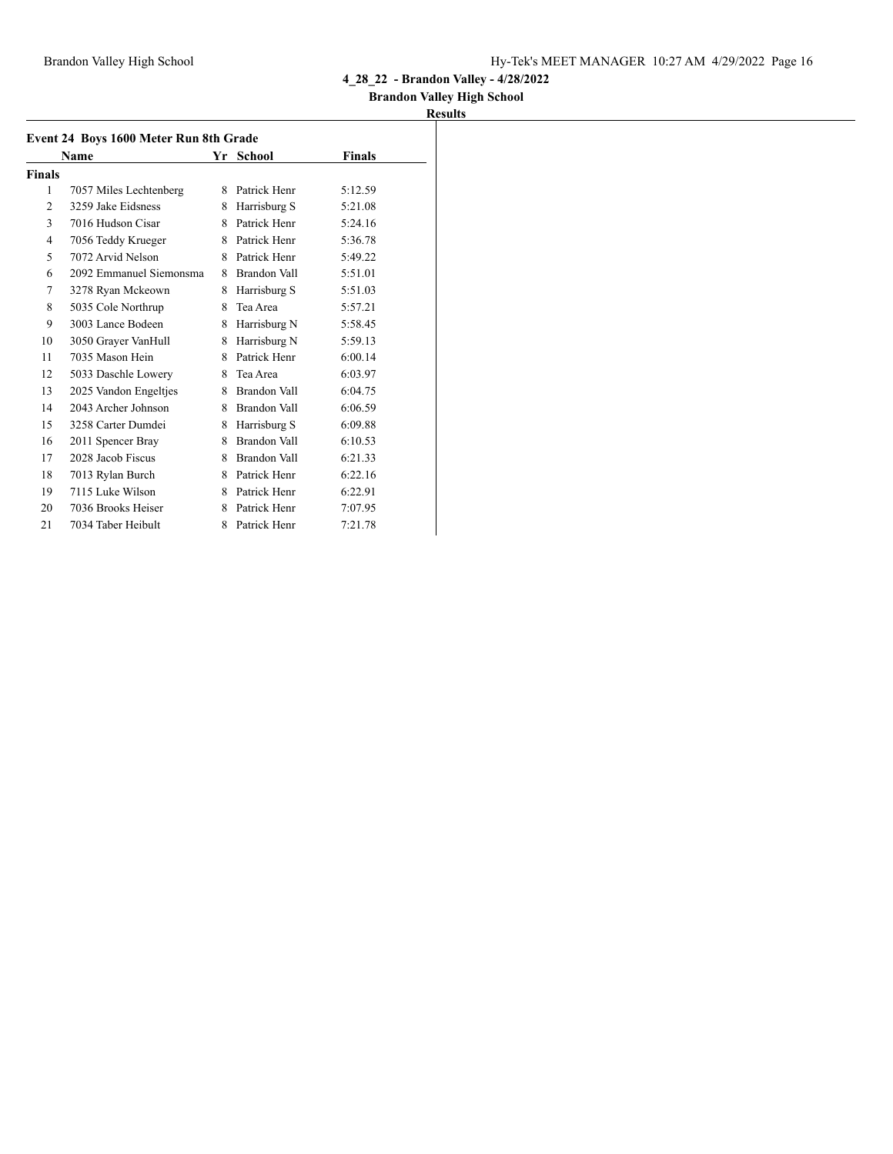### **Brandon Valley High School**

|                | Event 24 Boys 1600 Meter Run 8th Grade |   |              |         |
|----------------|----------------------------------------|---|--------------|---------|
|                | Name                                   |   | Yr School    | Finals  |
| <b>Finals</b>  |                                        |   |              |         |
| 1              | 7057 Miles Lechtenberg                 | 8 | Patrick Henr | 5:12.59 |
| $\overline{c}$ | 3259 Jake Eidsness                     | 8 | Harrisburg S | 5:21.08 |
| 3              | 7016 Hudson Cisar                      | 8 | Patrick Henr | 5:24.16 |
| $\overline{4}$ | 7056 Teddy Krueger                     | 8 | Patrick Henr | 5:36.78 |
| 5              | 7072 Arvid Nelson                      | 8 | Patrick Henr | 5:49.22 |
| 6              | 2092 Emmanuel Siemonsma                | 8 | Brandon Vall | 5:51.01 |
| 7              | 3278 Ryan Mckeown                      | 8 | Harrisburg S | 5:51.03 |
| 8              | 5035 Cole Northrup                     | 8 | Tea Area     | 5:57.21 |
| 9              | 3003 Lance Bodeen                      | 8 | Harrisburg N | 5:58.45 |
| 10             | 3050 Grayer VanHull                    | 8 | Harrisburg N | 5:59.13 |
| 11             | 7035 Mason Hein                        | 8 | Patrick Henr | 6:00.14 |
| 12             | 5033 Daschle Lowery                    | 8 | Tea Area     | 6:03.97 |
| 13             | 2025 Vandon Engeltjes                  | 8 | Brandon Vall | 6:04.75 |
| 14             | 2043 Archer Johnson                    | 8 | Brandon Vall | 6:06.59 |
| 15             | 3258 Carter Dumdei                     | 8 | Harrisburg S | 6:09.88 |
| 16             | 2011 Spencer Bray                      | 8 | Brandon Vall | 6:10.53 |
| 17             | 2028 Jacob Fiscus                      | 8 | Brandon Vall | 6:21.33 |
| 18             | 7013 Rylan Burch                       | 8 | Patrick Henr | 6:22.16 |
| 19             | 7115 Luke Wilson                       | 8 | Patrick Henr | 6:22.91 |
| 20             | 7036 Brooks Heiser                     | 8 | Patrick Henr | 7:07.95 |
| 21             | 7034 Taber Heibult                     | 8 | Patrick Henr | 7:21.78 |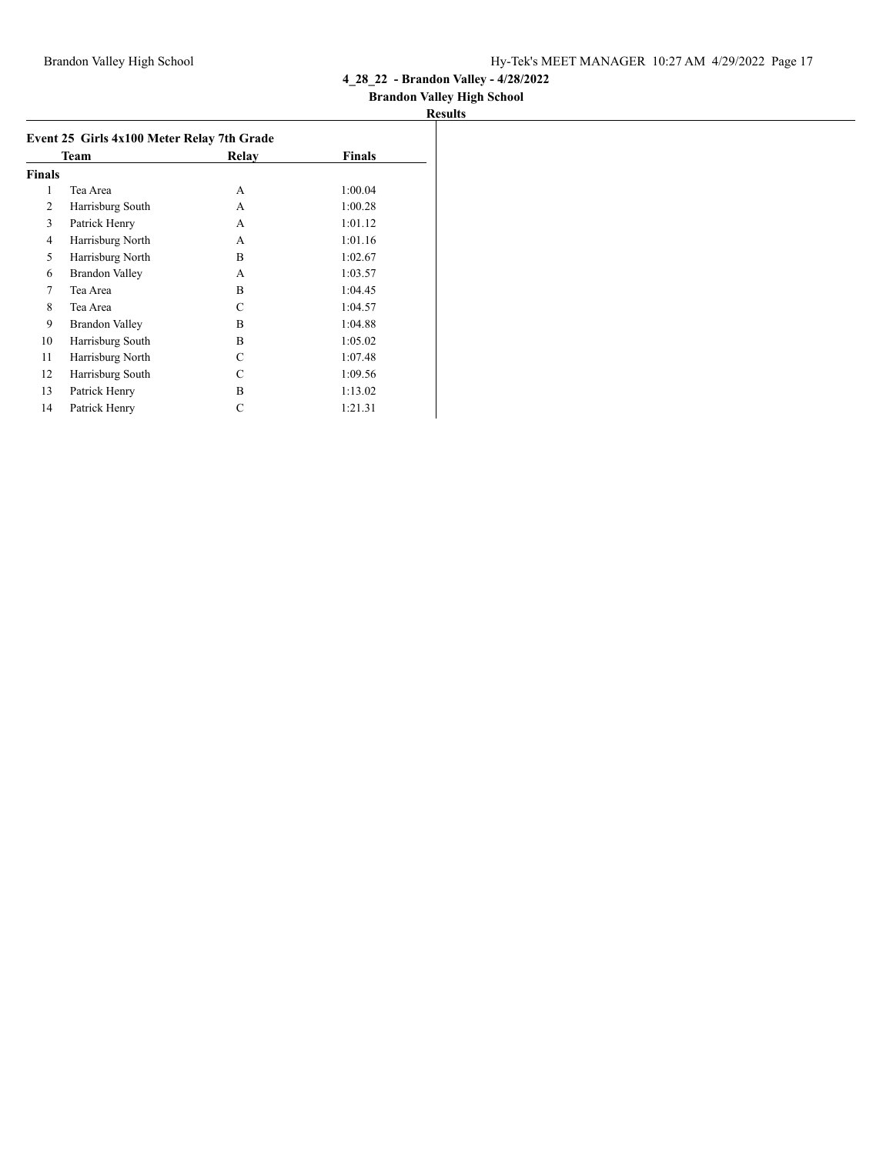## **Brandon Valley High School**

|               | Team             | Relay | <b>Finals</b> |
|---------------|------------------|-------|---------------|
| <b>Finals</b> |                  |       |               |
| 1             | Tea Area         | A     | 1:00.04       |
| 2             | Harrisburg South | A     | 1:00.28       |
| 3             | Patrick Henry    | A     | 1:01.12       |
| 4             | Harrisburg North | A     | 1:01.16       |
| 5             | Harrisburg North | B     | 1:02.67       |
| 6             | Brandon Valley   | A     | 1:03.57       |
| 7             | Tea Area         | B     | 1:04.45       |
| 8             | Tea Area         | C     | 1:04.57       |
| 9             | Brandon Valley   | B     | 1:04.88       |
| 10            | Harrisburg South | B     | 1:05.02       |
| 11            | Harrisburg North | C     | 1:07.48       |
| 12            | Harrisburg South | C     | 1:09.56       |
| 13            | Patrick Henry    | B     | 1:13.02       |
| 14            | Patrick Henry    | C     | 1:21.31       |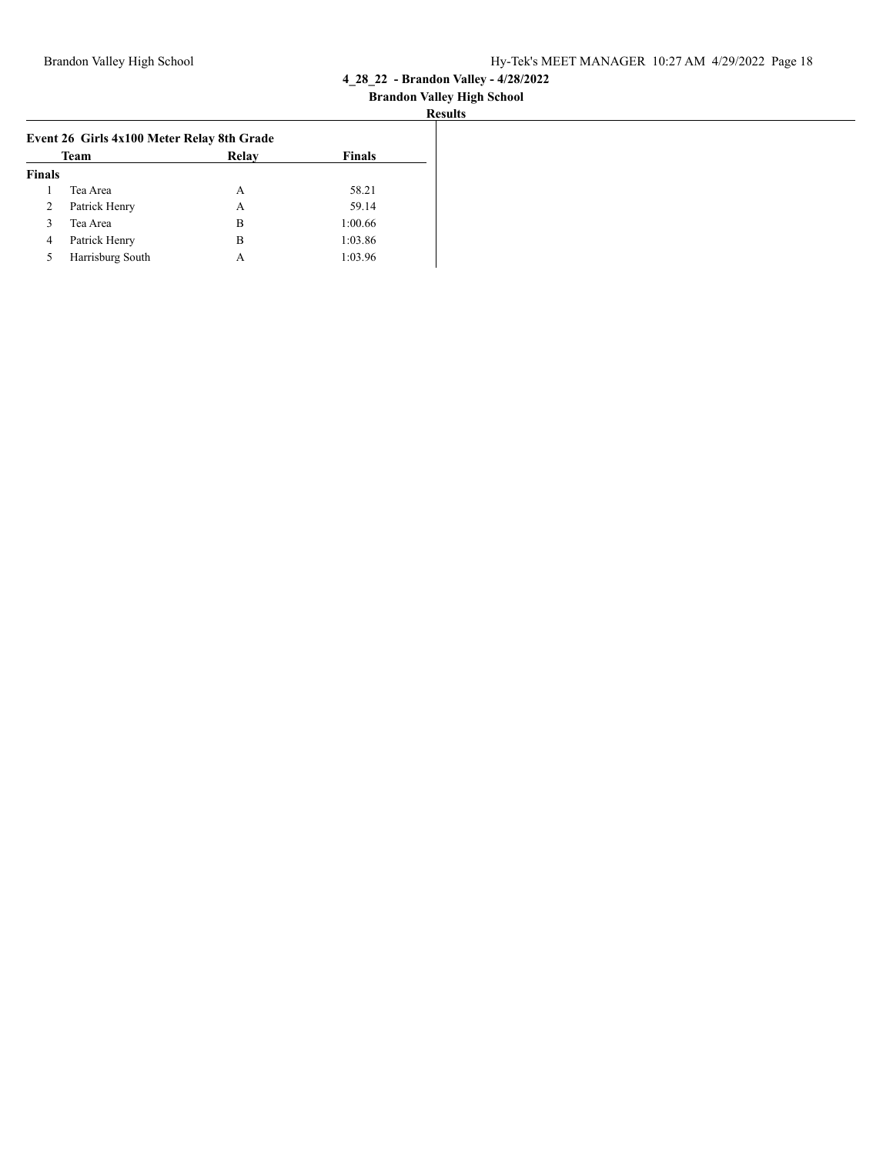#### **Brandon Valley High School Results**

|                | Event 26 Girls 4x100 Meter Relay 8th Grade |       |               |  |  |  |  |
|----------------|--------------------------------------------|-------|---------------|--|--|--|--|
|                | Team                                       | Relay | <b>Finals</b> |  |  |  |  |
| <b>Finals</b>  |                                            |       |               |  |  |  |  |
|                | Tea Area                                   | А     | 58.21         |  |  |  |  |
| $\overline{2}$ | Patrick Henry                              | A     | 59.14         |  |  |  |  |
| 3              | Tea Area                                   | В     | 1:00.66       |  |  |  |  |
| 4              | Patrick Henry                              | В     | 1:03.86       |  |  |  |  |
| 5              | Harrisburg South                           | А     | 1:03.96       |  |  |  |  |
|                |                                            |       |               |  |  |  |  |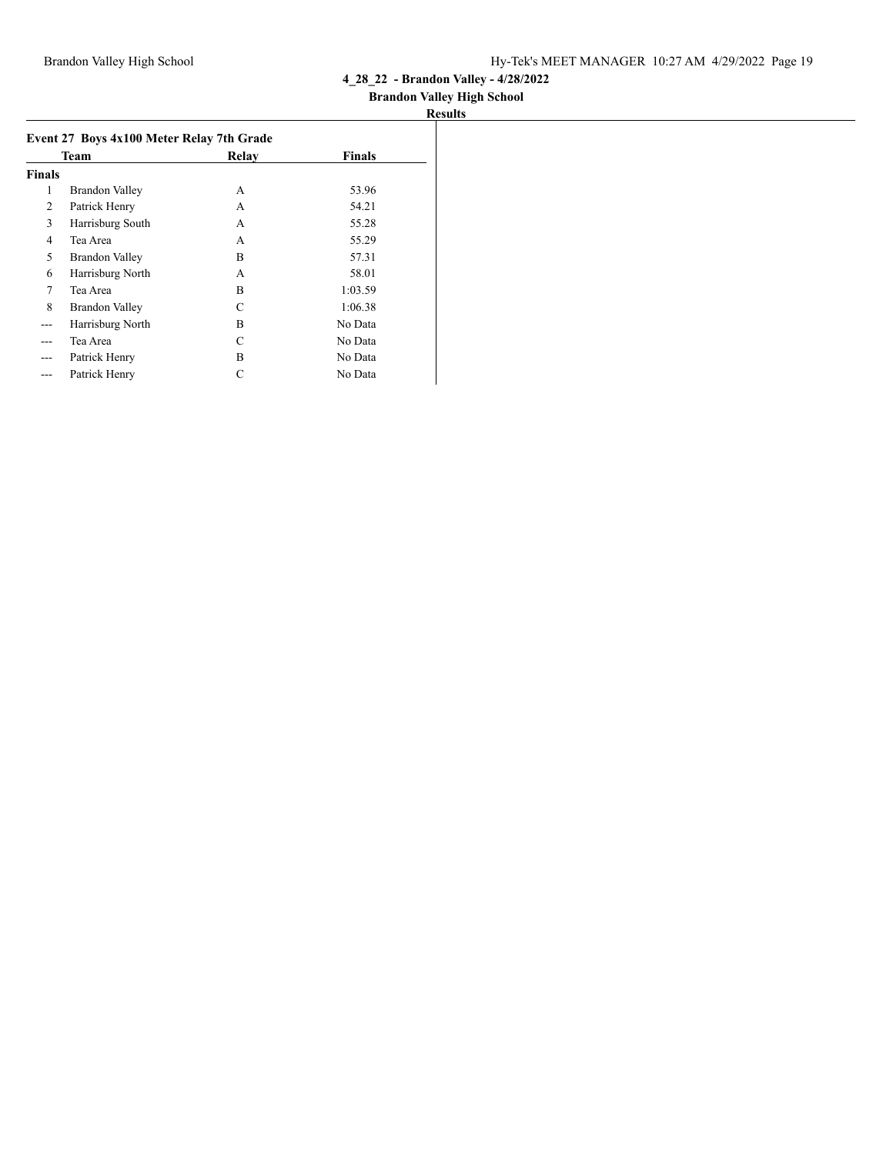## **Brandon Valley High School**

|               | Event 27 Boys 4x100 Meter Relay 7th Grade |       |               |  |  |
|---------------|-------------------------------------------|-------|---------------|--|--|
|               | Team                                      | Relay | <b>Finals</b> |  |  |
| <b>Finals</b> |                                           |       |               |  |  |
| 1             | <b>Brandon Valley</b>                     | A     | 53.96         |  |  |
| 2             | Patrick Henry                             | A     | 54.21         |  |  |
| 3             | Harrisburg South                          | А     | 55.28         |  |  |
| 4             | Tea Area                                  | А     | 55.29         |  |  |
| 5             | <b>Brandon Valley</b>                     | B     | 57.31         |  |  |
| 6             | Harrisburg North                          | A     | 58.01         |  |  |
| 7             | Tea Area                                  | B     | 1:03.59       |  |  |
| 8             | <b>Brandon Valley</b>                     | C     | 1:06.38       |  |  |
| ---           | Harrisburg North                          | B     | No Data       |  |  |
|               | Tea Area                                  | C     | No Data       |  |  |
| ---           | Patrick Henry                             | B     | No Data       |  |  |
| ---           | Patrick Henry                             | С     | No Data       |  |  |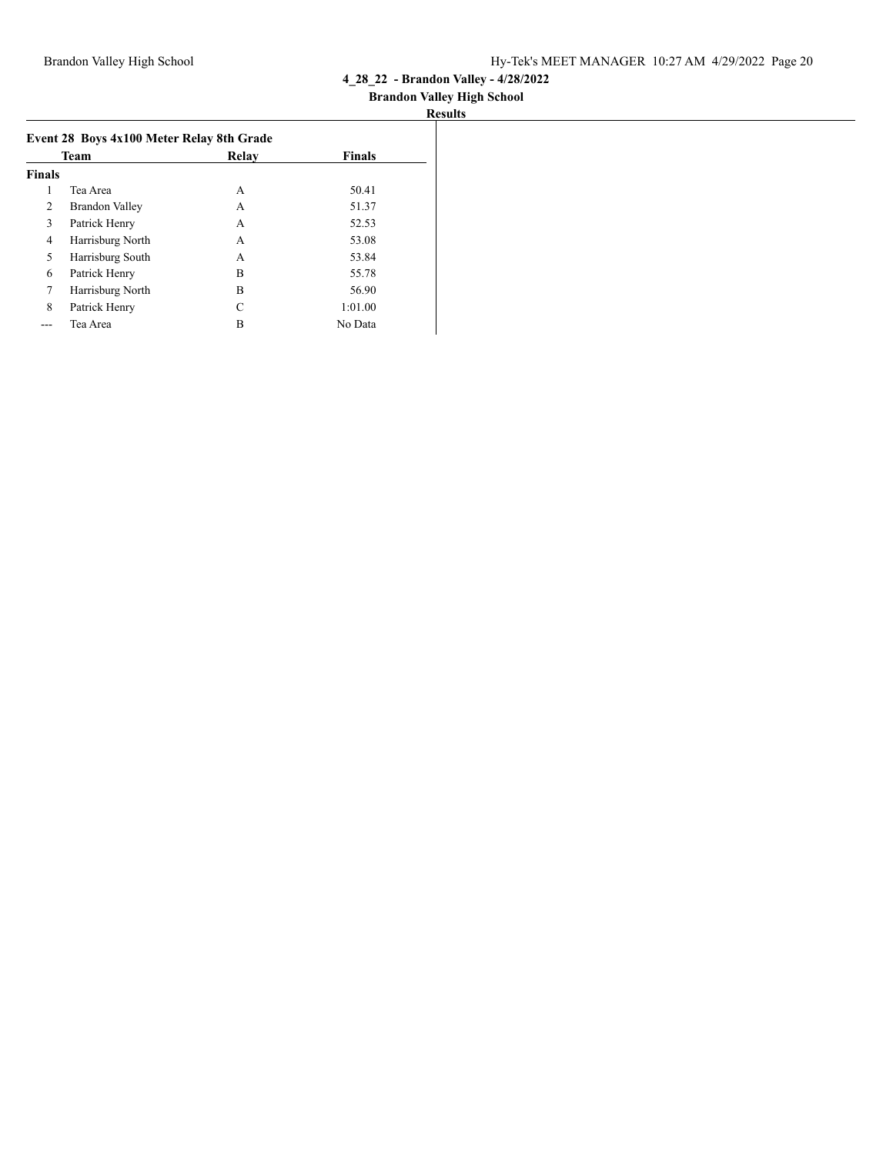| <b>Results</b> |
|----------------|
|----------------|

|               | Team                  | Relay | <b>Finals</b> |
|---------------|-----------------------|-------|---------------|
| <b>Finals</b> |                       |       |               |
| 1             | Tea Area              | A     | 50.41         |
| 2             | <b>Brandon Valley</b> | A     | 51.37         |
| 3             | Patrick Henry         | A     | 52.53         |
| 4             | Harrisburg North      | A     | 53.08         |
| 5             | Harrisburg South      | A     | 53.84         |
| 6             | Patrick Henry         | В     | 55.78         |
| 7             | Harrisburg North      | В     | 56.90         |
| 8             | Patrick Henry         | C     | 1:01.00       |
|               | Tea Area              | в     | No Data       |
|               |                       |       |               |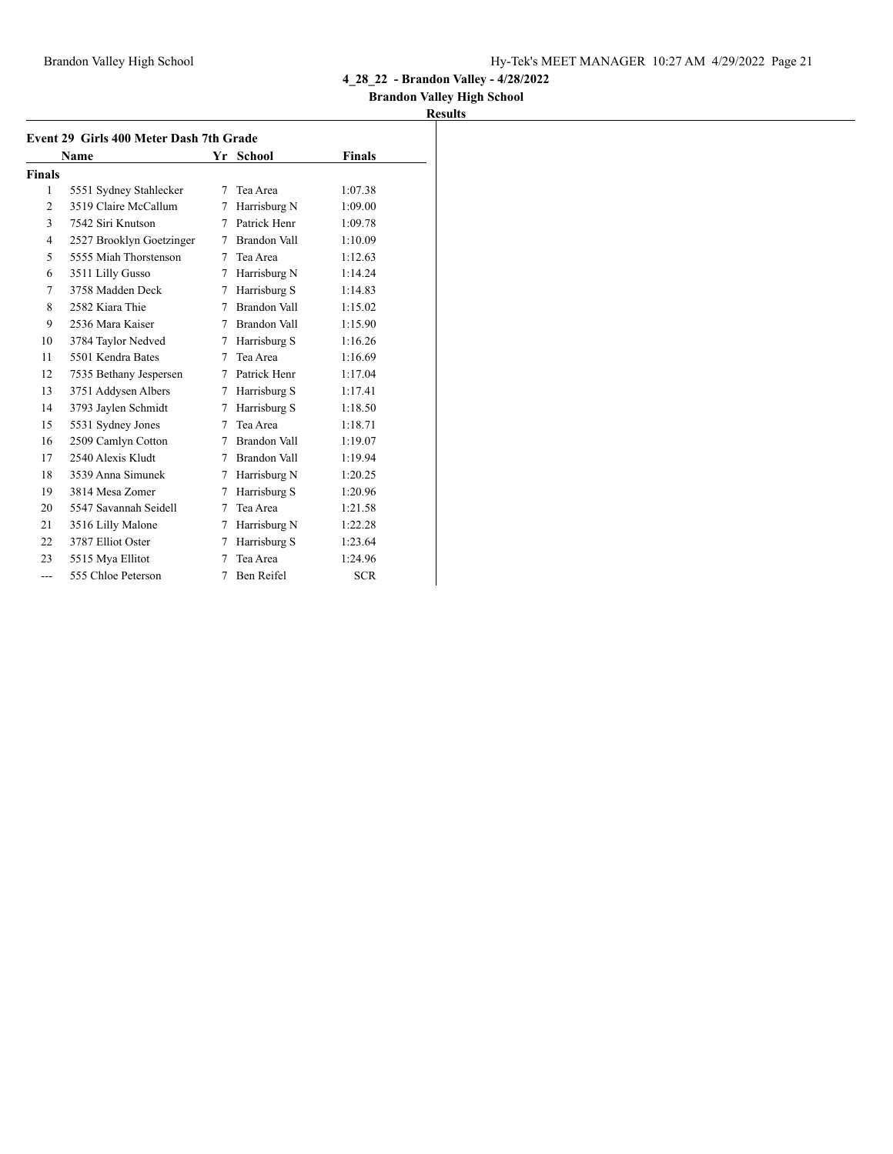### **Brandon Valley High School**

| Event 29 Girls 400 Meter Dash 7th Grade |                          |    |                |            |
|-----------------------------------------|--------------------------|----|----------------|------------|
|                                         | Name                     | Yr | School         | Finals     |
| <b>Finals</b>                           |                          |    |                |            |
| 1                                       | 5551 Sydney Stahlecker   | 7  | Tea Area       | 1:07.38    |
| 2                                       | 3519 Claire McCallum     | 7  | Harrisburg N   | 1:09.00    |
| 3                                       | 7542 Siri Knutson        | 7  | Patrick Henr   | 1:09.78    |
| 4                                       | 2527 Brooklyn Goetzinger | 7  | Brandon Vall   | 1:10.09    |
| 5                                       | 5555 Miah Thorstenson    | 7  | Tea Area       | 1:12.63    |
| 6                                       | 3511 Lilly Gusso         | 7  | Harrisburg N   | 1:14.24    |
| 7                                       | 3758 Madden Deck         | 7  | Harrisburg S   | 1:14.83    |
| 8                                       | 2582 Kiara Thie          | 7  | Brandon Vall   | 1:15.02    |
| 9                                       | 2536 Mara Kaiser         | 7  | Brandon Vall   | 1:15.90    |
| 10                                      | 3784 Taylor Nedved       | 7  | Harrisburg S   | 1:16.26    |
| 11                                      | 5501 Kendra Bates        | 7  | Tea Area       | 1:16.69    |
| 12                                      | 7535 Bethany Jespersen   | 7  | Patrick Henr   | 1:17.04    |
| 13                                      | 3751 Addysen Albers      | 7  | Harrisburg S   | 1:17.41    |
| 14                                      | 3793 Jaylen Schmidt      | 7  | Harrisburg S   | 1:18.50    |
| 15                                      | 5531 Sydney Jones        | 7  | Tea Area       | 1:18.71    |
| 16                                      | 2509 Camlyn Cotton       | 7  | Brandon Vall   | 1:19.07    |
| 17                                      | 2540 Alexis Kludt        |    | 7 Brandon Vall | 1:19.94    |
| 18                                      | 3539 Anna Simunek        | 7  | Harrisburg N   | 1:20.25    |
| 19                                      | 3814 Mesa Zomer          | 7  | Harrisburg S   | 1:20.96    |
| 20                                      | 5547 Savannah Seidell    | 7  | Tea Area       | 1:21.58    |
| 21                                      | 3516 Lilly Malone        | 7  | Harrisburg N   | 1:22.28    |
| 22                                      | 3787 Elliot Oster        | 7  | Harrisburg S   | 1:23.64    |
| 23                                      | 5515 Mya Ellitot         | 7  | Tea Area       | 1:24.96    |
| $---$                                   | 555 Chloe Peterson       | 7  | Ben Reifel     | <b>SCR</b> |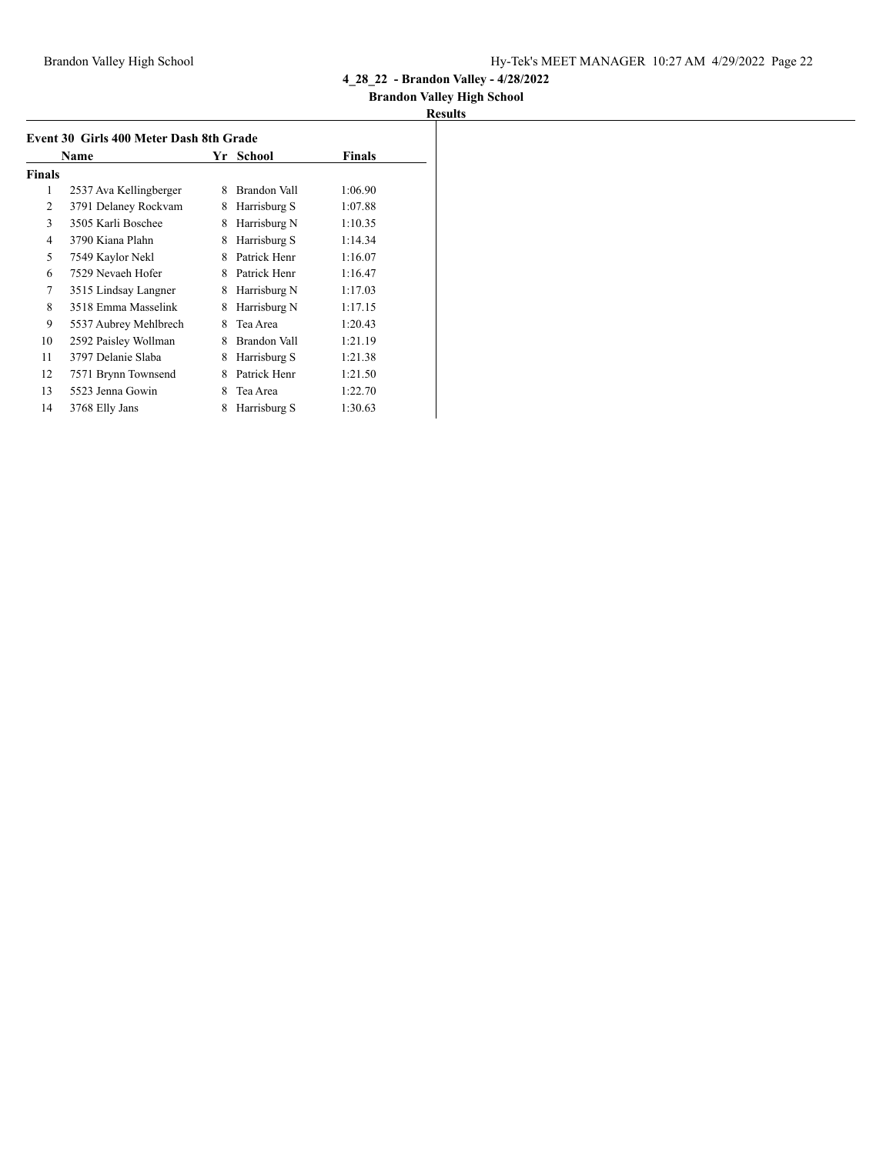### **Brandon Valley High School**

| Event 30 Girls 400 Meter Dash 8th Grade<br><b>Finals</b><br><b>Name</b><br>School<br>Yr |                        |   |              |         |  |
|-----------------------------------------------------------------------------------------|------------------------|---|--------------|---------|--|
|                                                                                         |                        |   |              |         |  |
| <b>Finals</b>                                                                           |                        |   |              |         |  |
| 1                                                                                       | 2537 Ava Kellingberger | 8 | Brandon Vall | 1:06.90 |  |
| 2                                                                                       | 3791 Delaney Rockvam   | 8 | Harrisburg S | 1:07.88 |  |
| 3                                                                                       | 3505 Karli Boschee     | 8 | Harrisburg N | 1:10.35 |  |
| 4                                                                                       | 3790 Kiana Plahn       | 8 | Harrisburg S | 1:14.34 |  |
| 5                                                                                       | 7549 Kaylor Nekl       | 8 | Patrick Henr | 1:16.07 |  |
| 6                                                                                       | 7529 Nevaeh Hofer      | 8 | Patrick Henr | 1:16.47 |  |
| 7                                                                                       | 3515 Lindsay Langner   | 8 | Harrisburg N | 1:17.03 |  |
| 8                                                                                       | 3518 Emma Masselink    | 8 | Harrisburg N | 1:17.15 |  |
| 9                                                                                       | 5537 Aubrey Mehlbrech  | 8 | Tea Area     | 1:20.43 |  |
| 10                                                                                      | 2592 Paisley Wollman   | 8 | Brandon Vall | 1:21.19 |  |
| 11                                                                                      | 3797 Delanie Slaba     | 8 | Harrisburg S | 1:21.38 |  |
| 12                                                                                      | 7571 Brynn Townsend    | 8 | Patrick Henr | 1:21.50 |  |
| 13                                                                                      | 5523 Jenna Gowin       | 8 | Tea Area     | 1:22.70 |  |
| 14                                                                                      | 3768 Elly Jans         | 8 | Harrisburg S | 1:30.63 |  |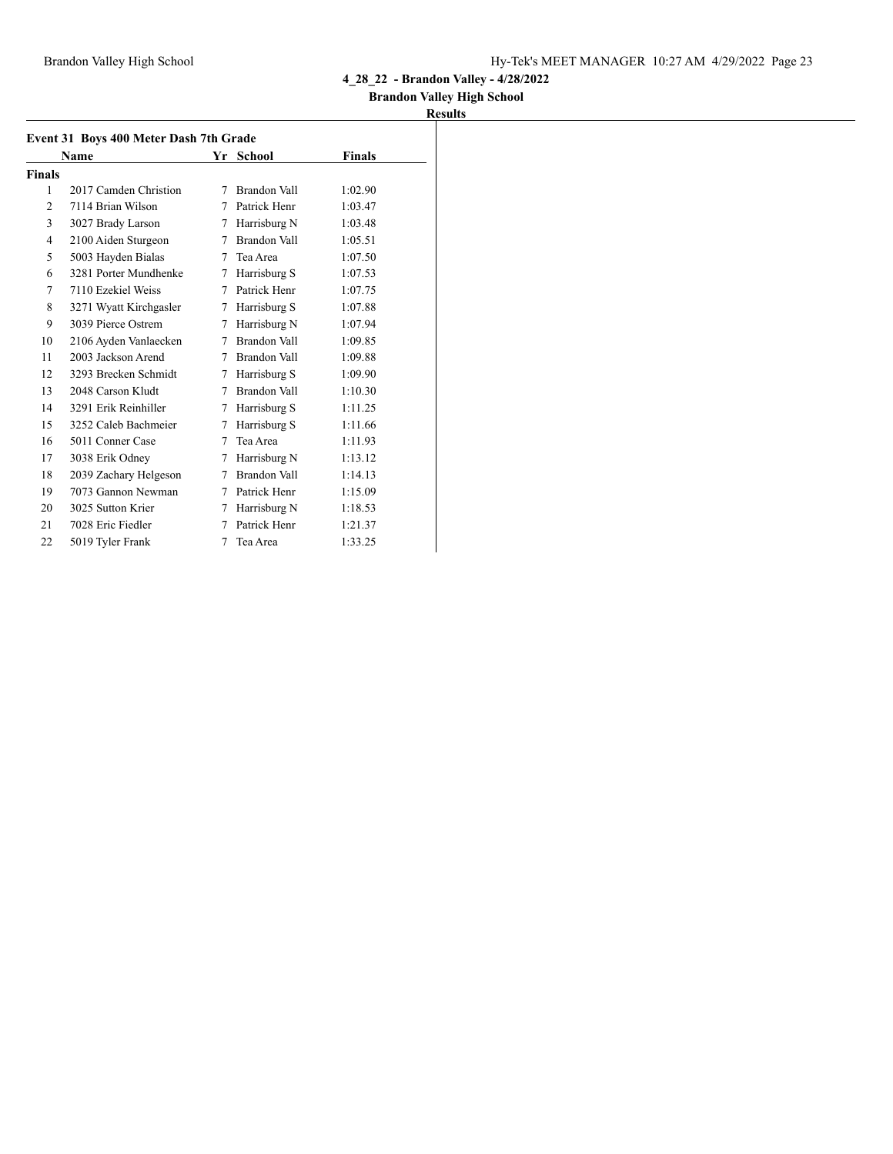### **Brandon Valley High School**

|               | Event 31 Boys 400 Meter Dash 7th Grade |   |              |         |  |  |
|---------------|----------------------------------------|---|--------------|---------|--|--|
|               | Name                                   |   | Yr School    | Finals  |  |  |
| <b>Finals</b> |                                        |   |              |         |  |  |
| 1             | 2017 Camden Christion                  | 7 | Brandon Vall | 1:02.90 |  |  |
| 2             | 7114 Brian Wilson                      | 7 | Patrick Henr | 1:03.47 |  |  |
| 3             | 3027 Brady Larson                      | 7 | Harrisburg N | 1:03.48 |  |  |
| 4             | 2100 Aiden Sturgeon                    | 7 | Brandon Vall | 1:05.51 |  |  |
| 5             | 5003 Hayden Bialas                     | 7 | Tea Area     | 1:07.50 |  |  |
| 6             | 3281 Porter Mundhenke                  | 7 | Harrisburg S | 1:07.53 |  |  |
| 7             | 7110 Ezekiel Weiss                     | 7 | Patrick Henr | 1:07.75 |  |  |
| 8             | 3271 Wyatt Kirchgasler                 | 7 | Harrisburg S | 1:07.88 |  |  |
| 9             | 3039 Pierce Ostrem                     | 7 | Harrisburg N | 1:07.94 |  |  |
| 10            | 2106 Ayden Vanlaecken                  | 7 | Brandon Vall | 1:09.85 |  |  |
| 11            | 2003 Jackson Arend                     | 7 | Brandon Vall | 1:09.88 |  |  |
| 12            | 3293 Brecken Schmidt                   | 7 | Harrisburg S | 1:09.90 |  |  |
| 13            | 2048 Carson Kludt                      | 7 | Brandon Vall | 1:10.30 |  |  |
| 14            | 3291 Erik Reinhiller                   | 7 | Harrisburg S | 1:11.25 |  |  |
| 15            | 3252 Caleb Bachmeier                   | 7 | Harrisburg S | 1:11.66 |  |  |
| 16            | 5011 Conner Case                       | 7 | Tea Area     | 1:11.93 |  |  |
| 17            | 3038 Erik Odney                        | 7 | Harrisburg N | 1:13.12 |  |  |
| 18            | 2039 Zachary Helgeson                  | 7 | Brandon Vall | 1:14.13 |  |  |
| 19            | 7073 Gannon Newman                     | 7 | Patrick Henr | 1:15.09 |  |  |
| 20            | 3025 Sutton Krier                      | 7 | Harrisburg N | 1:18.53 |  |  |
| 21            | 7028 Eric Fiedler                      | 7 | Patrick Henr | 1:21.37 |  |  |
| 22            | 5019 Tyler Frank                       | 7 | Tea Area     | 1:33.25 |  |  |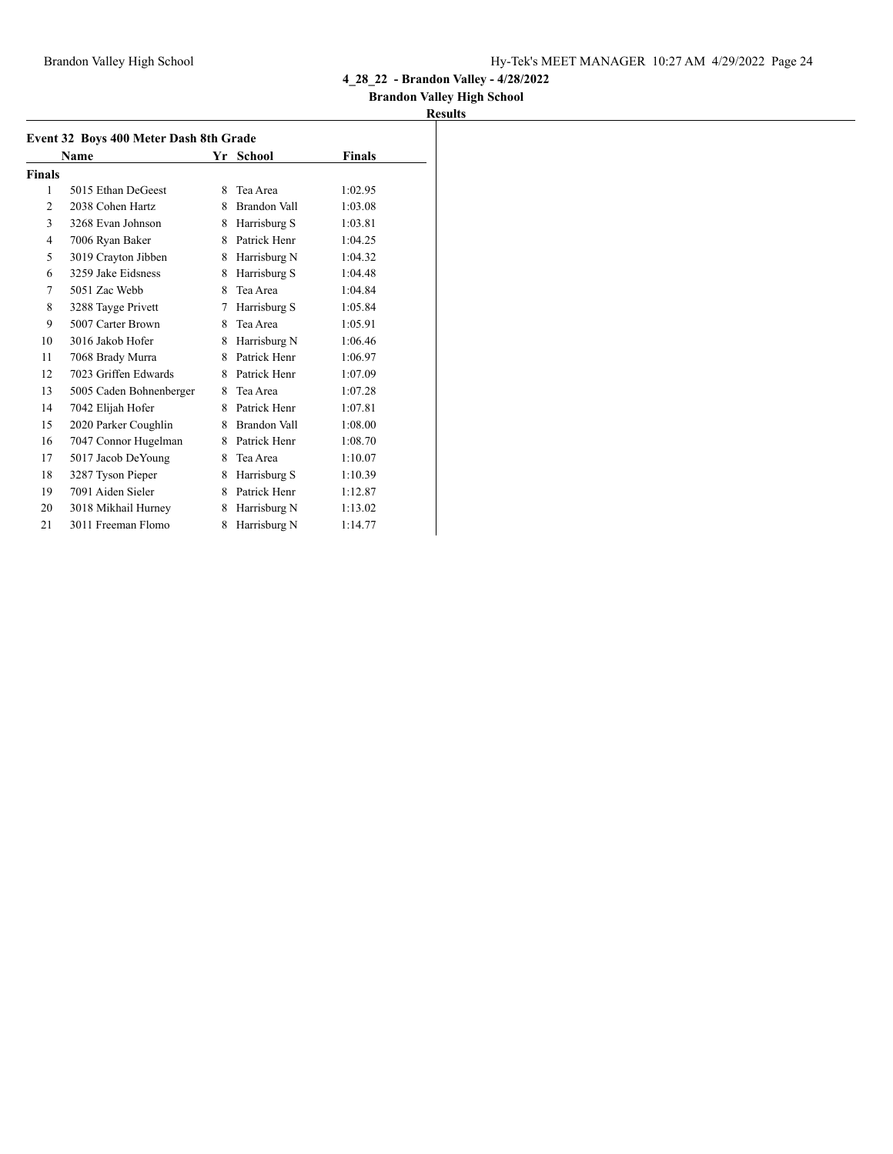## **Brandon Valley High School**

| Event 32 Boys 400 Meter Dash 8th Grade |                         |   |                |         |  |
|----------------------------------------|-------------------------|---|----------------|---------|--|
|                                        | Name                    |   | Yr School      | Finals  |  |
| <b>Finals</b>                          |                         |   |                |         |  |
| 1                                      | 5015 Ethan DeGeest      | 8 | Tea Area       | 1:02.95 |  |
| $\overline{2}$                         | 2038 Cohen Hartz        | 8 | Brandon Vall   | 1:03.08 |  |
| 3                                      | 3268 Evan Johnson       | 8 | Harrisburg S   | 1:03.81 |  |
| $\overline{4}$                         | 7006 Ryan Baker         | 8 | Patrick Henr   | 1:04.25 |  |
| 5                                      | 3019 Crayton Jibben     | 8 | Harrisburg N   | 1:04.32 |  |
| 6                                      | 3259 Jake Eidsness      | 8 | Harrisburg S   | 1:04.48 |  |
| 7                                      | 5051 Zac Webb           | 8 | Tea Area       | 1:04.84 |  |
| 8                                      | 3288 Tayge Privett      | 7 | Harrisburg S   | 1:05.84 |  |
| 9                                      | 5007 Carter Brown       | 8 | Tea Area       | 1:05.91 |  |
| 10                                     | 3016 Jakob Hofer        | 8 | Harrisburg N   | 1:06.46 |  |
| 11                                     | 7068 Brady Murra        | 8 | Patrick Henr   | 1:06.97 |  |
| 12                                     | 7023 Griffen Edwards    |   | 8 Patrick Henr | 1:07.09 |  |
| 13                                     | 5005 Caden Bohnenberger | 8 | Tea Area       | 1:07.28 |  |
| 14                                     | 7042 Elijah Hofer       | 8 | Patrick Henr   | 1:07.81 |  |
| 15                                     | 2020 Parker Coughlin    | 8 | Brandon Vall   | 1:08.00 |  |
| 16                                     | 7047 Connor Hugelman    | 8 | Patrick Henr   | 1:08.70 |  |
| 17                                     | 5017 Jacob DeYoung      | 8 | Tea Area       | 1:10.07 |  |
| 18                                     | 3287 Tyson Pieper       | 8 | Harrisburg S   | 1:10.39 |  |
| 19                                     | 7091 Aiden Sieler       | 8 | Patrick Henr   | 1:12.87 |  |
| 20                                     | 3018 Mikhail Hurney     | 8 | Harrisburg N   | 1:13.02 |  |
| 21                                     | 3011 Freeman Flomo      | 8 | Harrisburg N   | 1:14.77 |  |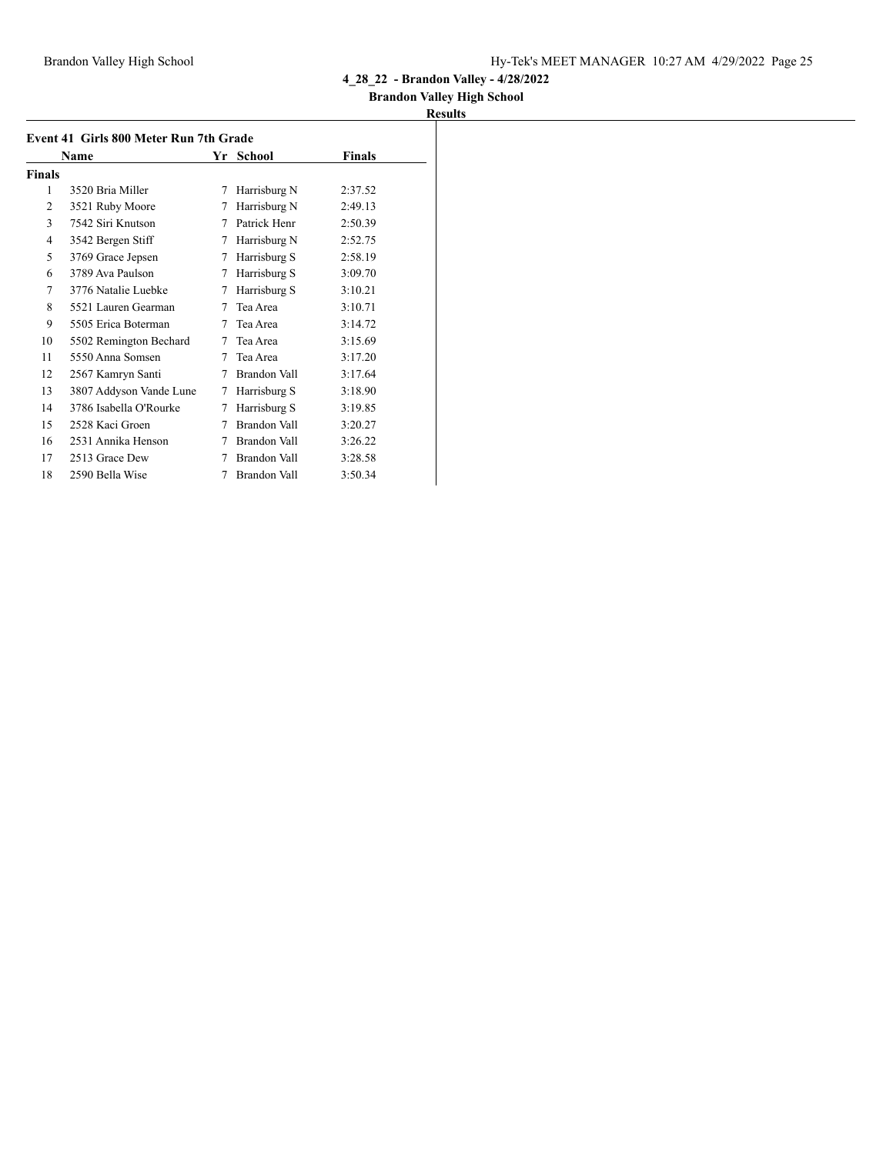### **Brandon Valley High School**

|        | Event 41 Girls 800 Meter Run 7th Grade |    | Finals              |         |
|--------|----------------------------------------|----|---------------------|---------|
|        | Name                                   | Yr | School              |         |
| Finals |                                        |    |                     |         |
| 1      | 3520 Bria Miller                       | 7  | Harrisburg N        | 2:37.52 |
| 2      | 3521 Ruby Moore                        | 7  | Harrisburg N        | 2:49.13 |
| 3      | 7542 Siri Knutson                      | 7  | Patrick Henr        | 2:50.39 |
| 4      | 3542 Bergen Stiff                      | 7  | Harrisburg N        | 2:52.75 |
| 5      | 3769 Grace Jepsen                      | 7  | Harrisburg S        | 2:58.19 |
| 6      | 3789 Ava Paulson                       | 7  | Harrisburg S        | 3:09.70 |
| 7      | 3776 Natalie Luebke                    | 7  | Harrisburg S        | 3:10.21 |
| 8      | 5521 Lauren Gearman                    | 7  | Tea Area            | 3:10.71 |
| 9      | 5505 Erica Boterman                    | 7  | Tea Area            | 3:14.72 |
| 10     | 5502 Remington Bechard                 | 7  | Tea Area            | 3:15.69 |
| 11     | 5550 Anna Somsen                       | 7  | Tea Area            | 3:17.20 |
| 12     | 2567 Kamryn Santi                      | 7  | <b>Brandon Vall</b> | 3:17.64 |
| 13     | 3807 Addyson Vande Lune                | 7  | Harrisburg S        | 3:18.90 |
| 14     | 3786 Isabella O'Rourke                 | 7  | Harrisburg S        | 3:19.85 |
| 15     | 2528 Kaci Groen                        | 7  | Brandon Vall        | 3:20.27 |
| 16     | 2531 Annika Henson                     | 7  | Brandon Vall        | 3:26.22 |
| 17     | 2513 Grace Dew                         | 7  | Brandon Vall        | 3:28.58 |
| 18     | 2590 Bella Wise                        | 7  | Brandon Vall        | 3:50.34 |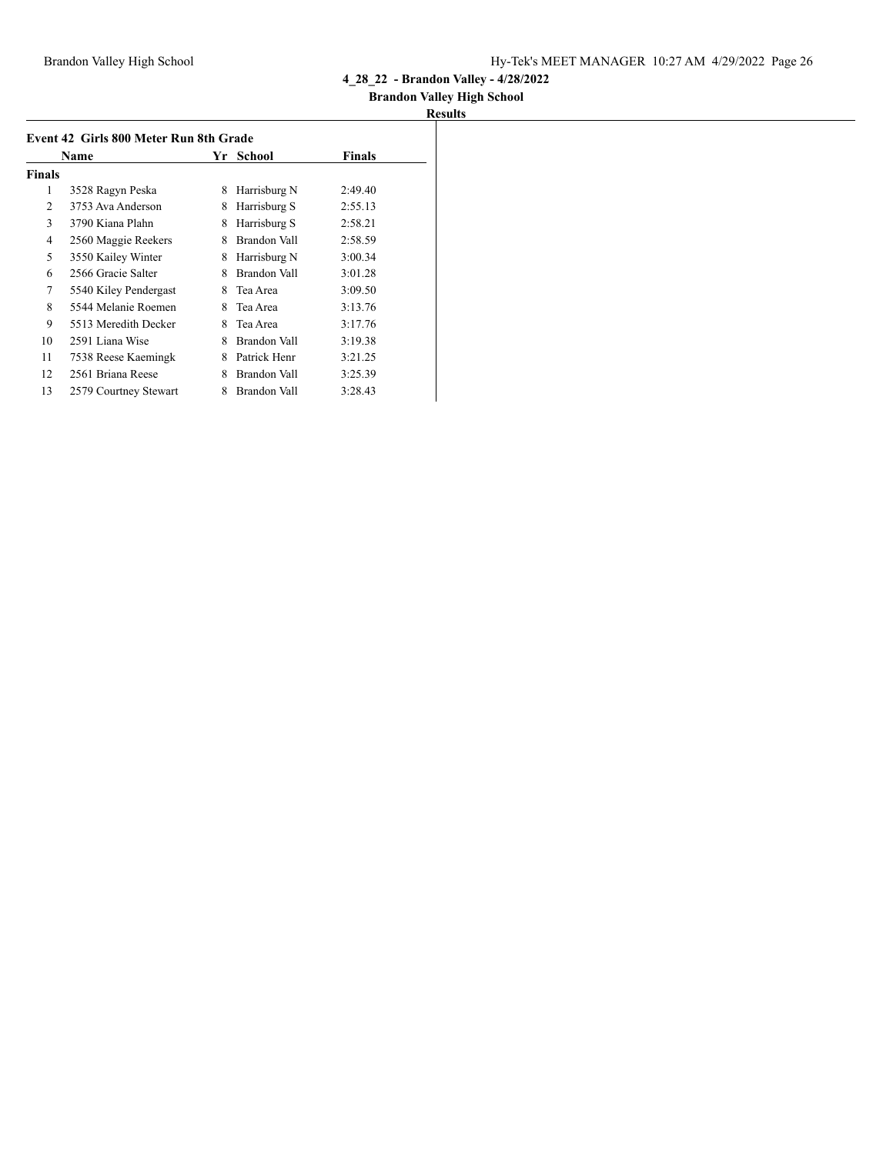## **Brandon Valley High School**

| Event 42 Girls 800 Meter Run 8th Grade | School                | Finals |              |         |
|----------------------------------------|-----------------------|--------|--------------|---------|
| <b>Finals</b>                          | Name                  | Yr     |              |         |
| 1                                      | 3528 Ragyn Peska      | 8      | Harrisburg N | 2:49.40 |
| 2                                      | 3753 Ava Anderson     | 8      | Harrisburg S | 2:55.13 |
| 3                                      | 3790 Kiana Plahn      | 8      | Harrisburg S | 2:58.21 |
| $\overline{4}$                         | 2560 Maggie Reekers   | 8      | Brandon Vall | 2:58.59 |
| 5                                      | 3550 Kailey Winter    | 8      | Harrisburg N | 3:00.34 |
| 6                                      | 2566 Gracie Salter    | 8      | Brandon Vall | 3:01.28 |
| 7                                      | 5540 Kiley Pendergast | 8      | Tea Area     | 3:09.50 |
| 8                                      | 5544 Melanie Roemen   | 8      | Tea Area     | 3:13.76 |
| 9                                      | 5513 Meredith Decker  | 8      | Tea Area     | 3:17.76 |
| 10                                     | 2591 Liana Wise       | 8      | Brandon Vall | 3:19.38 |
| 11                                     | 7538 Reese Kaemingk   | 8      | Patrick Henr | 3:21.25 |
| 12                                     | 2561 Briana Reese     | 8      | Brandon Vall | 3:25.39 |
| 13                                     | 2579 Courtney Stewart | 8      | Brandon Vall | 3:28.43 |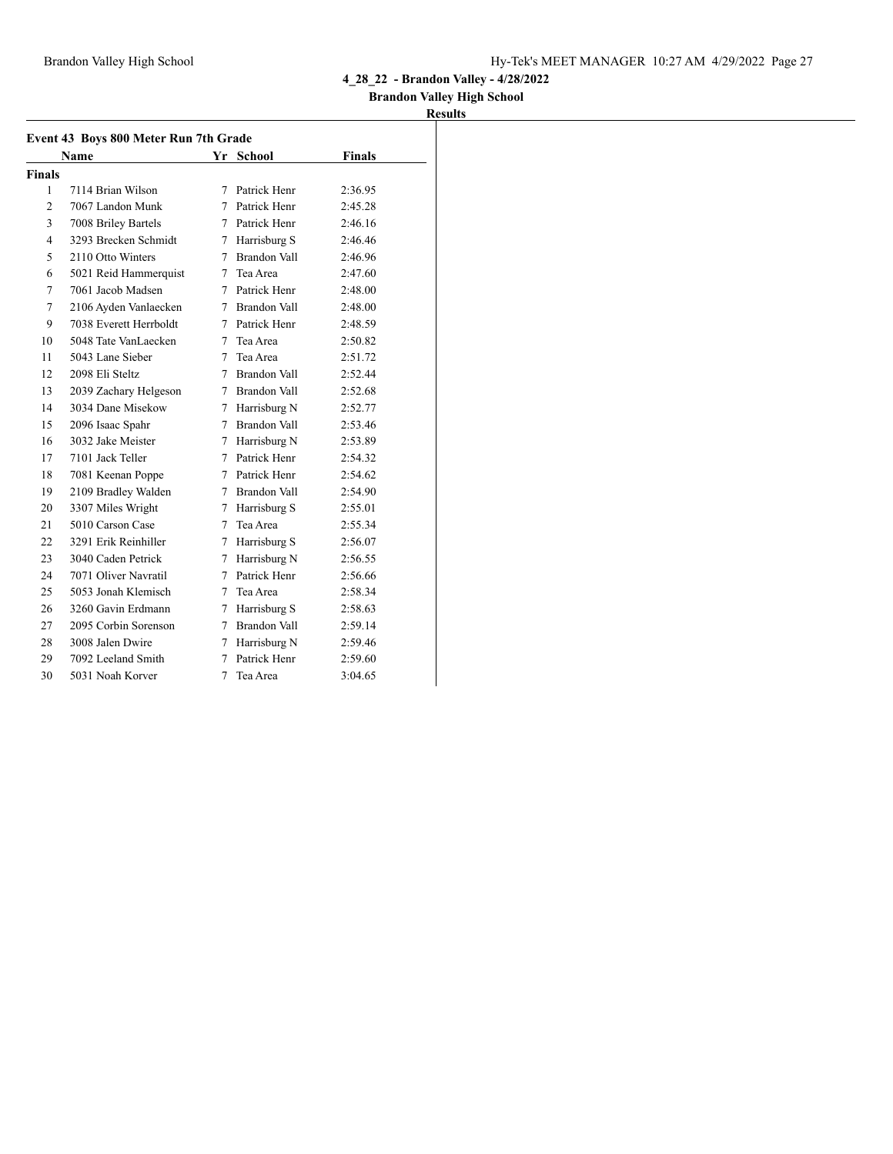### **Brandon Valley High School**

|                | Event 43 Boys 800 Meter Run 7th Grade |             |                     |               |  |  |
|----------------|---------------------------------------|-------------|---------------------|---------------|--|--|
|                | <b>Name</b>                           |             | Yr School           | <b>Finals</b> |  |  |
| <b>Finals</b>  |                                       |             |                     |               |  |  |
| 1              | 7114 Brian Wilson                     | 7           | Patrick Henr        | 2:36.95       |  |  |
| $\overline{c}$ | 7067 Landon Munk                      |             | 7 Patrick Henr      | 2:45.28       |  |  |
| 3              | 7008 Briley Bartels                   | $7^{\circ}$ | Patrick Henr        | 2:46.16       |  |  |
| 4              | 3293 Brecken Schmidt                  | 7           | Harrisburg S        | 2:46.46       |  |  |
| 5              | 2110 Otto Winters                     | 7           | Brandon Vall        | 2:46.96       |  |  |
| 6              | 5021 Reid Hammerquist                 |             | 7 Tea Area          | 2:47.60       |  |  |
| 7              | 7061 Jacob Madsen                     |             | 7 Patrick Henr      | 2:48.00       |  |  |
| 7              | 2106 Ayden Vanlaecken                 | 7           | <b>Brandon Vall</b> | 2:48.00       |  |  |
| 9              | 7038 Everett Herrboldt                | $7^{\circ}$ | Patrick Henr        | 2:48.59       |  |  |
| 10             | 5048 Tate VanLaecken                  | 7           | Tea Area            | 2:50.82       |  |  |
| 11             | 5043 Lane Sieber                      | 7           | Tea Area            | 2:51.72       |  |  |
| 12             | 2098 Eli Steltz                       | $\tau$      | Brandon Vall        | 2:52.44       |  |  |
| 13             | 2039 Zachary Helgeson                 |             | 7 Brandon Vall      | 2:52.68       |  |  |
| 14             | 3034 Dane Misekow                     |             | 7 Harrisburg N      | 2:52.77       |  |  |
| 15             | 2096 Isaac Spahr                      | $7^{\circ}$ | Brandon Vall        | 2:53.46       |  |  |
| 16             | 3032 Jake Meister                     | 7           | Harrisburg N        | 2:53.89       |  |  |
| 17             | 7101 Jack Teller                      | $\tau$      | Patrick Henr        | 2:54.32       |  |  |
| 18             | 7081 Keenan Poppe                     |             | 7 Patrick Henr      | 2:54.62       |  |  |
| 19             | 2109 Bradley Walden                   | $7^{\circ}$ | <b>Brandon Vall</b> | 2:54.90       |  |  |
| 20             | 3307 Miles Wright                     | $\tau$      | Harrisburg S        | 2:55.01       |  |  |
| 21             | 5010 Carson Case                      | $\tau$      | Tea Area            | 2:55.34       |  |  |
| 22             | 3291 Erik Reinhiller                  | 7           | Harrisburg S        | 2:56.07       |  |  |
| 23             | 3040 Caden Petrick                    | 7           | Harrisburg N        | 2:56.55       |  |  |
| 24             | 7071 Oliver Navratil                  | 7           | Patrick Henr        | 2:56.66       |  |  |
| 25             | 5053 Jonah Klemisch                   | 7           | Tea Area            | 2:58.34       |  |  |
| 26             | 3260 Gavin Erdmann                    | $7^{\circ}$ | Harrisburg S        | 2:58.63       |  |  |
| 27             | 2095 Corbin Sorenson                  | $\tau$      | <b>Brandon Vall</b> | 2:59.14       |  |  |
| 28             | 3008 Jalen Dwire                      | 7           | Harrisburg N        | 2:59.46       |  |  |
| 29             | 7092 Leeland Smith                    | 7           | Patrick Henr        | 2:59.60       |  |  |
| 30             | 5031 Noah Korver                      | 7           | Tea Area            | 3:04.65       |  |  |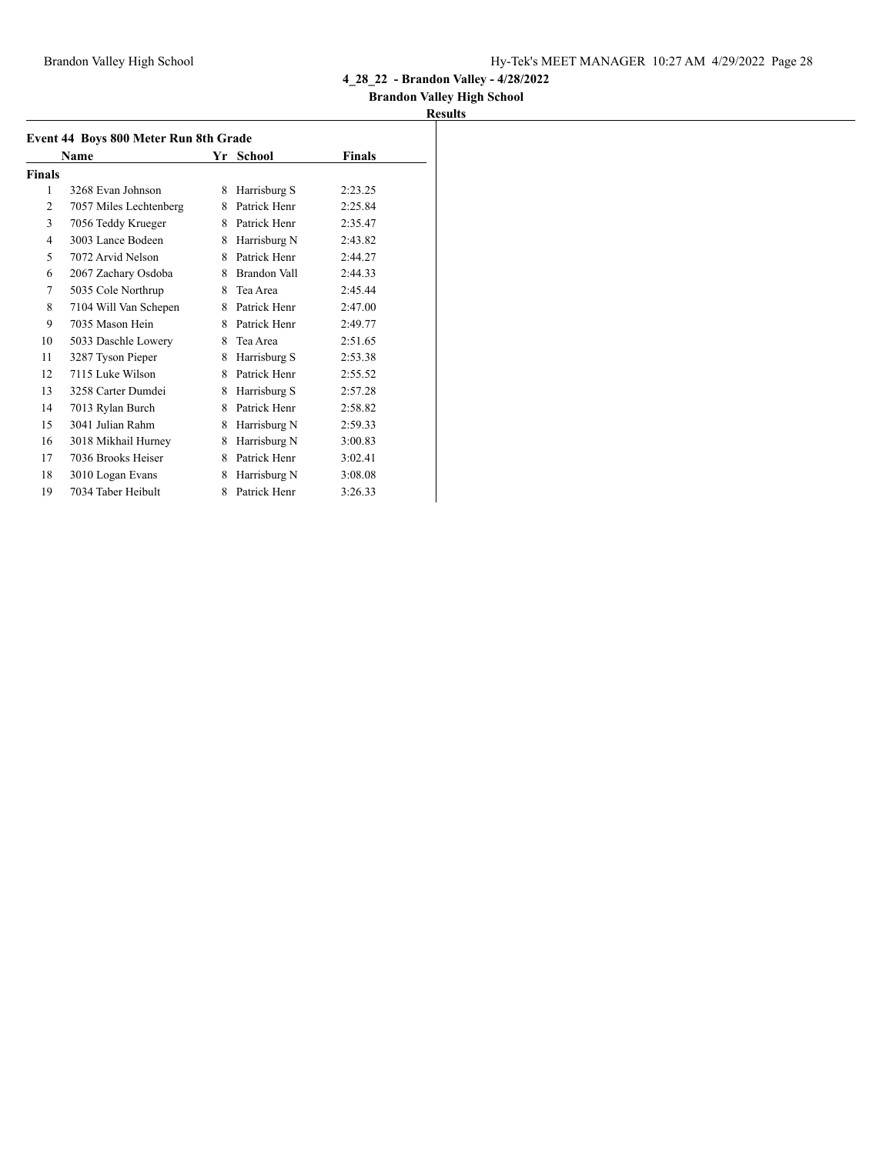### **Brandon Valley High School**

| Event 44 Boys 800 Meter Run 8th Grade |                        |    |               |         |  |
|---------------------------------------|------------------------|----|---------------|---------|--|
|                                       | Name                   | Yr | <b>School</b> | Finals  |  |
| <b>Finals</b>                         |                        |    |               |         |  |
| 1                                     | 3268 Evan Johnson      | 8  | Harrisburg S  | 2:23.25 |  |
| $\overline{2}$                        | 7057 Miles Lechtenberg | 8  | Patrick Henr  | 2:25.84 |  |
| 3                                     | 7056 Teddy Krueger     | 8  | Patrick Henr  | 2:35.47 |  |
| 4                                     | 3003 Lance Bodeen      | 8  | Harrisburg N  | 2:43.82 |  |
| 5                                     | 7072 Arvid Nelson      | 8  | Patrick Henr  | 2:44.27 |  |
| 6                                     | 2067 Zachary Osdoba    | 8  | Brandon Vall  | 2:44.33 |  |
| 7                                     | 5035 Cole Northrup     | 8  | Tea Area      | 2:45.44 |  |
| 8                                     | 7104 Will Van Schepen  | 8  | Patrick Henr  | 2:47.00 |  |
| 9                                     | 7035 Mason Hein        | 8  | Patrick Henr  | 2:49.77 |  |
| 10                                    | 5033 Daschle Lowery    | 8  | Tea Area      | 2:51.65 |  |
| 11                                    | 3287 Tyson Pieper      | 8  | Harrisburg S  | 2:53.38 |  |
| 12                                    | 7115 Luke Wilson       | 8  | Patrick Henr  | 2:55.52 |  |
| 13                                    | 3258 Carter Dumdei     | 8  | Harrisburg S  | 2:57.28 |  |
| 14                                    | 7013 Rylan Burch       | 8  | Patrick Henr  | 2:58.82 |  |
| 15                                    | 3041 Julian Rahm       | 8  | Harrisburg N  | 2:59.33 |  |
| 16                                    | 3018 Mikhail Hurney    | 8  | Harrisburg N  | 3:00.83 |  |
| 17                                    | 7036 Brooks Heiser     | 8  | Patrick Henr  | 3:02.41 |  |
| 18                                    | 3010 Logan Evans       | 8  | Harrisburg N  | 3:08.08 |  |
| 19                                    | 7034 Taber Heibult     | 8  | Patrick Henr  | 3:26.33 |  |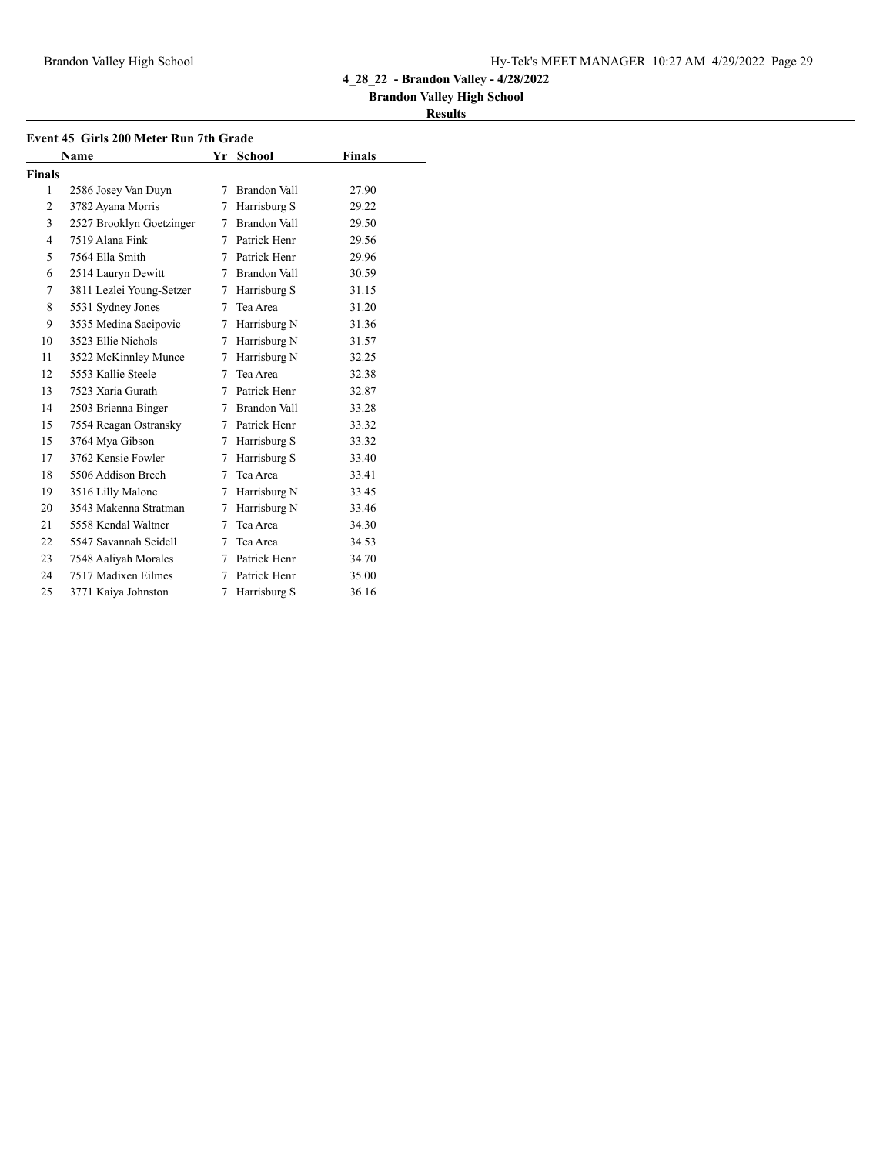### **Brandon Valley High School**

|               | Name                     |   | Yr School      | <b>Finals</b> |
|---------------|--------------------------|---|----------------|---------------|
| <b>Finals</b> |                          |   |                |               |
| 1             | 2586 Josey Van Duyn      | 7 | Brandon Vall   | 27.90         |
| 2             | 3782 Ayana Morris        | 7 | Harrisburg S   | 29.22         |
| 3             | 2527 Brooklyn Goetzinger | 7 | Brandon Vall   | 29.50         |
| 4             | 7519 Alana Fink          | 7 | Patrick Henr   | 29.56         |
| 5             | 7564 Ella Smith          |   | 7 Patrick Henr | 29.96         |
| 6             | 2514 Lauryn Dewitt       | 7 | Brandon Vall   | 30.59         |
| 7             | 3811 Lezlei Young-Setzer | 7 | Harrisburg S   | 31.15         |
| 8             | 5531 Sydney Jones        |   | 7 Tea Area     | 31.20         |
| 9             | 3535 Medina Sacipovic    | 7 | Harrisburg N   | 31.36         |
| 10            | 3523 Ellie Nichols       | 7 | Harrisburg N   | 31.57         |
| 11            | 3522 McKinnley Munce     | 7 | Harrisburg N   | 32.25         |
| 12            | 5553 Kallie Steele       | 7 | Tea Area       | 32.38         |
| 13            | 7523 Xaria Gurath        | 7 | Patrick Henr   | 32.87         |
| 14            | 2503 Brienna Binger      |   | 7 Brandon Vall | 33.28         |
| 15            | 7554 Reagan Ostransky    |   | 7 Patrick Henr | 33.32         |
| 15            | 3764 Mya Gibson          | 7 | Harrisburg S   | 33.32         |
| 17            | 3762 Kensie Fowler       | 7 | Harrisburg S   | 33.40         |
| 18            | 5506 Addison Brech       | 7 | Tea Area       | 33.41         |
| 19            | 3516 Lilly Malone        | 7 | Harrisburg N   | 33.45         |
| 20            | 3543 Makenna Stratman    | 7 | Harrisburg N   | 33.46         |
| 21            | 5558 Kendal Waltner      | 7 | Tea Area       | 34.30         |
| 22            | 5547 Savannah Seidell    | 7 | Tea Area       | 34.53         |
| 23            | 7548 Aaliyah Morales     | 7 | Patrick Henr   | 34.70         |
| 24            | 7517 Madixen Eilmes      | 7 | Patrick Henr   | 35.00         |
| 25            | 3771 Kaiya Johnston      | 7 | Harrisburg S   | 36.16         |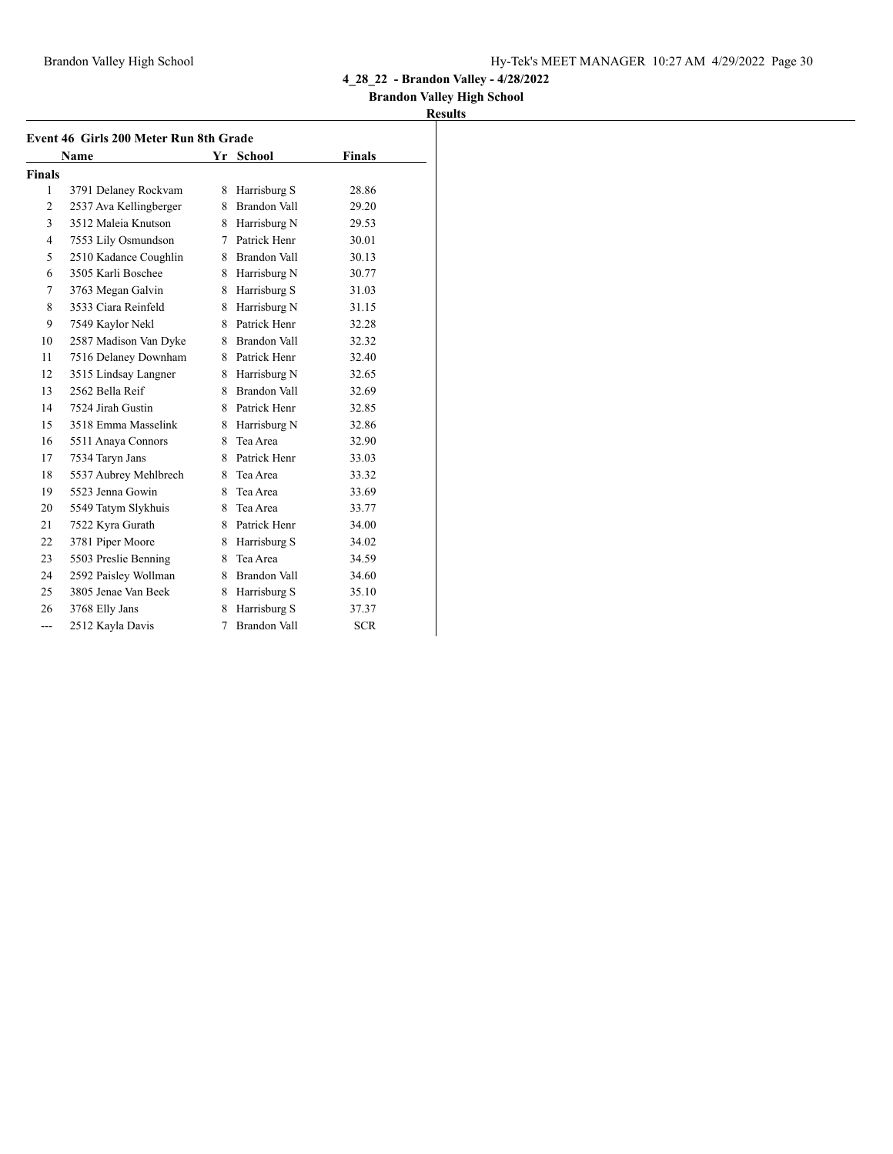### **Brandon Valley High School**

|                | Event 46 Girls 200 Meter Run 8th Grade |    |                     |               |  |
|----------------|----------------------------------------|----|---------------------|---------------|--|
|                | <b>Name</b>                            |    | Yr School           | <b>Finals</b> |  |
| <b>Finals</b>  |                                        |    |                     |               |  |
| 1              | 3791 Delaney Rockvam                   |    | 8 Harrisburg S      | 28.86         |  |
| 2              | 2537 Ava Kellingberger                 |    | 8 Brandon Vall      | 29.20         |  |
| 3              | 3512 Maleia Knutson                    |    | 8 Harrisburg N      | 29.53         |  |
| $\overline{4}$ | 7553 Lily Osmundson                    |    | 7 Patrick Henr      | 30.01         |  |
| 5              | 2510 Kadance Coughlin                  |    | 8 Brandon Vall      | 30.13         |  |
| 6              | 3505 Karli Boschee                     |    | 8 Harrisburg N      | 30.77         |  |
| 7              | 3763 Megan Galvin                      | 8  | Harrisburg S        | 31.03         |  |
| 8              | 3533 Ciara Reinfeld                    |    | 8 Harrisburg N      | 31.15         |  |
| 9              | 7549 Kaylor Nekl                       |    | 8 Patrick Henr      | 32.28         |  |
| 10             | 2587 Madison Van Dyke                  |    | 8 Brandon Vall      | 32.32         |  |
| 11             | 7516 Delaney Downham                   |    | 8 Patrick Henr      | 32.40         |  |
| 12             | 3515 Lindsay Langner                   |    | 8 Harrisburg N      | 32.65         |  |
| 13             | 2562 Bella Reif                        |    | 8 Brandon Vall      | 32.69         |  |
| 14             | 7524 Jirah Gustin                      |    | 8 Patrick Henr      | 32.85         |  |
| 15             | 3518 Emma Masselink                    |    | 8 Harrisburg N      | 32.86         |  |
| 16             | 5511 Anaya Connors                     | 8. | Tea Area            | 32.90         |  |
| 17             | 7534 Taryn Jans                        |    | 8 Patrick Henr      | 33.03         |  |
| 18             | 5537 Aubrey Mehlbrech                  | 8  | Tea Area            | 33.32         |  |
| 19             | 5523 Jenna Gowin                       | 8. | Tea Area            | 33.69         |  |
| 20             | 5549 Tatym Slykhuis                    | 8. | Tea Area            | 33.77         |  |
| 21             | 7522 Kyra Gurath                       |    | 8 Patrick Henr      | 34.00         |  |
| 22             | 3781 Piper Moore                       |    | 8 Harrisburg S      | 34.02         |  |
| 23             | 5503 Preslie Benning                   | 8. | Tea Area            | 34.59         |  |
| 24             | 2592 Paisley Wollman                   |    | 8 Brandon Vall      | 34.60         |  |
| 25             | 3805 Jenae Van Beek                    |    | 8 Harrisburg S      | 35.10         |  |
| 26             | 3768 Elly Jans                         | 8. | Harrisburg S        | 37.37         |  |
| ---            | 2512 Kayla Davis                       | 7  | <b>Brandon Vall</b> | <b>SCR</b>    |  |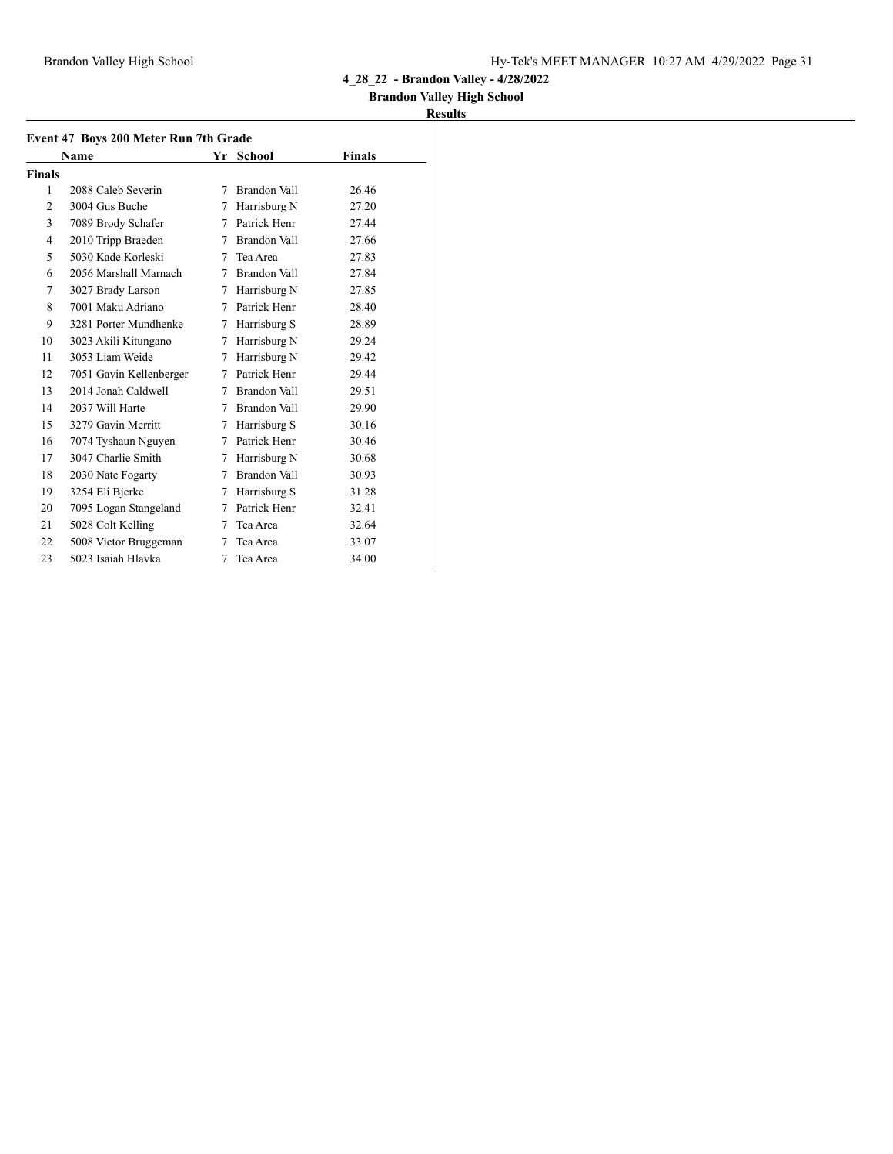### **Brandon Valley High School**

|                | Event 47 Boys 200 Meter Run 7th Grade<br>Name |   | Yr School           | <b>Finals</b> |
|----------------|-----------------------------------------------|---|---------------------|---------------|
| <b>Finals</b>  |                                               |   |                     |               |
| 1              | 2088 Caleb Severin                            | 7 | <b>Brandon Vall</b> | 26.46         |
| $\overline{c}$ | 3004 Gus Buche                                | 7 | Harrisburg N        | 27.20         |
| 3              | 7089 Brody Schafer                            | 7 | Patrick Henr        | 27.44         |
| 4              | 2010 Tripp Braeden                            | 7 | Brandon Vall        | 27.66         |
| 5              | 5030 Kade Korleski                            | 7 | Tea Area            | 27.83         |
| 6              | 2056 Marshall Marnach                         | 7 | Brandon Vall        | 27.84         |
| 7              | 3027 Brady Larson                             | 7 | Harrisburg N        | 27.85         |
| 8              | 7001 Maku Adriano                             | 7 | Patrick Henr        | 28.40         |
| 9              | 3281 Porter Mundhenke                         | 7 | Harrisburg S        | 28.89         |
| 10             | 3023 Akili Kitungano                          | 7 | Harrisburg N        | 29.24         |
| 11             | 3053 Liam Weide                               | 7 | Harrisburg N        | 29.42         |
| 12             | 7051 Gavin Kellenberger                       | 7 | Patrick Henr        | 29.44         |
| 13             | 2014 Jonah Caldwell                           | 7 | <b>Brandon Vall</b> | 29.51         |
| 14             | 2037 Will Harte                               | 7 | Brandon Vall        | 29.90         |
| 15             | 3279 Gavin Merritt                            | 7 | Harrisburg S        | 30.16         |
| 16             | 7074 Tyshaun Nguyen                           | 7 | Patrick Henr        | 30.46         |
| 17             | 3047 Charlie Smith                            | 7 | Harrisburg N        | 30.68         |
| 18             | 2030 Nate Fogarty                             | 7 | Brandon Vall        | 30.93         |
| 19             | 3254 Eli Bjerke                               | 7 | Harrisburg S        | 31.28         |
| 20             | 7095 Logan Stangeland                         | 7 | Patrick Henr        | 32.41         |
| 21             | 5028 Colt Kelling                             | 7 | Tea Area            | 32.64         |
| 22             | 5008 Victor Bruggeman                         | 7 | Tea Area            | 33.07         |
| 23             | 5023 Isaiah Hlavka                            | 7 | Tea Area            | 34.00         |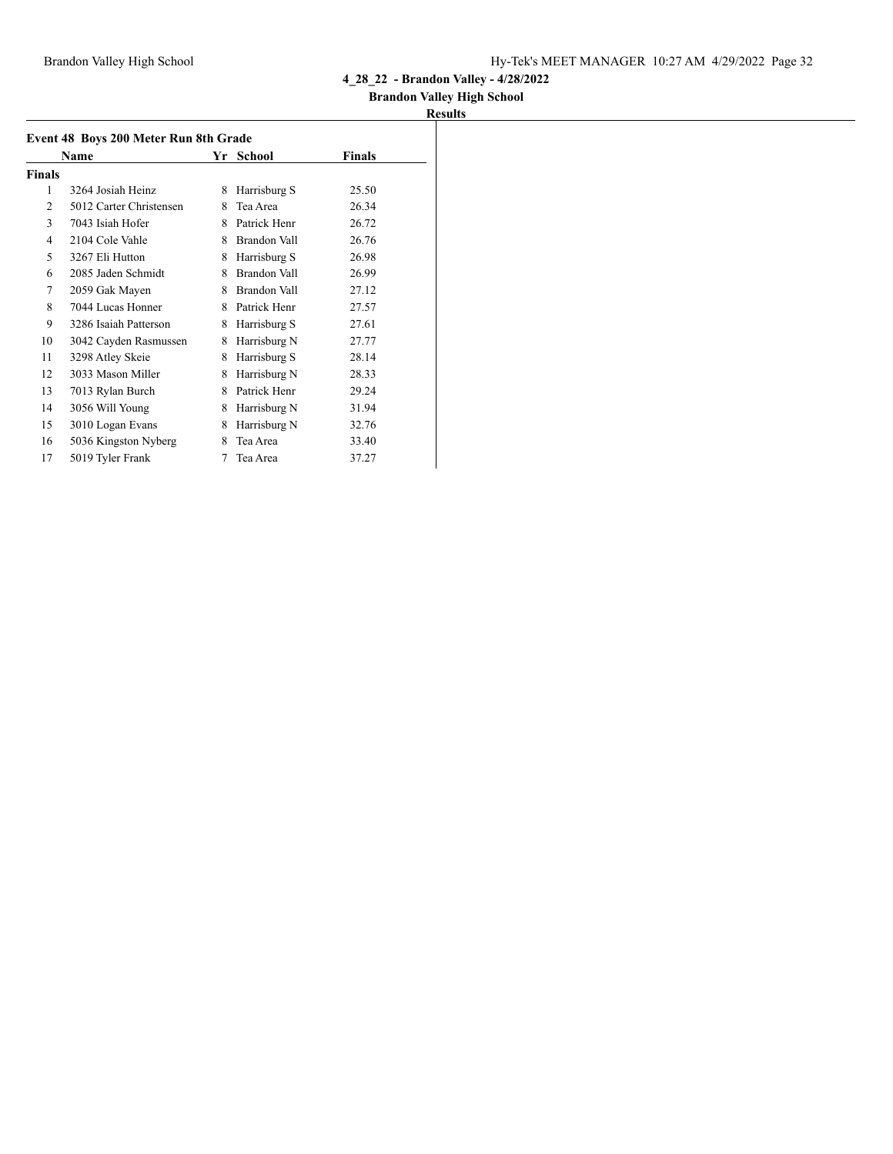### **Brandon Valley High School**

|                | Event 48 Boys 200 Meter Run 8th Grade<br>Name | Yr | <b>School</b>       | Finals |
|----------------|-----------------------------------------------|----|---------------------|--------|
|                |                                               |    |                     |        |
| <b>Finals</b>  |                                               |    |                     |        |
| 1              | 3264 Josiah Heinz                             | 8  | Harrisburg S        | 25.50  |
| $\overline{c}$ | 5012 Carter Christensen                       | 8  | Tea Area            | 26.34  |
| 3              | 7043 Isiah Hofer                              | 8  | Patrick Henr        | 26.72  |
| 4              | 2104 Cole Vahle                               | 8  | Brandon Vall        | 26.76  |
| 5              | 3267 Eli Hutton                               | 8  | Harrisburg S        | 26.98  |
| 6              | 2085 Jaden Schmidt                            | 8  | <b>Brandon Vall</b> | 26.99  |
| 7              | 2059 Gak Mayen                                | 8  | Brandon Vall        | 27.12  |
| 8              | 7044 Lucas Honner                             | 8  | Patrick Henr        | 27.57  |
| 9              | 3286 Isaiah Patterson                         | 8  | Harrisburg S        | 27.61  |
| 10             | 3042 Cayden Rasmussen                         | 8  | Harrisburg N        | 27.77  |
| 11             | 3298 Atley Skeie                              | 8  | Harrisburg S        | 28.14  |
| 12             | 3033 Mason Miller                             | 8  | Harrisburg N        | 28.33  |
| 13             | 7013 Rylan Burch                              | 8  | Patrick Henr        | 29.24  |
| 14             | 3056 Will Young                               | 8  | Harrisburg N        | 31.94  |
| 15             | 3010 Logan Evans                              | 8  | Harrisburg N        | 32.76  |
| 16             | 5036 Kingston Nyberg                          | 8  | Tea Area            | 33.40  |
| 17             | 5019 Tyler Frank                              | 7  | Tea Area            | 37.27  |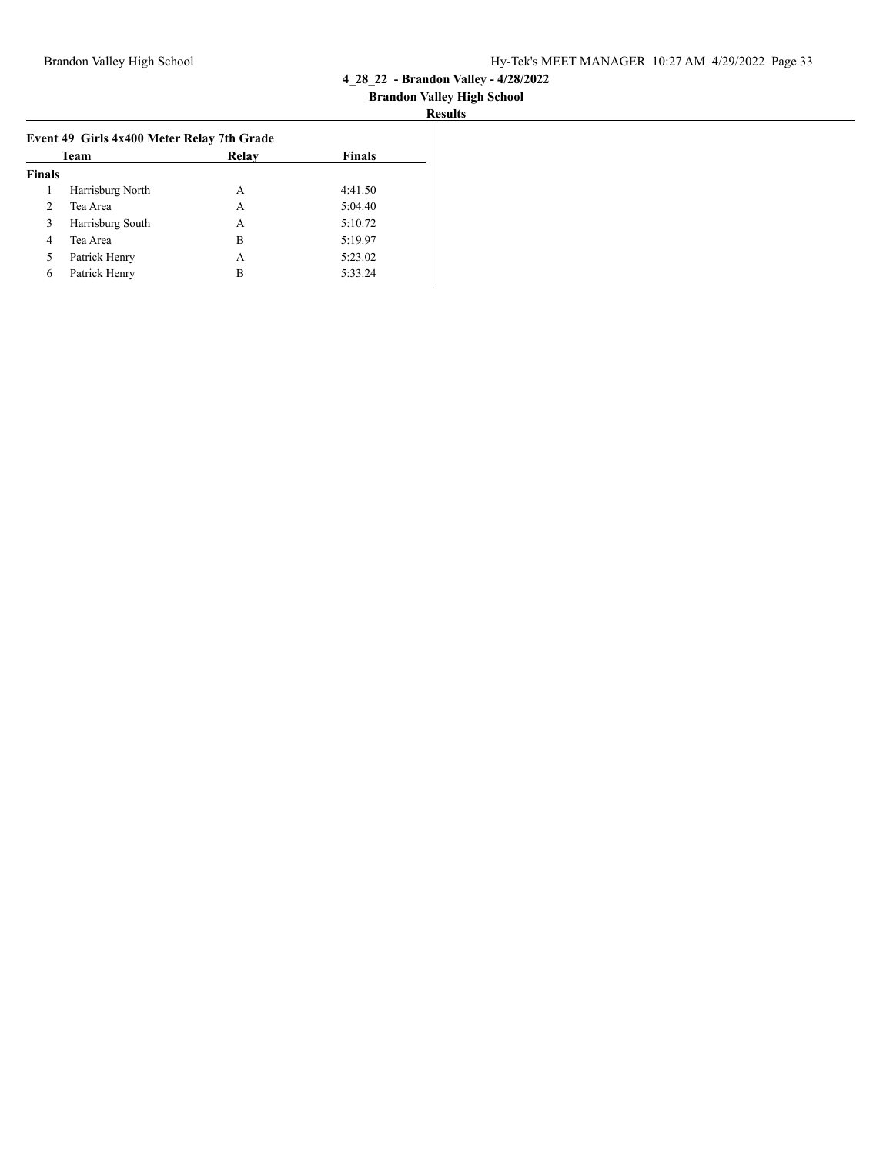|                | Team             | Relay | <b>Finals</b> |
|----------------|------------------|-------|---------------|
| <b>Finals</b>  |                  |       |               |
|                | Harrisburg North | A     | 4:41.50       |
| $\overline{2}$ | Tea Area         | A     | 5:04.40       |
| 3              | Harrisburg South | А     | 5:10.72       |
| 4              | Tea Area         | в     | 5:19.97       |
| 5              | Patrick Henry    | А     | 5:23.02       |
| 6              | Patrick Henry    | В     | 5:33.24       |
|                |                  |       |               |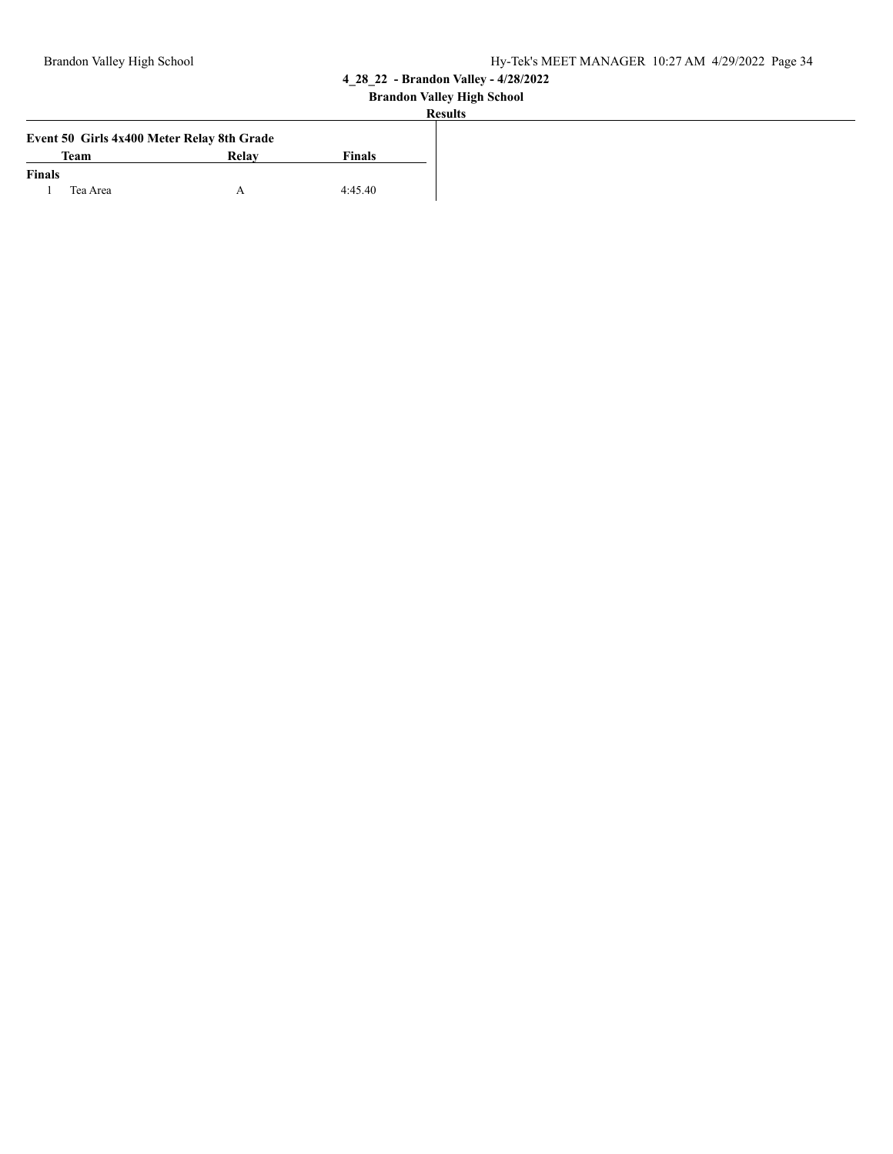| SUD. |
|------|
|------|

|               |             | Event 50 Girls 4x400 Meter Relay 8th Grade |         |
|---------------|-------------|--------------------------------------------|---------|
|               | <b>Team</b> | Relay                                      | Finals  |
| <b>Finals</b> |             |                                            |         |
|               | Tea Area    |                                            | 4:45.40 |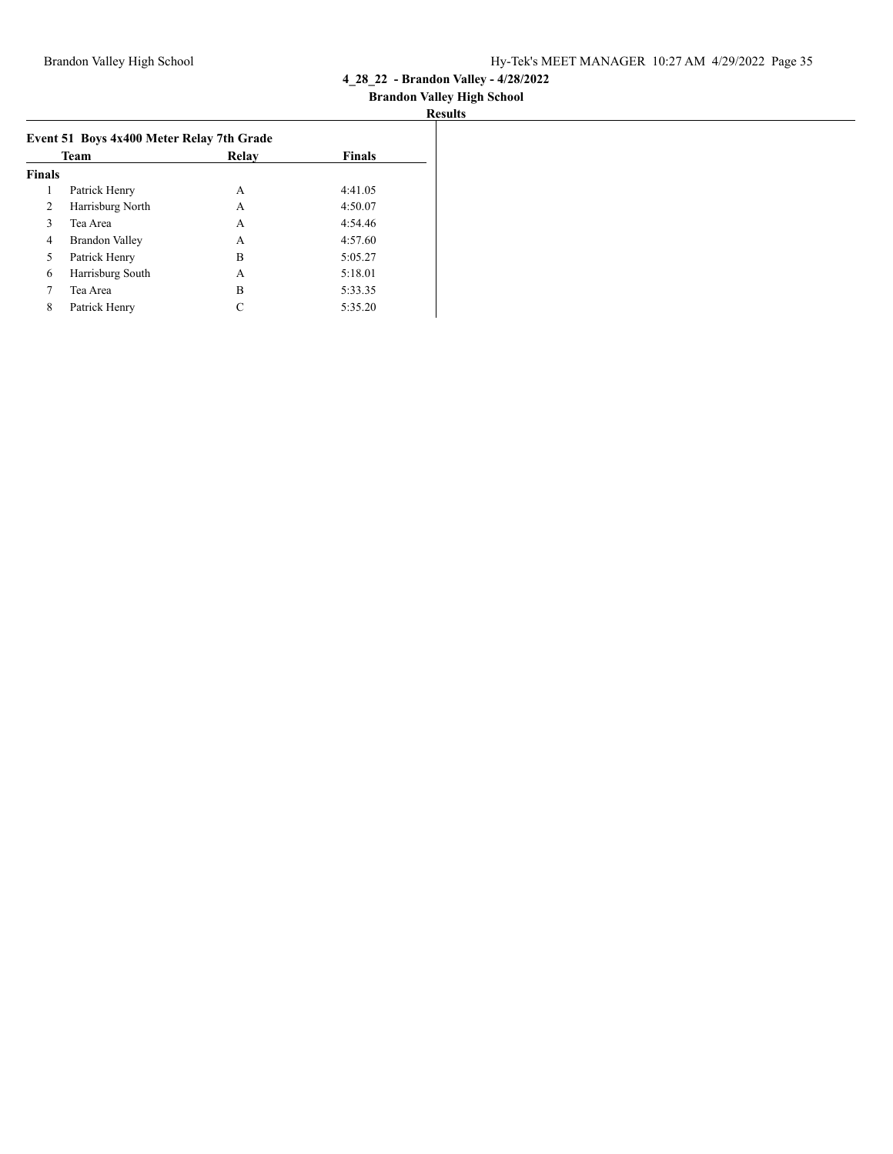| Results |
|---------|
|---------|

|               | Team             | Relav | <b>Finals</b> |
|---------------|------------------|-------|---------------|
| <b>Finals</b> |                  |       |               |
| 1             | Patrick Henry    | A     | 4:41.05       |
| 2             | Harrisburg North | A     | 4:50.07       |
| 3             | Tea Area         | А     | 4:54.46       |
| 4             | Brandon Valley   | А     | 4:57.60       |
| 5             | Patrick Henry    | B     | 5:05.27       |
| 6             | Harrisburg South | A     | 5:18.01       |
| 7             | Tea Area         | B     | 5:33.35       |
| 8             | Patrick Henry    | C     | 5:35.20       |
|               |                  |       |               |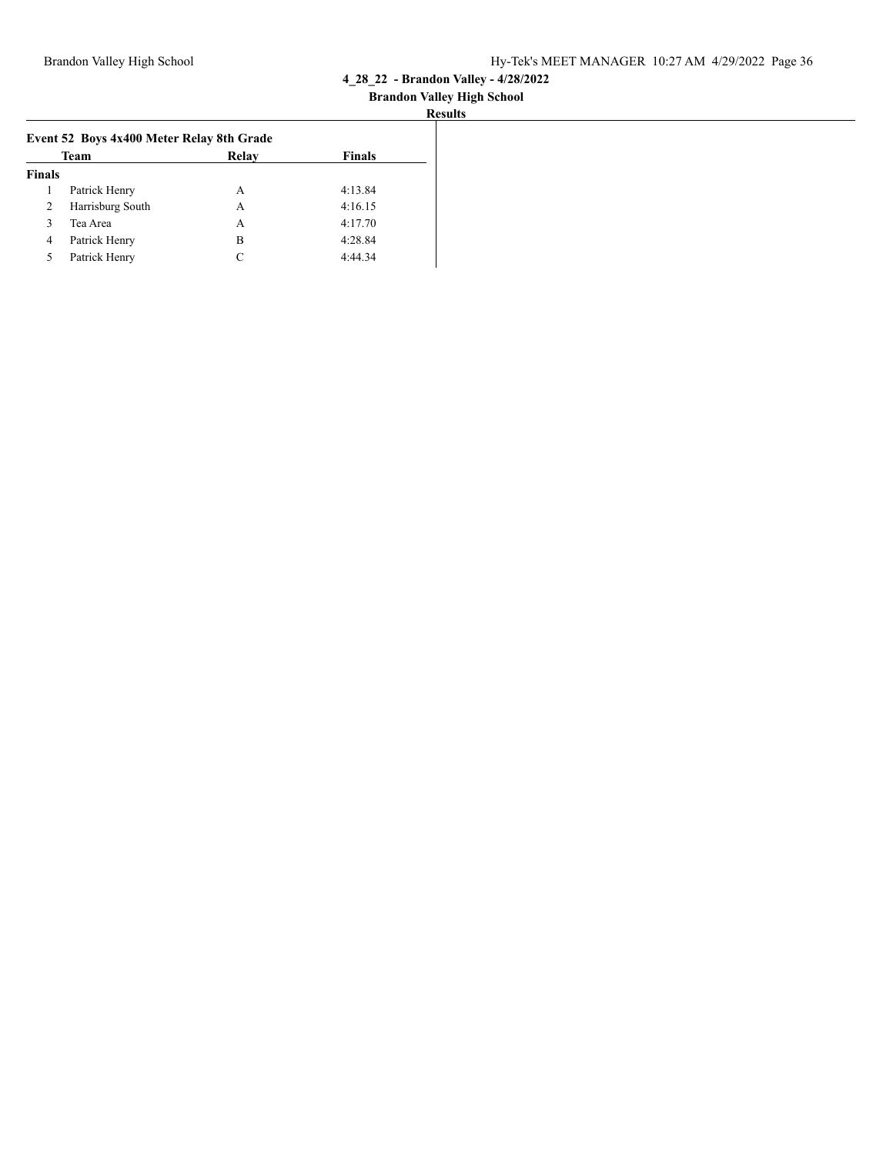| Results |
|---------|
|---------|

|                | Team             | Relay         | <b>Finals</b> |  |
|----------------|------------------|---------------|---------------|--|
| <b>Finals</b>  |                  |               |               |  |
|                | Patrick Henry    | A             | 4:13.84       |  |
| $\overline{2}$ | Harrisburg South | A             | 4:16.15       |  |
| 3              | Tea Area         | A             | 4:17.70       |  |
| 4              | Patrick Henry    | В             | 4:28.84       |  |
| 5              | Patrick Henry    | $\mathcal{C}$ | 4:44.34       |  |
|                |                  |               |               |  |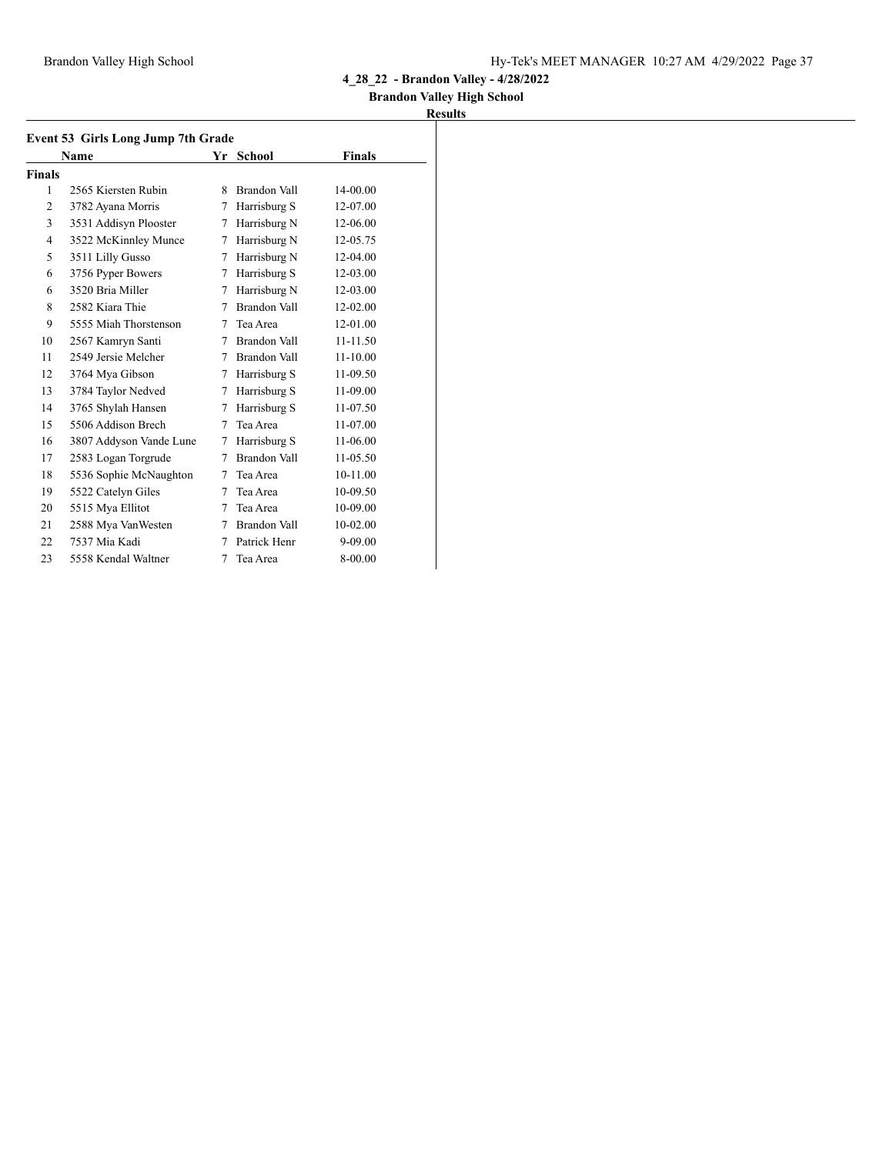### **Brandon Valley High School**

|                | Event 53 Girls Long Jump 7th Grade |   |                     |              |  |  |  |
|----------------|------------------------------------|---|---------------------|--------------|--|--|--|
|                | Name                               |   | Yr School           | Finals       |  |  |  |
| <b>Finals</b>  |                                    |   |                     |              |  |  |  |
| 1              | 2565 Kiersten Rubin                | 8 | Brandon Vall        | 14-00.00     |  |  |  |
| $\overline{c}$ | 3782 Ayana Morris                  | 7 | Harrisburg S        | 12-07.00     |  |  |  |
| 3              | 3531 Addisyn Plooster              | 7 | Harrisburg N        | 12-06.00     |  |  |  |
| 4              | 3522 McKinnley Munce               | 7 | Harrisburg N        | 12-05.75     |  |  |  |
| 5              | 3511 Lilly Gusso                   | 7 | Harrisburg N        | 12-04.00     |  |  |  |
| 6              | 3756 Pyper Bowers                  | 7 | Harrisburg S        | 12-03.00     |  |  |  |
| 6              | 3520 Bria Miller                   | 7 | Harrisburg N        | 12-03.00     |  |  |  |
| 8              | 2582 Kiara Thie                    | 7 | Brandon Vall        | 12-02.00     |  |  |  |
| 9              | 5555 Miah Thorstenson              | 7 | Tea Area            | 12-01.00     |  |  |  |
| 10             | 2567 Kamryn Santi                  | 7 | Brandon Vall        | 11-11.50     |  |  |  |
| 11             | 2549 Jersie Melcher                | 7 | <b>Brandon Vall</b> | $11 - 10.00$ |  |  |  |
| 12             | 3764 Mya Gibson                    | 7 | Harrisburg S        | 11-09.50     |  |  |  |
| 13             | 3784 Taylor Nedved                 | 7 | Harrisburg S        | 11-09.00     |  |  |  |
| 14             | 3765 Shylah Hansen                 | 7 | Harrisburg S        | 11-07.50     |  |  |  |
| 15             | 5506 Addison Brech                 | 7 | Tea Area            | 11-07.00     |  |  |  |
| 16             | 3807 Addyson Vande Lune            | 7 | Harrisburg S        | 11-06.00     |  |  |  |
| 17             | 2583 Logan Torgrude                | 7 | <b>Brandon Vall</b> | 11-05.50     |  |  |  |
| 18             | 5536 Sophie McNaughton             | 7 | Tea Area            | 10-11.00     |  |  |  |
| 19             | 5522 Catelyn Giles                 | 7 | Tea Area            | 10-09.50     |  |  |  |
| 20             | 5515 Mya Ellitot                   | 7 | Tea Area            | 10-09.00     |  |  |  |
| 21             | 2588 Mya VanWesten                 | 7 | Brandon Vall        | 10-02.00     |  |  |  |
| 22             | 7537 Mia Kadi                      | 7 | Patrick Henr        | 9-09.00      |  |  |  |
| 23             | 5558 Kendal Waltner                | 7 | Tea Area            | 8-00.00      |  |  |  |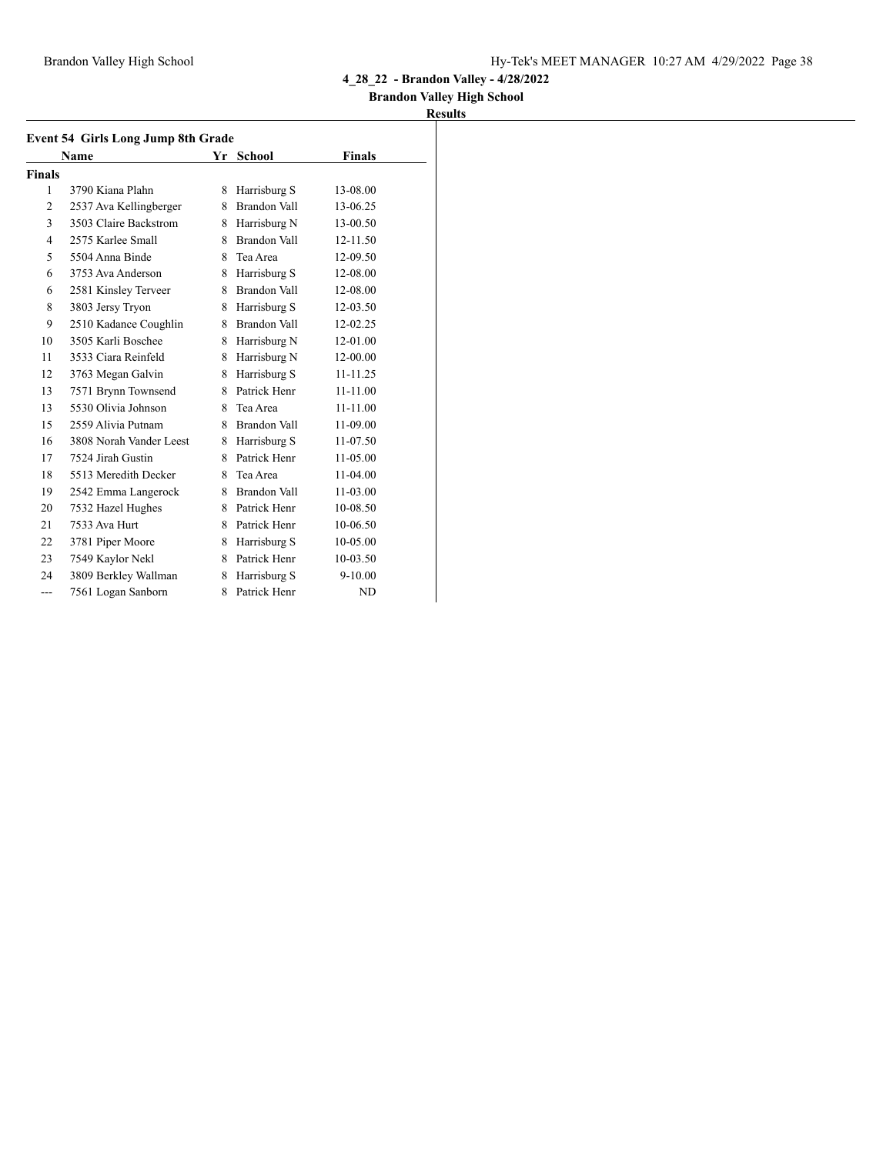### **Brandon Valley High School**

|                | Name                    |    | Yr School    | <b>Finals</b> |
|----------------|-------------------------|----|--------------|---------------|
| <b>Finals</b>  |                         |    |              |               |
| 1              | 3790 Kiana Plahn        | 8  | Harrisburg S | 13-08.00      |
| 2              | 2537 Ava Kellingberger  | 8  | Brandon Vall | 13-06.25      |
| 3              | 3503 Claire Backstrom   | 8. | Harrisburg N | 13-00.50      |
| $\overline{4}$ | 2575 Karlee Small       | 8  | Brandon Vall | 12-11.50      |
| 5              | 5504 Anna Binde         | 8  | Tea Area     | 12-09.50      |
| 6              | 3753 Ava Anderson       | 8  | Harrisburg S | 12-08.00      |
| 6              | 2581 Kinsley Terveer    | 8  | Brandon Vall | 12-08.00      |
| 8              | 3803 Jersy Tryon        | 8  | Harrisburg S | 12-03.50      |
| 9              | 2510 Kadance Coughlin   | 8  | Brandon Vall | 12-02.25      |
| 10             | 3505 Karli Boschee      | 8  | Harrisburg N | 12-01.00      |
| 11             | 3533 Ciara Reinfeld     | 8  | Harrisburg N | 12-00.00      |
| 12             | 3763 Megan Galvin       | 8  | Harrisburg S | 11-11.25      |
| 13             | 7571 Brynn Townsend     | 8  | Patrick Henr | 11-11.00      |
| 13             | 5530 Olivia Johnson     | 8  | Tea Area     | 11-11.00      |
| 15             | 2559 Alivia Putnam      | 8  | Brandon Vall | 11-09.00      |
| 16             | 3808 Norah Vander Leest | 8  | Harrisburg S | 11-07.50      |
| 17             | 7524 Jirah Gustin       | 8  | Patrick Henr | 11-05.00      |
| 18             | 5513 Meredith Decker    | 8  | Tea Area     | 11-04.00      |
| 19             | 2542 Emma Langerock     | 8  | Brandon Vall | 11-03.00      |
| 20             | 7532 Hazel Hughes       | 8  | Patrick Henr | 10-08.50      |
| 21             | 7533 Ava Hurt           | 8  | Patrick Henr | 10-06.50      |
| 22             | 3781 Piper Moore        | 8  | Harrisburg S | 10-05.00      |
| 23             | 7549 Kaylor Nekl        | 8  | Patrick Henr | 10-03.50      |
| 24             | 3809 Berkley Wallman    | 8  | Harrisburg S | $9 - 10.00$   |
| $---$          | 7561 Logan Sanborn      | 8  | Patrick Henr | ND            |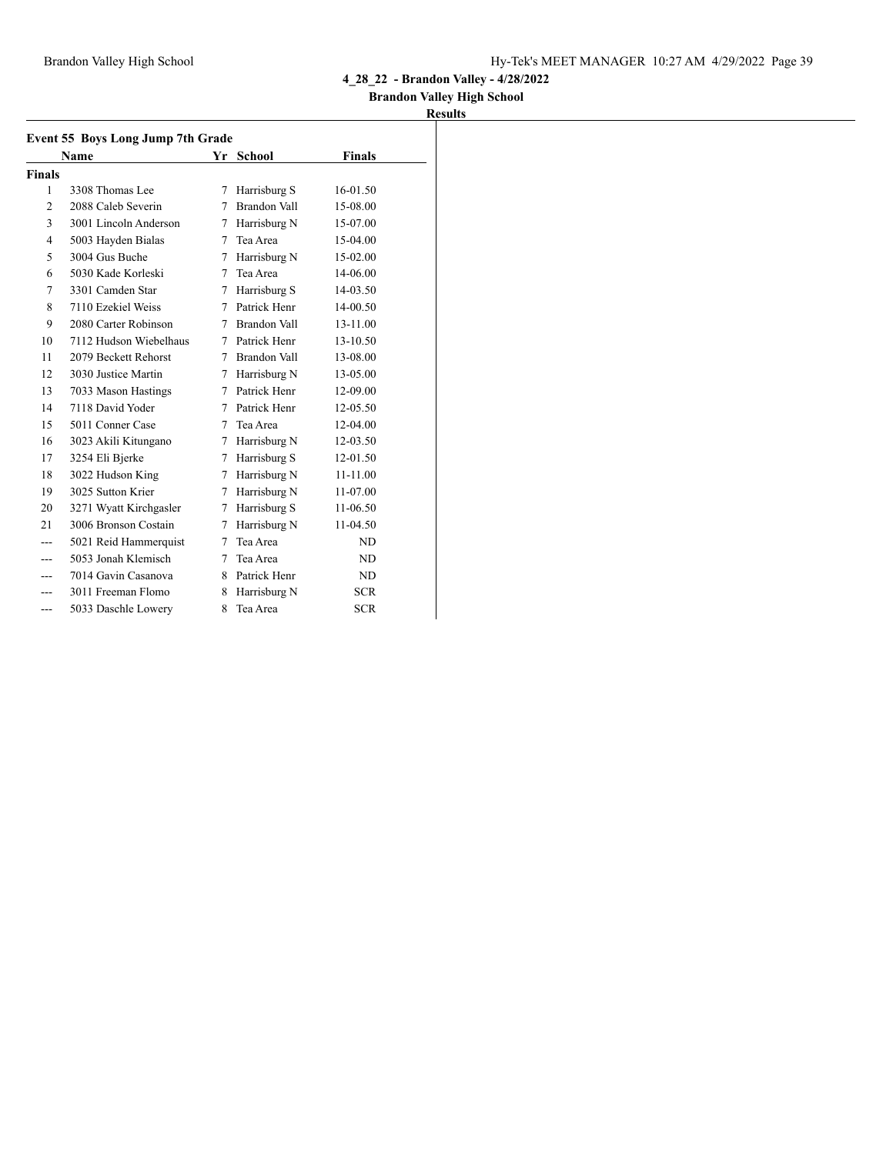### **Brandon Valley High School**

|                | Event 55 Boys Long Jump 7th Grade |        |                     |               |  |  |
|----------------|-----------------------------------|--------|---------------------|---------------|--|--|
|                | <b>Name</b>                       |        | Yr School           | <b>Finals</b> |  |  |
| Finals         |                                   |        |                     |               |  |  |
| 1              | 3308 Thomas Lee                   | 7      | Harrisburg S        | 16-01.50      |  |  |
| 2              | 2088 Caleb Severin                | 7      | <b>Brandon Vall</b> | 15-08.00      |  |  |
| 3              | 3001 Lincoln Anderson             | 7      | Harrisburg N        | 15-07.00      |  |  |
| $\overline{4}$ | 5003 Hayden Bialas                | 7      | Tea Area            | 15-04.00      |  |  |
| 5              | 3004 Gus Buche                    | 7      | Harrisburg N        | 15-02.00      |  |  |
| 6              | 5030 Kade Korleski                | 7      | Tea Area            | 14-06.00      |  |  |
| 7              | 3301 Camden Star                  | 7      | Harrisburg S        | 14-03.50      |  |  |
| 8              | 7110 Ezekiel Weiss                | 7      | Patrick Henr        | 14-00.50      |  |  |
| 9              | 2080 Carter Robinson              | 7      | <b>Brandon Vall</b> | 13-11.00      |  |  |
| 10             | 7112 Hudson Wiebelhaus            | 7      | Patrick Henr        | 13-10.50      |  |  |
| 11             | 2079 Beckett Rehorst              | 7      | <b>Brandon Vall</b> | 13-08.00      |  |  |
| 12             | 3030 Justice Martin               | $\tau$ | Harrisburg N        | 13-05.00      |  |  |
| 13             | 7033 Mason Hastings               | 7      | Patrick Henr        | 12-09.00      |  |  |
| 14             | 7118 David Yoder                  | 7      | Patrick Henr        | 12-05.50      |  |  |
| 15             | 5011 Conner Case                  | 7      | Tea Area            | 12-04.00      |  |  |
| 16             | 3023 Akili Kitungano              | 7      | Harrisburg N        | 12-03.50      |  |  |
| 17             | 3254 Eli Bjerke                   | 7      | Harrisburg S        | 12-01.50      |  |  |
| 18             | 3022 Hudson King                  | 7      | Harrisburg N        | 11-11.00      |  |  |
| 19             | 3025 Sutton Krier                 | 7      | Harrisburg N        | 11-07.00      |  |  |
| 20             | 3271 Wyatt Kirchgasler            | 7      | Harrisburg S        | 11-06.50      |  |  |
| 21             | 3006 Bronson Costain              | 7      | Harrisburg N        | 11-04.50      |  |  |
|                | 5021 Reid Hammerquist             | 7      | Tea Area            | ND.           |  |  |
|                | 5053 Jonah Klemisch               | 7      | Tea Area            | ND            |  |  |
|                | 7014 Gavin Casanova               | 8      | Patrick Henr        | ND            |  |  |
|                | 3011 Freeman Flomo                | 8      | Harrisburg N        | <b>SCR</b>    |  |  |
| ---            | 5033 Daschle Lowery               | 8      | Tea Area            | <b>SCR</b>    |  |  |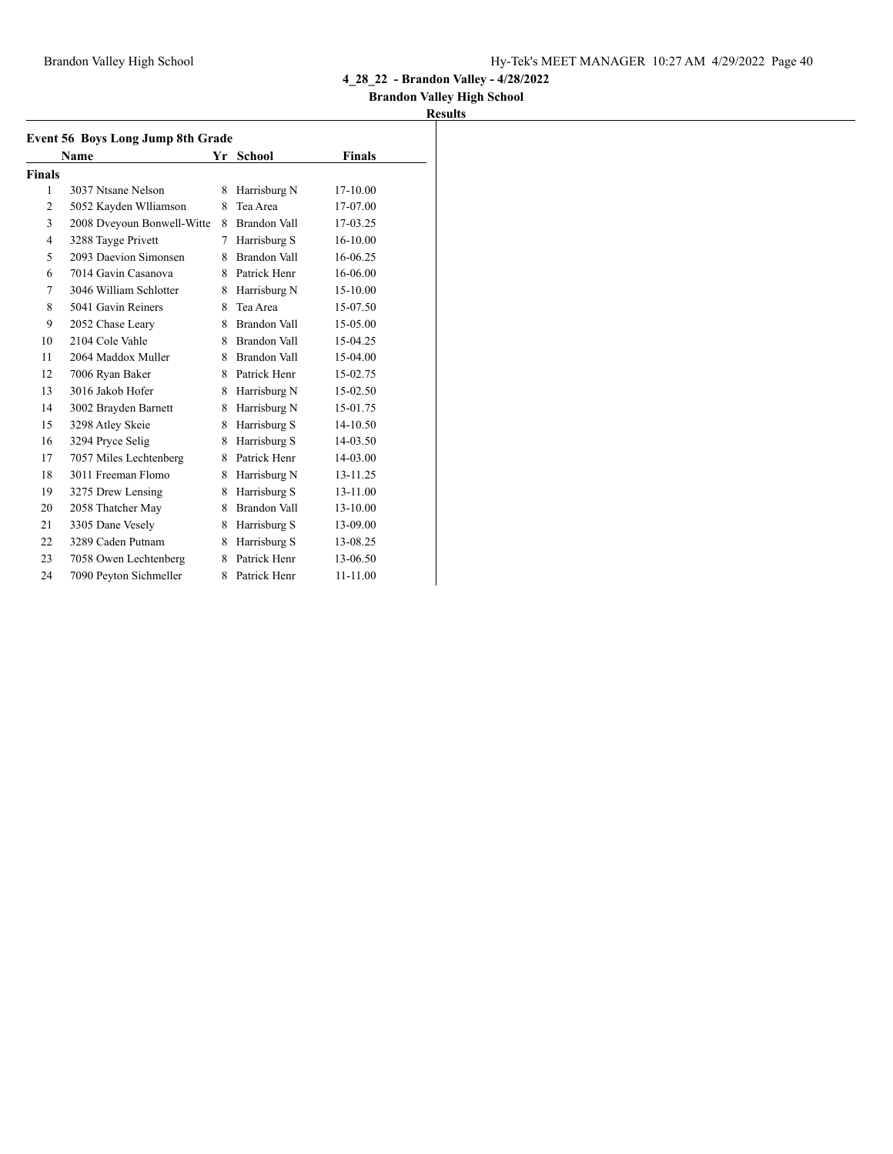### **Brandon Valley High School**

|                | <b>Event 56 Boys Long Jump 8th Grade</b> |    |               |               |  |  |  |
|----------------|------------------------------------------|----|---------------|---------------|--|--|--|
|                | Name                                     | Yr | <b>School</b> | <b>Finals</b> |  |  |  |
| Finals         |                                          |    |               |               |  |  |  |
| 1              | 3037 Ntsane Nelson                       | 8  | Harrisburg N  | 17-10.00      |  |  |  |
| $\overline{2}$ | 5052 Kayden Wlliamson                    | 8  | Tea Area      | 17-07.00      |  |  |  |
| 3              | 2008 Dveyoun Bonwell-Witte               | 8  | Brandon Vall  | 17-03.25      |  |  |  |
| $\overline{4}$ | 3288 Tayge Privett                       | 7  | Harrisburg S  | 16-10.00      |  |  |  |
| 5              | 2093 Daevion Simonsen                    | 8  | Brandon Vall  | 16-06.25      |  |  |  |
| 6              | 7014 Gavin Casanova                      | 8  | Patrick Henr  | 16-06.00      |  |  |  |
| 7              | 3046 William Schlotter                   | 8  | Harrisburg N  | 15-10.00      |  |  |  |
| 8              | 5041 Gavin Reiners                       | 8  | Tea Area      | 15-07.50      |  |  |  |
| 9              | 2052 Chase Leary                         | 8  | Brandon Vall  | 15-05.00      |  |  |  |
| 10             | 2104 Cole Vahle                          | 8  | Brandon Vall  | 15-04.25      |  |  |  |
| 11             | 2064 Maddox Muller                       | 8  | Brandon Vall  | 15-04.00      |  |  |  |
| 12             | 7006 Ryan Baker                          | 8  | Patrick Henr  | 15-02.75      |  |  |  |
| 13             | 3016 Jakob Hofer                         | 8  | Harrisburg N  | 15-02.50      |  |  |  |
| 14             | 3002 Brayden Barnett                     | 8  | Harrisburg N  | 15-01.75      |  |  |  |
| 15             | 3298 Atley Skeie                         | 8  | Harrisburg S  | 14-10.50      |  |  |  |
| 16             | 3294 Pryce Selig                         | 8  | Harrisburg S  | 14-03.50      |  |  |  |
| 17             | 7057 Miles Lechtenberg                   | 8  | Patrick Henr  | 14-03.00      |  |  |  |
| 18             | 3011 Freeman Flomo                       | 8  | Harrisburg N  | 13-11.25      |  |  |  |
| 19             | 3275 Drew Lensing                        | 8  | Harrisburg S  | 13-11.00      |  |  |  |
| 20             | 2058 Thatcher May                        | 8  | Brandon Vall  | 13-10.00      |  |  |  |
| 21             | 3305 Dane Vesely                         | 8  | Harrisburg S  | 13-09.00      |  |  |  |
| 22             | 3289 Caden Putnam                        | 8  | Harrisburg S  | 13-08.25      |  |  |  |
| 23             | 7058 Owen Lechtenberg                    | 8  | Patrick Henr  | 13-06.50      |  |  |  |
| 24             | 7090 Peyton Sichmeller                   | 8  | Patrick Henr  | 11-11.00      |  |  |  |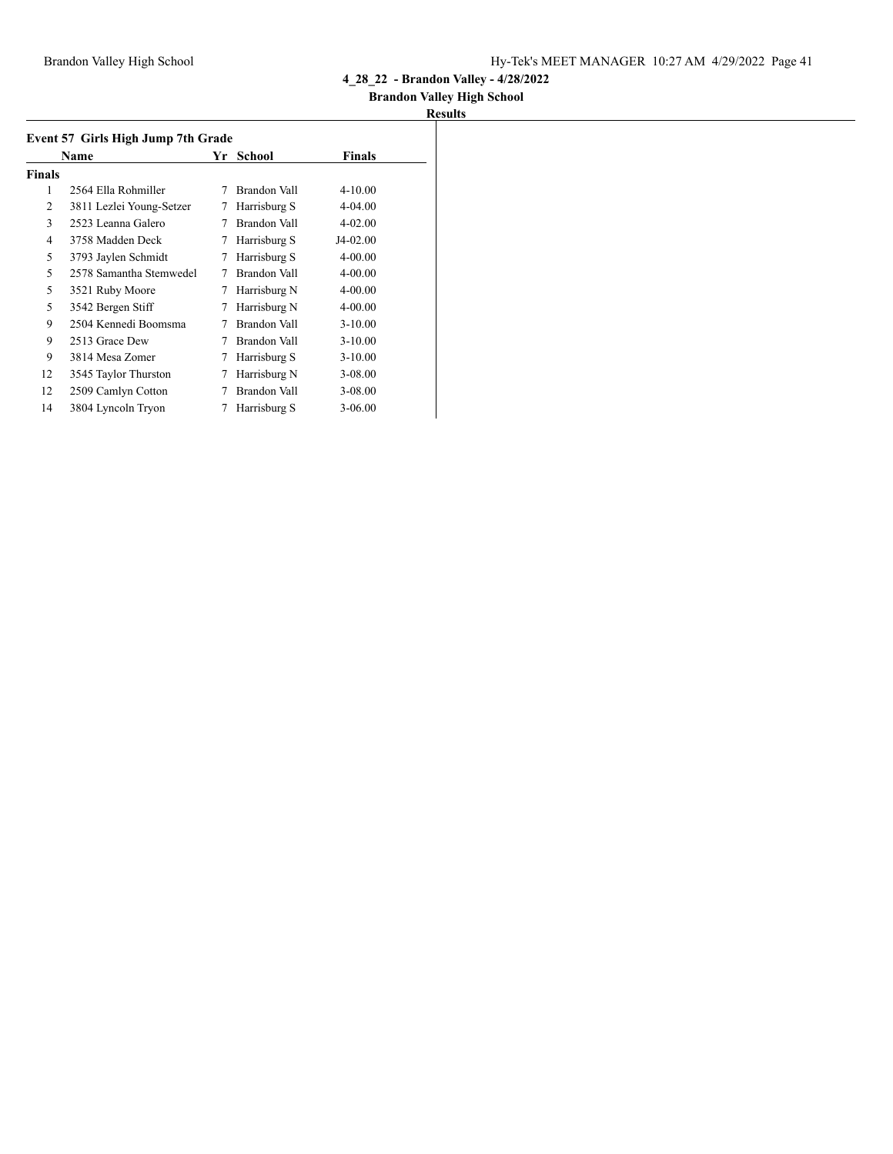## **Brandon Valley High School**

|               | Event 57 Girls High Jump 7th Grade |    |              |               |  |  |
|---------------|------------------------------------|----|--------------|---------------|--|--|
|               | Name                               | Yr | School       | <b>Finals</b> |  |  |
| <b>Finals</b> |                                    |    |              |               |  |  |
| 1             | 2564 Ella Rohmiller                | 7  | Brandon Vall | $4 - 10.00$   |  |  |
| 2             | 3811 Lezlei Young-Setzer           | 7  | Harrisburg S | 4-04.00       |  |  |
| 3             | 2523 Leanna Galero                 |    | Brandon Vall | $4 - 02.00$   |  |  |
| 4             | 3758 Madden Deck                   | 7  | Harrisburg S | J4-02.00      |  |  |
| 5             | 3793 Jaylen Schmidt                | 7  | Harrisburg S | 4-00.00       |  |  |
| 5             | 2578 Samantha Stemwedel            |    | Brandon Vall | 4-00.00       |  |  |
| 5             | 3521 Ruby Moore                    | 7  | Harrisburg N | 4-00.00       |  |  |
| 5             | 3542 Bergen Stiff                  | 7  | Harrisburg N | 4-00.00       |  |  |
| 9             | 2504 Kennedi Boomsma               |    | Brandon Vall | $3 - 10.00$   |  |  |
| 9             | 2513 Grace Dew                     | 7  | Brandon Vall | $3 - 10.00$   |  |  |
| 9             | 3814 Mesa Zomer                    | 7  | Harrisburg S | $3 - 10.00$   |  |  |
| 12            | 3545 Taylor Thurston               | 7  | Harrisburg N | 3-08.00       |  |  |
| 12            | 2509 Camlyn Cotton                 |    | Brandon Vall | 3-08.00       |  |  |
| 14            | 3804 Lyncoln Tryon                 | 7  | Harrisburg S | 3-06.00       |  |  |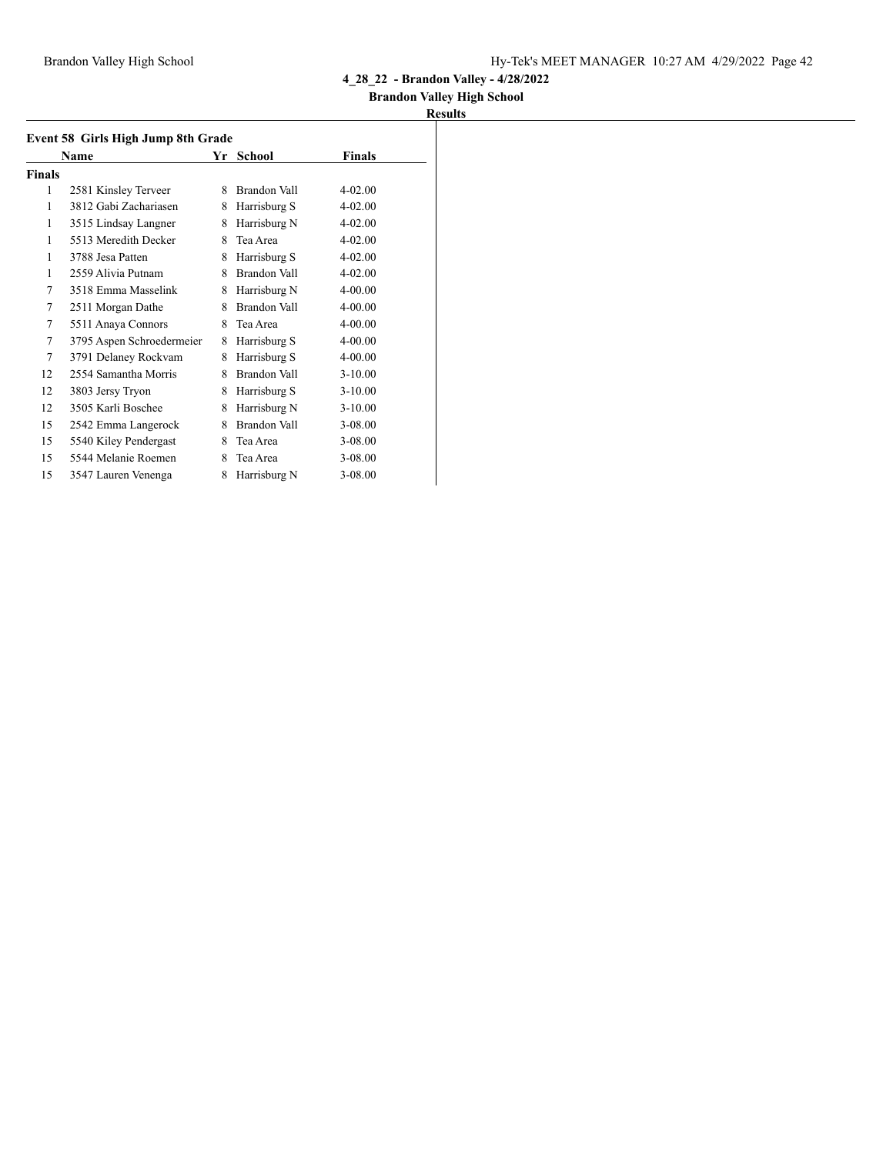## **Brandon Valley High School**

| Event 58 Girls High Jump 8th Grade<br>Name<br>Yr<br>Finals<br>School |                           |   |              |             |  |  |
|----------------------------------------------------------------------|---------------------------|---|--------------|-------------|--|--|
| <b>Finals</b>                                                        |                           |   |              |             |  |  |
| 1                                                                    | 2581 Kinsley Terveer      | 8 | Brandon Vall | $4 - 02.00$ |  |  |
| 1                                                                    | 3812 Gabi Zachariasen     | 8 | Harrisburg S | 4-02.00     |  |  |
| 1                                                                    | 3515 Lindsay Langner      | 8 | Harrisburg N | 4-02.00     |  |  |
| 1                                                                    | 5513 Meredith Decker      | 8 | Tea Area     | $4 - 02.00$ |  |  |
| 1                                                                    | 3788 Jesa Patten          | 8 | Harrisburg S | $4 - 02.00$ |  |  |
| 1                                                                    | 2559 Alivia Putnam        | 8 | Brandon Vall | 4-02.00     |  |  |
| 7                                                                    | 3518 Emma Masselink       | 8 | Harrisburg N | 4-00.00     |  |  |
| 7                                                                    | 2511 Morgan Dathe         | 8 | Brandon Vall | 4-00.00     |  |  |
| 7                                                                    | 5511 Anaya Connors        | 8 | Tea Area     | 4-00.00     |  |  |
| 7                                                                    | 3795 Aspen Schroedermeier | 8 | Harrisburg S | 4-00.00     |  |  |
| 7                                                                    | 3791 Delaney Rockvam      | 8 | Harrisburg S | 4-00.00     |  |  |
| 12                                                                   | 2554 Samantha Morris      | 8 | Brandon Vall | $3 - 10.00$ |  |  |
| 12                                                                   | 3803 Jersy Tryon          | 8 | Harrisburg S | $3 - 10.00$ |  |  |
| 12                                                                   | 3505 Karli Boschee        | 8 | Harrisburg N | $3-10.00$   |  |  |
| 15                                                                   | 2542 Emma Langerock       | 8 | Brandon Vall | 3-08.00     |  |  |
| 15                                                                   | 5540 Kiley Pendergast     | 8 | Tea Area     | 3-08.00     |  |  |
| 15                                                                   | 5544 Melanie Roemen       | 8 | Tea Area     | 3-08.00     |  |  |
| 15                                                                   | 3547 Lauren Venenga       | 8 | Harrisburg N | 3-08.00     |  |  |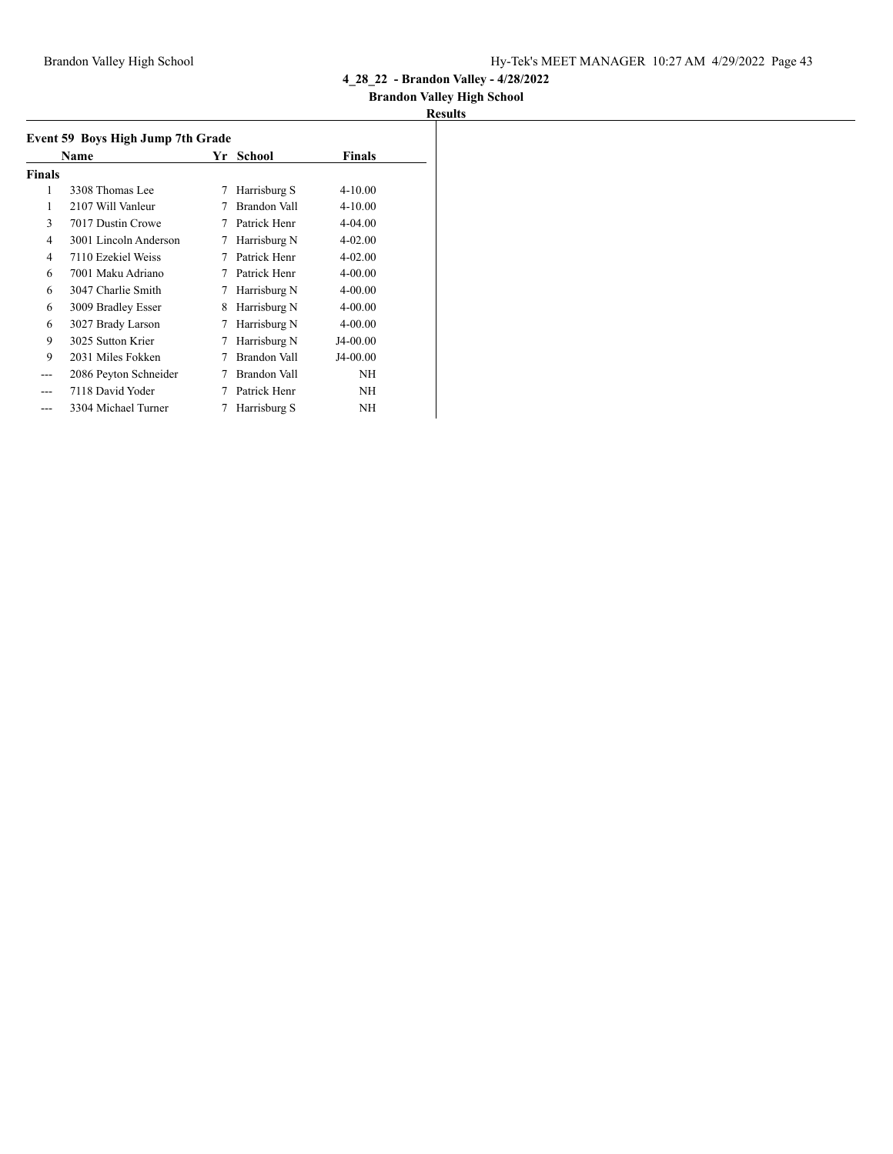## **Brandon Valley High School**

| Event 59 Boys High Jump 7th Grade |                       |    |               |               |
|-----------------------------------|-----------------------|----|---------------|---------------|
|                                   | Name                  | Yr | <b>School</b> | <b>Finals</b> |
| <b>Finals</b>                     |                       |    |               |               |
| 1                                 | 3308 Thomas Lee       | 7  | Harrisburg S  | $4 - 10.00$   |
| 1                                 | 2107 Will Vanleur     |    | Brandon Vall  | $4 - 10.00$   |
| 3                                 | 7017 Dustin Crowe     | 7  | Patrick Henr  | $4 - 04.00$   |
| 4                                 | 3001 Lincoln Anderson | 7  | Harrisburg N  | $4 - 02.00$   |
| 4                                 | 7110 Ezekiel Weiss    | 7  | Patrick Henr  | $4 - 02.00$   |
| 6                                 | 7001 Maku Adriano     | 7  | Patrick Henr  | $4 - 00.00$   |
| 6                                 | 3047 Charlie Smith    | 7  | Harrisburg N  | $4 - 00.00$   |
| 6                                 | 3009 Bradley Esser    | 8  | Harrisburg N  | 4-00.00       |
| 6                                 | 3027 Brady Larson     | 7  | Harrisburg N  | $4 - 00.00$   |
| 9                                 | 3025 Sutton Krier     | 7  | Harrisburg N  | J4-00.00      |
| 9                                 | 2031 Miles Fokken     | 7  | Brandon Vall  | $J4-00.00$    |
| ---                               | 2086 Peyton Schneider | 7  | Brandon Vall  | <b>NH</b>     |
|                                   | 7118 David Yoder      | 7  | Patrick Henr  | <b>NH</b>     |
|                                   | 3304 Michael Turner   | 7  | Harrisburg S  | NH            |
|                                   |                       |    |               |               |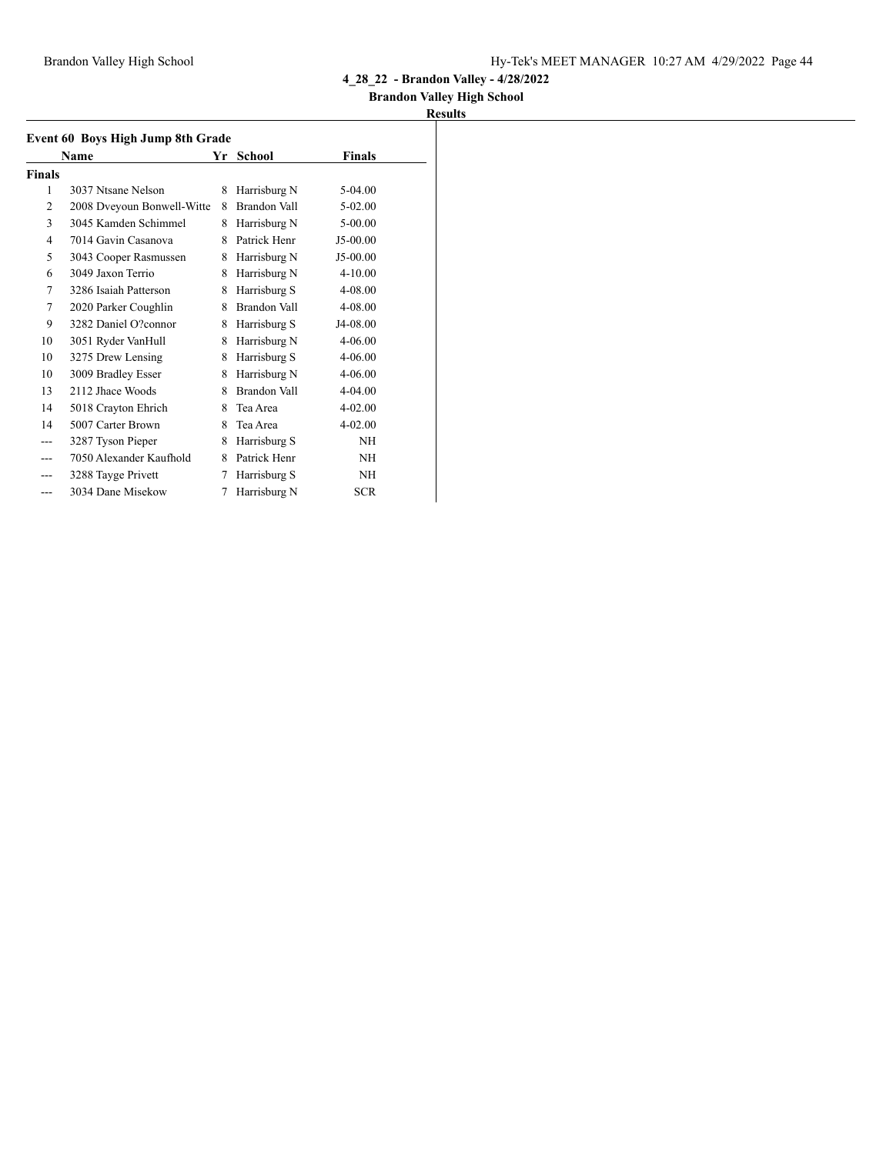## **Brandon Valley High School**

|                | Event 60 Boys High Jump 8th Grade |   |                     |             |  |
|----------------|-----------------------------------|---|---------------------|-------------|--|
|                | Name                              |   | Yr School           | Finals      |  |
| Finals         |                                   |   |                     |             |  |
| 1              | 3037 Ntsane Nelson                | 8 | Harrisburg N        | 5-04.00     |  |
| $\overline{2}$ | 2008 Dveyoun Bonwell-Witte        | 8 | Brandon Vall        | $5-02.00$   |  |
| 3              | 3045 Kamden Schimmel              | 8 | Harrisburg N        | $5 - 00.00$ |  |
| 4              | 7014 Gavin Casanova               | 8 | Patrick Henr        | J5-00.00    |  |
| 5              | 3043 Cooper Rasmussen             | 8 | Harrisburg N        | J5-00.00    |  |
| 6              | 3049 Jaxon Terrio                 | 8 | Harrisburg N        | 4-10.00     |  |
| 7              | 3286 Isaiah Patterson             | 8 | Harrisburg S        | 4-08.00     |  |
| 7              | 2020 Parker Coughlin              | 8 | <b>Brandon Vall</b> | 4-08.00     |  |
| 9              | 3282 Daniel O?connor              | 8 | Harrisburg S        | J4-08.00    |  |
| 10             | 3051 Ryder VanHull                | 8 | Harrisburg N        | 4-06.00     |  |
| 10             | 3275 Drew Lensing                 | 8 | Harrisburg S        | 4-06.00     |  |
| 10             | 3009 Bradley Esser                | 8 | Harrisburg N        | 4-06.00     |  |
| 13             | 2112 Jhace Woods                  | 8 | Brandon Vall        | 4-04.00     |  |
| 14             | 5018 Crayton Ehrich               | 8 | Tea Area            | 4-02.00     |  |
| 14             | 5007 Carter Brown                 | 8 | Tea Area            | $4 - 02.00$ |  |
| $---$          | 3287 Tyson Pieper                 | 8 | Harrisburg S        | <b>NH</b>   |  |
|                | 7050 Alexander Kaufhold           | 8 | Patrick Henr        | NH          |  |
|                | 3288 Tayge Privett                | 7 | Harrisburg S        | NH          |  |
| ---            | 3034 Dane Misekow                 | 7 | Harrisburg N        | <b>SCR</b>  |  |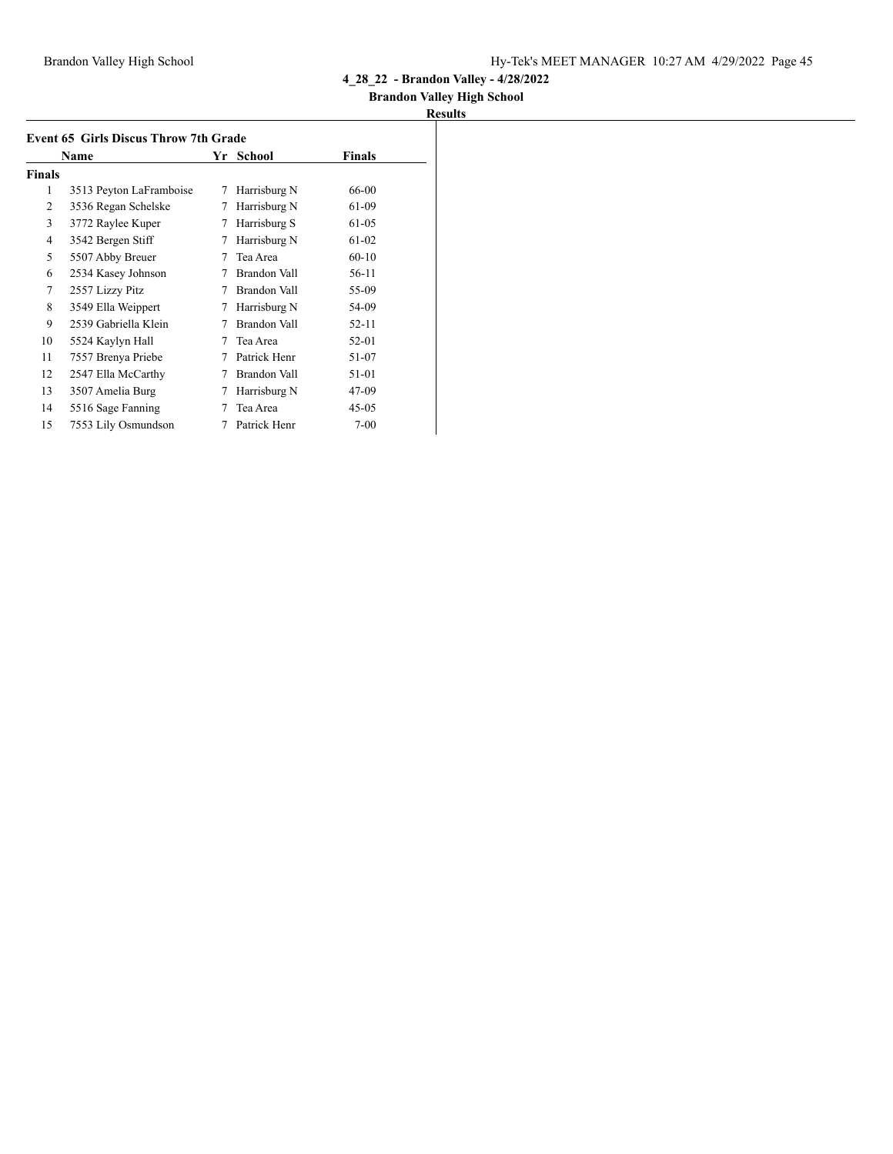## **Brandon Valley High School**

|               | Name                    | Yr | School       | <b>Finals</b> |
|---------------|-------------------------|----|--------------|---------------|
| <b>Finals</b> |                         |    |              |               |
| 1             | 3513 Peyton LaFramboise | 7  | Harrisburg N | 66-00         |
| 2             | 3536 Regan Schelske     | 7  | Harrisburg N | 61-09         |
| 3             | 3772 Raylee Kuper       | 7  | Harrisburg S | 61-05         |
| 4             | 3542 Bergen Stiff       | 7  | Harrisburg N | 61-02         |
| 5             | 5507 Abby Breuer        | 7  | Tea Area     | $60 - 10$     |
| 6             | 2534 Kasey Johnson      | 7  | Brandon Vall | 56-11         |
| 7             | 2557 Lizzy Pitz         | 7  | Brandon Vall | 55-09         |
| 8             | 3549 Ella Weippert      | 7  | Harrisburg N | 54-09         |
| 9             | 2539 Gabriella Klein    |    | Brandon Vall | 52-11         |
| 10            | 5524 Kaylyn Hall        | 7  | Tea Area     | 52-01         |
| 11            | 7557 Brenya Priebe      | 7  | Patrick Henr | 51-07         |
| 12            | 2547 Ella McCarthy      | 7  | Brandon Vall | 51-01         |
| 13            | 3507 Amelia Burg        | 7  | Harrisburg N | 47-09         |
| 14            | 5516 Sage Fanning       |    | Tea Area     | $45 - 05$     |
| 15            | 7553 Lily Osmundson     | 7  | Patrick Henr | $7 - 00$      |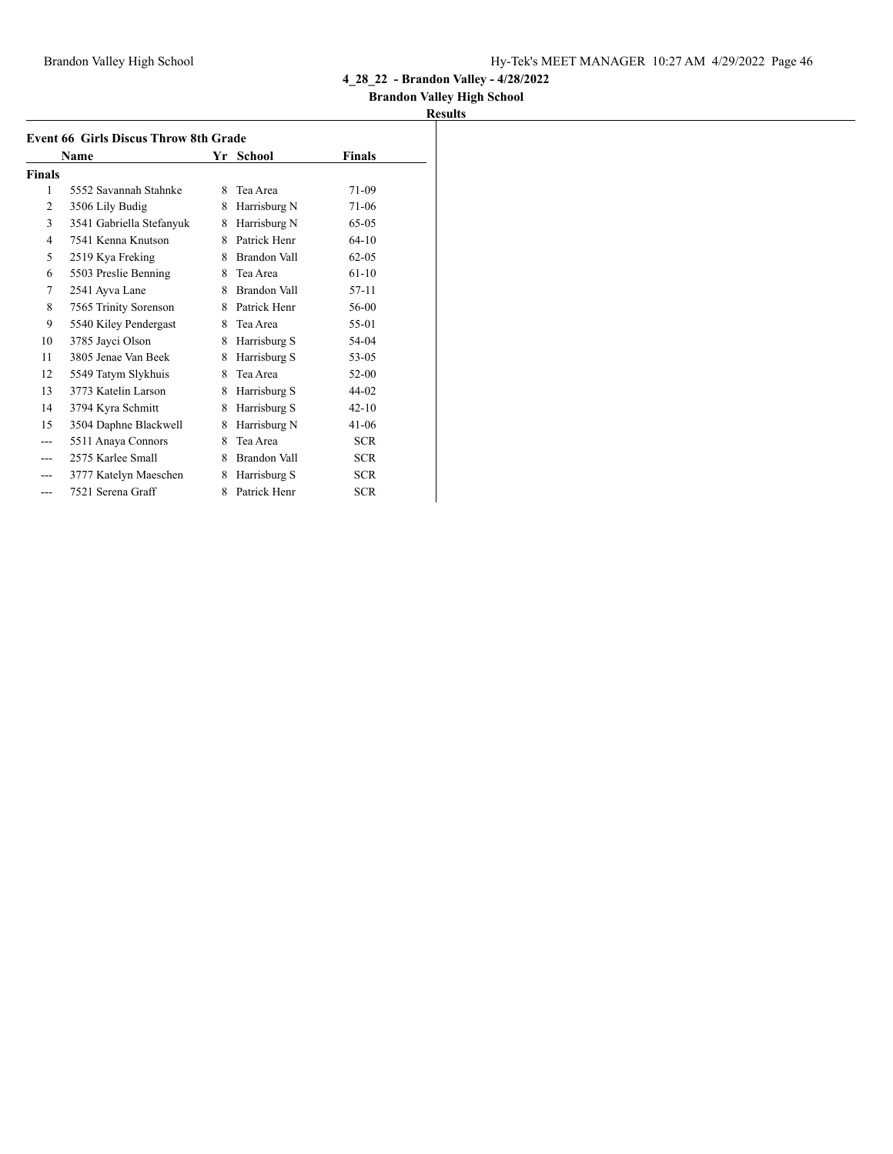## **Brandon Valley High School**

|               | <b>Event 66 Girls Discus Throw 8th Grade</b> |    |              |            |
|---------------|----------------------------------------------|----|--------------|------------|
|               | Name                                         | Yr | School       | Finals     |
| <b>Finals</b> |                                              |    |              |            |
| 1             | 5552 Savannah Stahnke                        | 8  | Tea Area     | 71-09      |
| 2             | 3506 Lily Budig                              | 8  | Harrisburg N | 71-06      |
| 3             | 3541 Gabriella Stefanyuk                     | 8  | Harrisburg N | $65-05$    |
| 4             | 7541 Kenna Knutson                           | 8  | Patrick Henr | $64-10$    |
| 5             | 2519 Kya Freking                             | 8  | Brandon Vall | $62 - 0.5$ |
| 6             | 5503 Preslie Benning                         | 8  | Tea Area     | $61-10$    |
| 7             | 2541 Ayva Lane                               | 8  | Brandon Vall | 57-11      |
| 8             | 7565 Trinity Sorenson                        | 8  | Patrick Henr | 56-00      |
| 9             | 5540 Kiley Pendergast                        | 8  | Tea Area     | 55-01      |
| 10            | 3785 Jayci Olson                             | 8  | Harrisburg S | 54-04      |
| 11            | 3805 Jenae Van Beek                          | 8  | Harrisburg S | 53-05      |
| 12            | 5549 Tatym Slykhuis                          | 8  | Tea Area     | $52 - 00$  |
| 13            | 3773 Katelin Larson                          | 8  | Harrisburg S | 44-02      |
| 14            | 3794 Kyra Schmitt                            | 8  | Harrisburg S | $42 - 10$  |
| 15            | 3504 Daphne Blackwell                        | 8  | Harrisburg N | $41 - 06$  |
| ---           | 5511 Anaya Connors                           | 8  | Tea Area     | <b>SCR</b> |
|               | 2575 Karlee Small                            | 8  | Brandon Vall | <b>SCR</b> |
|               | 3777 Katelyn Maeschen                        | 8  | Harrisburg S | <b>SCR</b> |
| ---           | 7521 Serena Graff                            | 8  | Patrick Henr | <b>SCR</b> |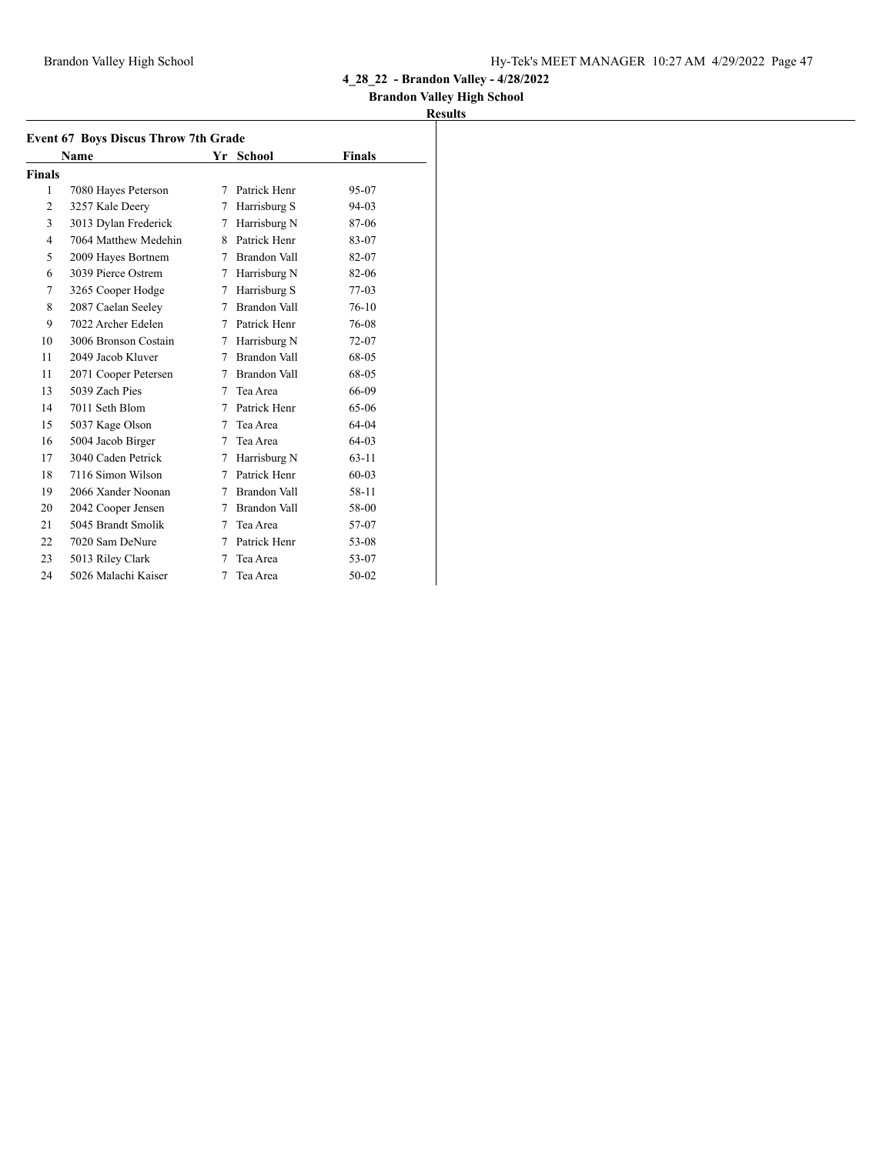### **Brandon Valley High School**

|                | Name                 |   | Yr School    | Finals    |
|----------------|----------------------|---|--------------|-----------|
| <b>Finals</b>  |                      |   |              |           |
| 1              | 7080 Hayes Peterson  | 7 | Patrick Henr | 95-07     |
| $\overline{2}$ | 3257 Kale Deery      | 7 | Harrisburg S | $94 - 03$ |
| 3              | 3013 Dylan Frederick | 7 | Harrisburg N | 87-06     |
| $\overline{4}$ | 7064 Matthew Medehin | 8 | Patrick Henr | 83-07     |
| 5              | 2009 Hayes Bortnem   | 7 | Brandon Vall | 82-07     |
| 6              | 3039 Pierce Ostrem   | 7 | Harrisburg N | 82-06     |
| 7              | 3265 Cooper Hodge    | 7 | Harrisburg S | 77-03     |
| 8              | 2087 Caelan Seeley   | 7 | Brandon Vall | $76-10$   |
| 9              | 7022 Archer Edelen   | 7 | Patrick Henr | 76-08     |
| 10             | 3006 Bronson Costain | 7 | Harrisburg N | 72-07     |
| 11             | 2049 Jacob Kluver    | 7 | Brandon Vall | 68-05     |
| 11             | 2071 Cooper Petersen | 7 | Brandon Vall | 68-05     |
| 13             | 5039 Zach Pies       | 7 | Tea Area     | 66-09     |
| 14             | 7011 Seth Blom       | 7 | Patrick Henr | $65-06$   |
| 15             | 5037 Kage Olson      | 7 | Tea Area     | $64-04$   |
| 16             | 5004 Jacob Birger    | 7 | Tea Area     | 64-03     |
| 17             | 3040 Caden Petrick   | 7 | Harrisburg N | $63 - 11$ |
| 18             | 7116 Simon Wilson    | 7 | Patrick Henr | $60 - 03$ |
| 19             | 2066 Xander Noonan   | 7 | Brandon Vall | 58-11     |
| 20             | 2042 Cooper Jensen   | 7 | Brandon Vall | 58-00     |
| 21             | 5045 Brandt Smolik   | 7 | Tea Area     | 57-07     |
| 22             | 7020 Sam DeNure      | 7 | Patrick Henr | 53-08     |
| 23             | 5013 Riley Clark     | 7 | Tea Area     | 53-07     |
| 24             | 5026 Malachi Kaiser  | 7 | Tea Area     | $50 - 02$ |
|                |                      |   |              |           |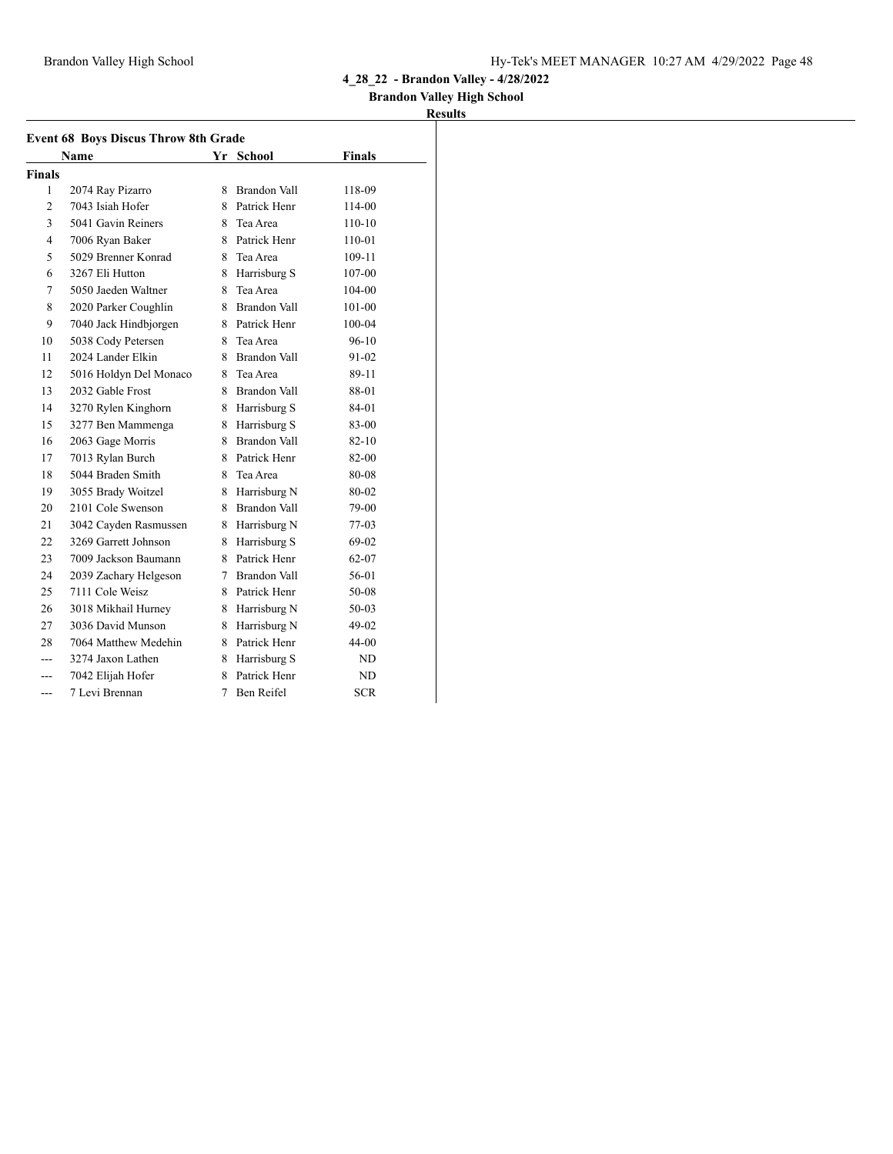### **Brandon Valley High School**

|                | <b>Event 68 Boys Discus Throw 8th Grade</b> |    |                     |               |
|----------------|---------------------------------------------|----|---------------------|---------------|
|                | Name                                        |    | Yr School           | <b>Finals</b> |
| <b>Finals</b>  |                                             |    |                     |               |
| 1              | 2074 Ray Pizarro                            | 8  | <b>Brandon Vall</b> | 118-09        |
| $\overline{c}$ | 7043 Isiah Hofer                            |    | 8 Patrick Henr      | 114-00        |
| 3              | 5041 Gavin Reiners                          |    | 8 Tea Area          | $110-10$      |
| 4              | 7006 Ryan Baker                             |    | 8 Patrick Henr      | $110 - 01$    |
| 5              | 5029 Brenner Konrad                         |    | 8 Tea Area          | 109-11        |
| 6              | 3267 Eli Hutton                             |    | 8 Harrisburg S      | 107-00        |
| 7              | 5050 Jaeden Waltner                         | 8  | Tea Area            | 104-00        |
| 8              | 2020 Parker Coughlin                        |    | 8 Brandon Vall      | 101-00        |
| 9              | 7040 Jack Hindbjorgen                       |    | 8 Patrick Henr      | 100-04        |
| 10             | 5038 Cody Petersen                          |    | 8 Tea Area          | 96-10         |
| 11             | 2024 Lander Elkin                           |    | 8 Brandon Vall      | $91 - 02$     |
| 12             | 5016 Holdyn Del Monaco                      |    | 8 Tea Area          | 89-11         |
| 13             | 2032 Gable Frost                            |    | 8 Brandon Vall      | 88-01         |
| 14             | 3270 Rylen Kinghorn                         |    | 8 Harrisburg S      | 84-01         |
| 15             | 3277 Ben Mammenga                           |    | 8 Harrisburg S      | 83-00         |
| 16             | 2063 Gage Morris                            |    | 8 Brandon Vall      | $82 - 10$     |
| 17             | 7013 Rylan Burch                            |    | 8 Patrick Henr      | 82-00         |
| 18             | 5044 Braden Smith                           |    | 8 Tea Area          | 80-08         |
| 19             | 3055 Brady Woitzel                          |    | 8 Harrisburg N      | 80-02         |
| 20             | 2101 Cole Swenson                           |    | 8 Brandon Vall      | 79-00         |
| 21             | 3042 Cayden Rasmussen                       |    | 8 Harrisburg N      | 77-03         |
| 22             | 3269 Garrett Johnson                        | 8. | Harrisburg S        | 69-02         |
| 23             | 7009 Jackson Baumann                        | 8  | Patrick Henr        | $62 - 07$     |
| 24             | 2039 Zachary Helgeson                       |    | 7 Brandon Vall      | 56-01         |
| 25             | 7111 Cole Weisz                             |    | 8 Patrick Henr      | 50-08         |
| 26             | 3018 Mikhail Hurney                         |    | 8 Harrisburg N      | 50-03         |
| 27             | 3036 David Munson                           | 8  | Harrisburg N        | 49-02         |
| 28             | 7064 Matthew Medehin                        | 8. | Patrick Henr        | 44-00         |
| $-$ -          | 3274 Jaxon Lathen                           |    | 8 Harrisburg S      | ND            |
| ---            | 7042 Elijah Hofer                           | 8  | Patrick Henr        | <b>ND</b>     |
| $---$          | 7 Levi Brennan                              | 7  | Ben Reifel          | <b>SCR</b>    |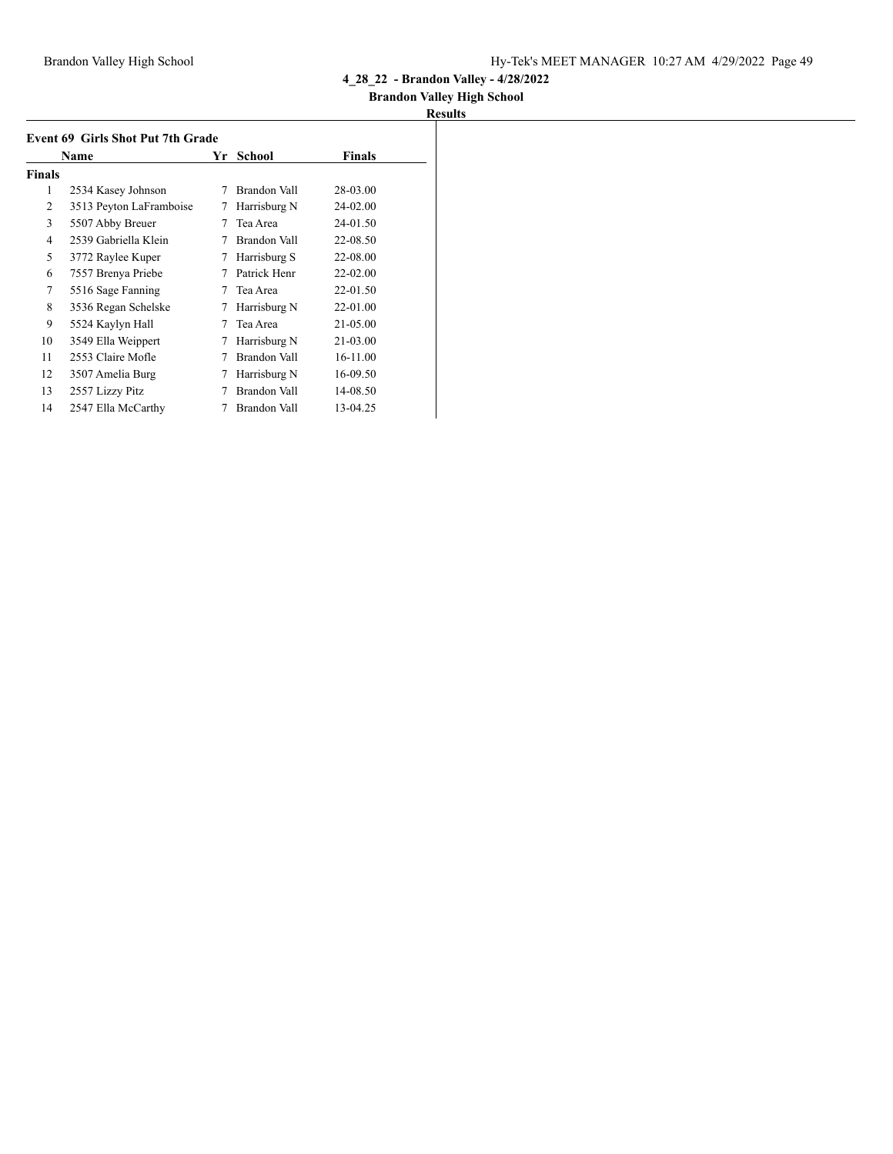## **Brandon Valley High School**

|               | <b>Event 69 Girls Shot Put 7th Grade</b> |    |              |               |
|---------------|------------------------------------------|----|--------------|---------------|
|               | Name                                     | Yr | School       | <b>Finals</b> |
| <b>Finals</b> |                                          |    |              |               |
| 1             | 2534 Kasey Johnson                       | 7  | Brandon Vall | 28-03.00      |
| 2             | 3513 Peyton LaFramboise                  | 7  | Harrisburg N | 24-02.00      |
| 3             | 5507 Abby Breuer                         | 7  | Tea Area     | 24-01.50      |
| 4             | 2539 Gabriella Klein                     | 7  | Brandon Vall | 22-08.50      |
| 5             | 3772 Raylee Kuper                        | 7  | Harrisburg S | 22-08.00      |
| 6             | 7557 Brenya Priebe                       | 7  | Patrick Henr | $22 - 02.00$  |
| 7             | 5516 Sage Fanning                        | 7  | Tea Area     | 22-01.50      |
| 8             | 3536 Regan Schelske                      | 7  | Harrisburg N | 22-01.00      |
| 9             | 5524 Kaylyn Hall                         | 7  | Tea Area     | 21-05.00      |
| 10            | 3549 Ella Weippert                       | 7  | Harrisburg N | 21-03.00      |
| 11            | 2553 Claire Mofle                        | 7  | Brandon Vall | 16-11.00      |
| 12            | 3507 Amelia Burg                         | 7  | Harrisburg N | 16-09.50      |
| 13            | 2557 Lizzy Pitz                          |    | Brandon Vall | 14-08.50      |
| 14            | 2547 Ella McCarthy                       |    | Brandon Vall | 13-04.25      |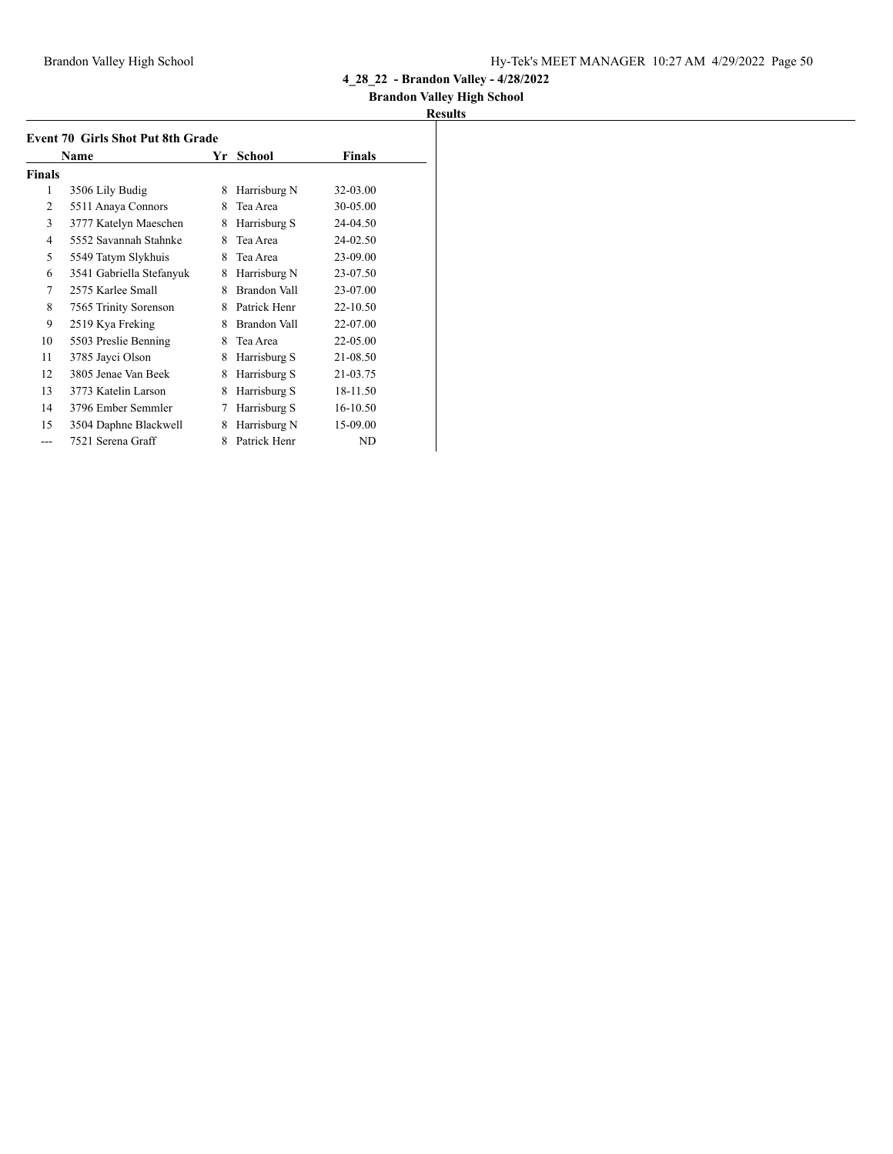## **Brandon Valley High School**

|                | <b>Event 70 Girls Shot Put 8th Grade</b> |    |               |              |
|----------------|------------------------------------------|----|---------------|--------------|
|                | Name                                     | Yr | <b>School</b> | Finals       |
| <b>Finals</b>  |                                          |    |               |              |
| 1              | 3506 Lily Budig                          | 8  | Harrisburg N  | 32-03.00     |
| 2              | 5511 Anaya Connors                       | 8  | Tea Area      | 30-05.00     |
| 3              | 3777 Katelyn Maeschen                    | 8  | Harrisburg S  | 24-04.50     |
| $\overline{4}$ | 5552 Savannah Stahnke                    | 8  | Tea Area      | 24-02.50     |
| 5              | 5549 Tatym Slykhuis                      | 8  | Tea Area      | 23-09.00     |
| 6              | 3541 Gabriella Stefanyuk                 | 8  | Harrisburg N  | 23-07.50     |
| 7              | 2575 Karlee Small                        | 8  | Brandon Vall  | 23-07.00     |
| 8              | 7565 Trinity Sorenson                    | 8  | Patrick Henr  | 22-10.50     |
| 9              | 2519 Kya Freking                         | 8  | Brandon Vall  | 22-07.00     |
| 10             | 5503 Preslie Benning                     | 8  | Tea Area      | $22 - 05.00$ |
| 11             | 3785 Jayci Olson                         | 8  | Harrisburg S  | 21-08.50     |
| 12             | 3805 Jenae Van Beek                      | 8  | Harrisburg S  | 21-03.75     |
| 13             | 3773 Katelin Larson                      | 8  | Harrisburg S  | 18-11.50     |
| 14             | 3796 Ember Semmler                       | 7  | Harrisburg S  | 16-10.50     |
| 15             | 3504 Daphne Blackwell                    | 8  | Harrisburg N  | 15-09.00     |
| ---            | 7521 Serena Graff                        | 8  | Patrick Henr  | ND           |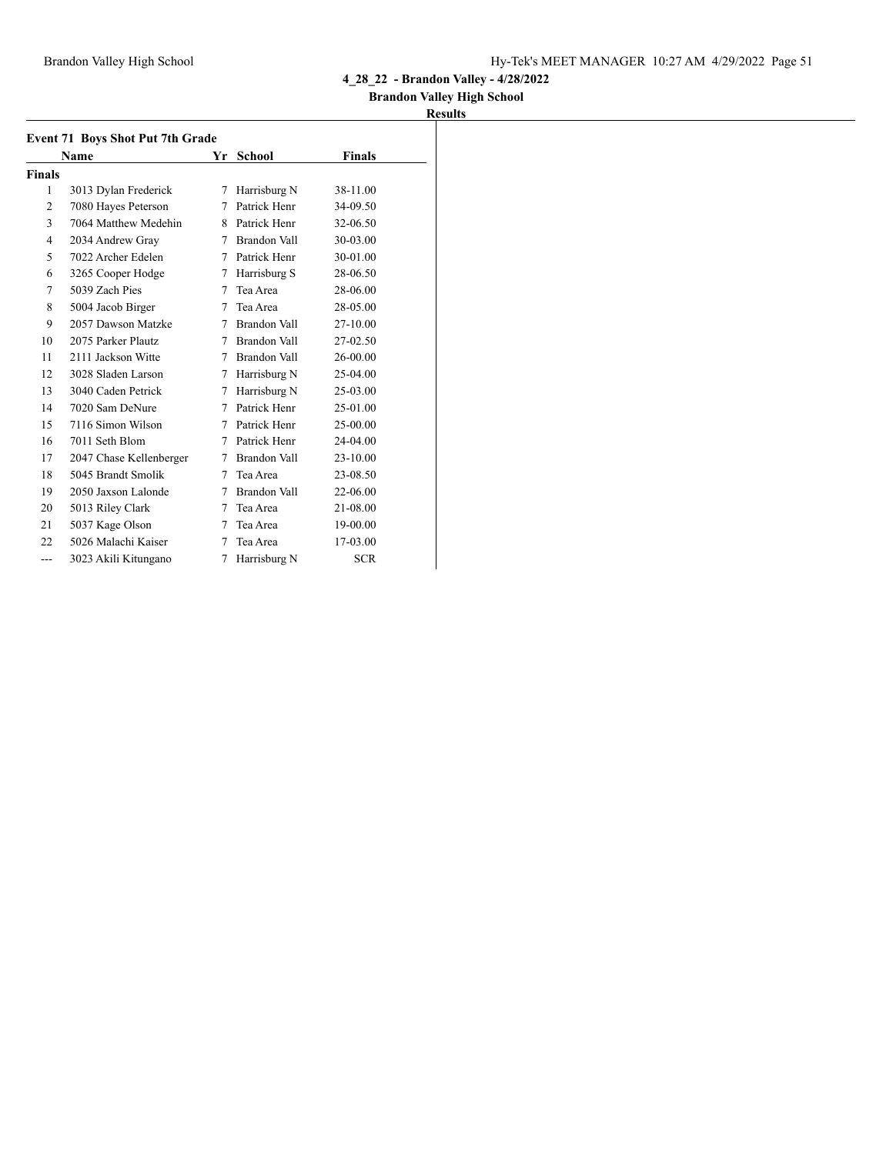### **Brandon Valley High School**

|        | <b>Event 71 Boys Shot Put 7th Grade</b> |    |                     |               |  |
|--------|-----------------------------------------|----|---------------------|---------------|--|
|        | Name                                    | Yr | School              | <b>Finals</b> |  |
| Finals |                                         |    |                     |               |  |
| 1      | 3013 Dylan Frederick                    | 7  | Harrisburg N        | 38-11.00      |  |
| 2      | 7080 Hayes Peterson                     | 7  | Patrick Henr        | 34-09.50      |  |
| 3      | 7064 Matthew Medehin                    | 8  | Patrick Henr        | 32-06.50      |  |
| 4      | 2034 Andrew Gray                        | 7  | Brandon Vall        | 30-03.00      |  |
| 5      | 7022 Archer Edelen                      | 7  | Patrick Henr        | 30-01.00      |  |
| 6      | 3265 Cooper Hodge                       | 7  | Harrisburg S        | 28-06.50      |  |
| 7      | 5039 Zach Pies                          | 7  | Tea Area            | 28-06.00      |  |
| 8      | 5004 Jacob Birger                       | 7  | Tea Area            | 28-05.00      |  |
| 9      | 2057 Dawson Matzke                      | 7  | Brandon Vall        | 27-10.00      |  |
| 10     | 2075 Parker Plautz                      | 7  | Brandon Vall        | 27-02.50      |  |
| 11     | 2111 Jackson Witte                      | 7  | Brandon Vall        | 26-00.00      |  |
| 12     | 3028 Sladen Larson                      | 7  | Harrisburg N        | 25-04.00      |  |
| 13     | 3040 Caden Petrick                      | 7  | Harrisburg N        | 25-03.00      |  |
| 14     | 7020 Sam DeNure                         | 7  | Patrick Henr        | 25-01.00      |  |
| 15     | 7116 Simon Wilson                       | 7  | Patrick Henr        | 25-00.00      |  |
| 16     | 7011 Seth Blom                          | 7  | Patrick Henr        | 24-04.00      |  |
| 17     | 2047 Chase Kellenberger                 | 7  | Brandon Vall        | 23-10.00      |  |
| 18     | 5045 Brandt Smolik                      | 7  | Tea Area            | 23-08.50      |  |
| 19     | 2050 Jaxson Lalonde                     | 7  | <b>Brandon Vall</b> | 22-06.00      |  |
| 20     | 5013 Riley Clark                        | 7  | Tea Area            | 21-08.00      |  |
| 21     | 5037 Kage Olson                         | 7  | Tea Area            | 19-00.00      |  |
| 22     | 5026 Malachi Kaiser                     | 7  | Tea Area            | 17-03.00      |  |
| $---$  | 3023 Akili Kitungano                    | 7  | Harrisburg N        | <b>SCR</b>    |  |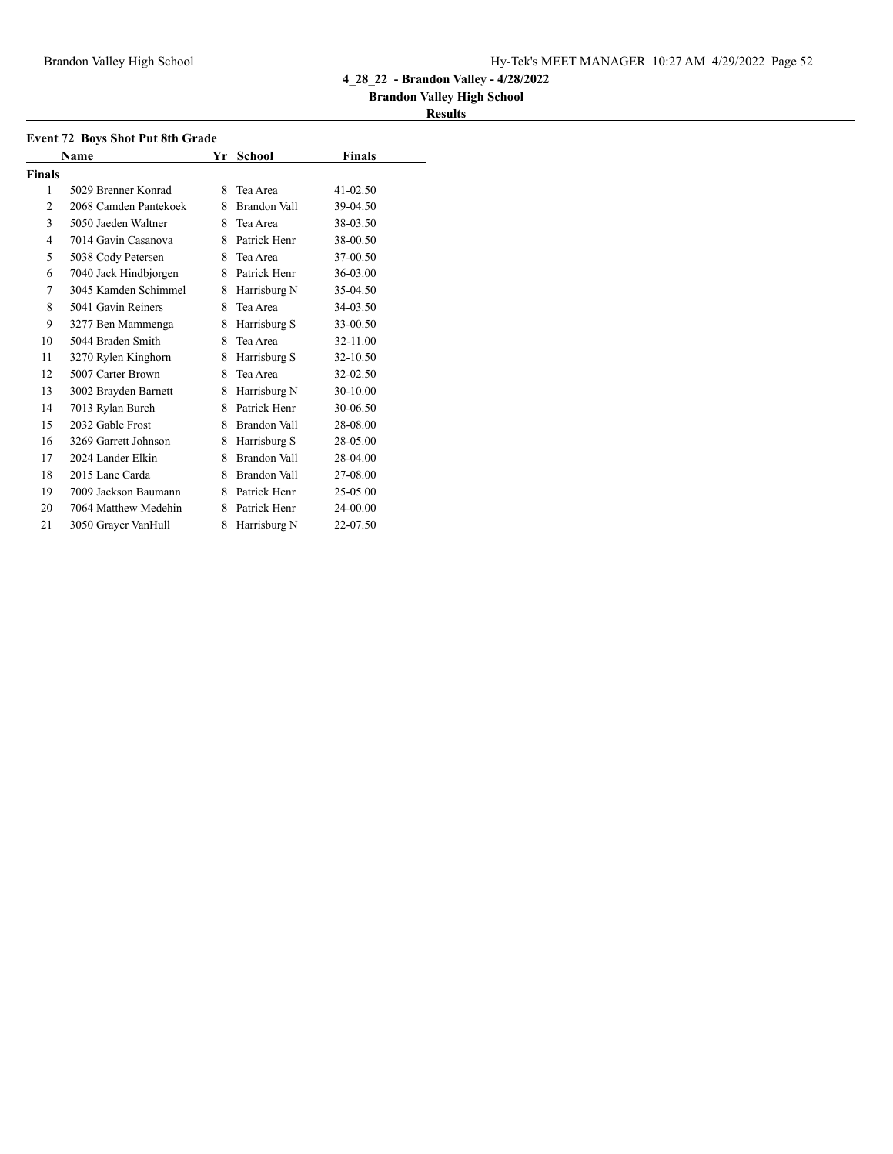### **Brandon Valley High School**

|               | <b>Event 72 Boys Shot Put 8th Grade</b> |    |                     |               |  |
|---------------|-----------------------------------------|----|---------------------|---------------|--|
|               | <b>Name</b>                             | Yr | School              | <b>Finals</b> |  |
| <b>Finals</b> |                                         |    |                     |               |  |
| 1             | 5029 Brenner Konrad                     | 8  | Tea Area            | $41 - 02.50$  |  |
| 2             | 2068 Camden Pantekoek                   | 8  | Brandon Vall        | 39-04.50      |  |
| 3             | 5050 Jaeden Waltner                     | 8  | Tea Area            | 38-03.50      |  |
| 4             | 7014 Gavin Casanova                     |    | 8 Patrick Henr      | 38-00.50      |  |
| 5             | 5038 Cody Petersen                      | 8. | Tea Area            | 37-00.50      |  |
| 6             | 7040 Jack Hindbjorgen                   |    | 8 Patrick Henr      | 36-03.00      |  |
| 7             | 3045 Kamden Schimmel                    | 8  | Harrisburg N        | 35-04.50      |  |
| 8             | 5041 Gavin Reiners                      | 8  | Tea Area            | 34-03.50      |  |
| 9             | 3277 Ben Mammenga                       | 8  | Harrisburg S        | 33-00.50      |  |
| 10            | 5044 Braden Smith                       | 8  | Tea Area            | 32-11.00      |  |
| 11            | 3270 Rylen Kinghorn                     | 8  | Harrisburg S        | 32-10.50      |  |
| 12            | 5007 Carter Brown                       | 8  | Tea Area            | 32-02.50      |  |
| 13            | 3002 Brayden Barnett                    | 8  | Harrisburg N        | 30-10.00      |  |
| 14            | 7013 Rylan Burch                        | 8  | Patrick Henr        | 30-06.50      |  |
| 15            | 2032 Gable Frost                        | 8  | Brandon Vall        | 28-08.00      |  |
| 16            | 3269 Garrett Johnson                    | 8  | Harrisburg S        | 28-05.00      |  |
| 17            | 2024 Lander Elkin                       | 8  | <b>Brandon Vall</b> | 28-04.00      |  |
| 18            | 2015 Lane Carda                         | 8  | Brandon Vall        | 27-08.00      |  |
| 19            | 7009 Jackson Baumann                    |    | 8 Patrick Henr      | 25-05.00      |  |
| 20            | 7064 Matthew Medehin                    | 8  | Patrick Henr        | 24-00.00      |  |
| 21            | 3050 Grayer VanHull                     | 8  | Harrisburg N        | 22-07.50      |  |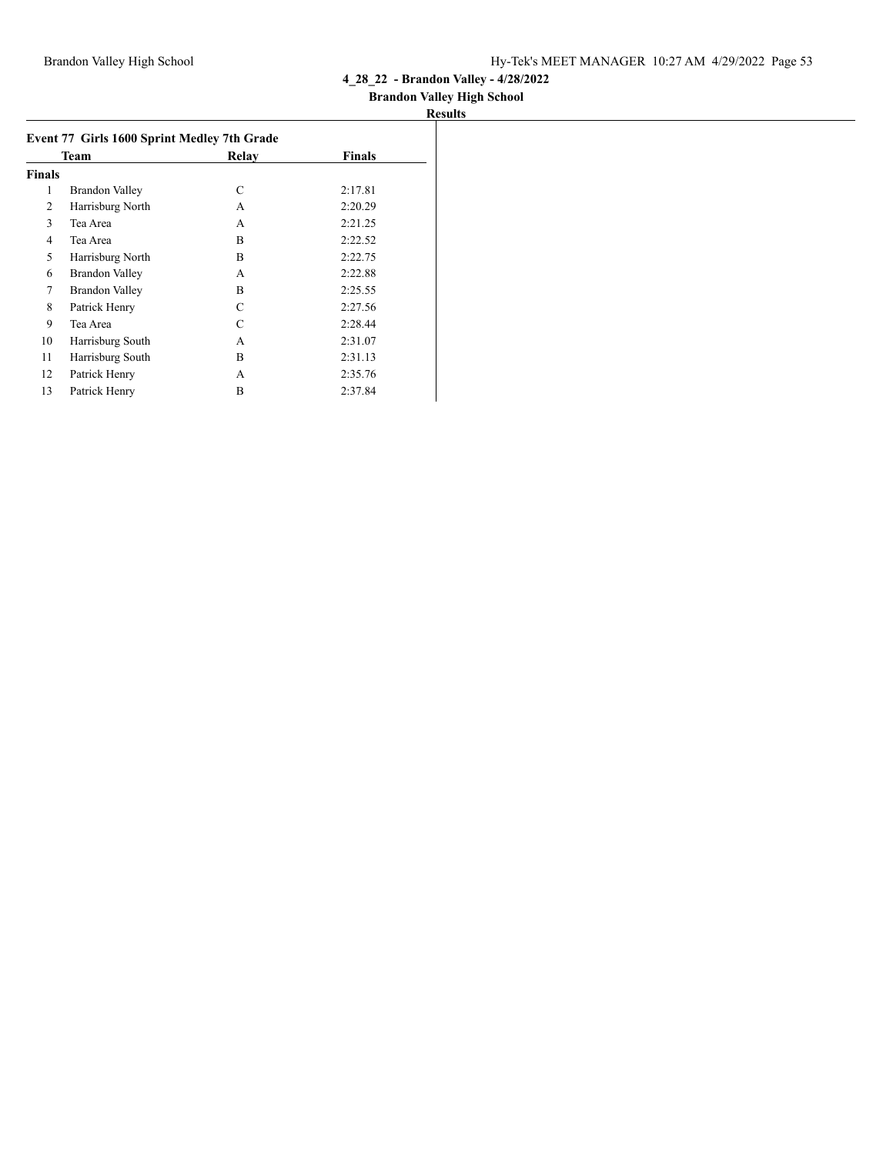## **Brandon Valley High School**

|                | Team                  | Relay | <b>Finals</b> |
|----------------|-----------------------|-------|---------------|
| <b>Finals</b>  |                       |       |               |
| 1              | Brandon Valley        | C     | 2:17.81       |
| 2              | Harrisburg North      | A     | 2:20.29       |
| 3              | Tea Area              | A     | 2:21.25       |
| $\overline{4}$ | Tea Area              | B     | 2:22.52       |
| 5              | Harrisburg North      | B     | 2:22.75       |
| 6              | Brandon Valley        | A     | 2:22.88       |
| 7              | <b>Brandon Valley</b> | B     | 2:25.55       |
| 8              | Patrick Henry         | C     | 2:27.56       |
| 9              | Tea Area              | C     | 2:28.44       |
| 10             | Harrisburg South      | A     | 2:31.07       |
| 11             | Harrisburg South      | B     | 2:31.13       |
| 12             | Patrick Henry         | A     | 2:35.76       |
| 13             | Patrick Henry         | B     | 2:37.84       |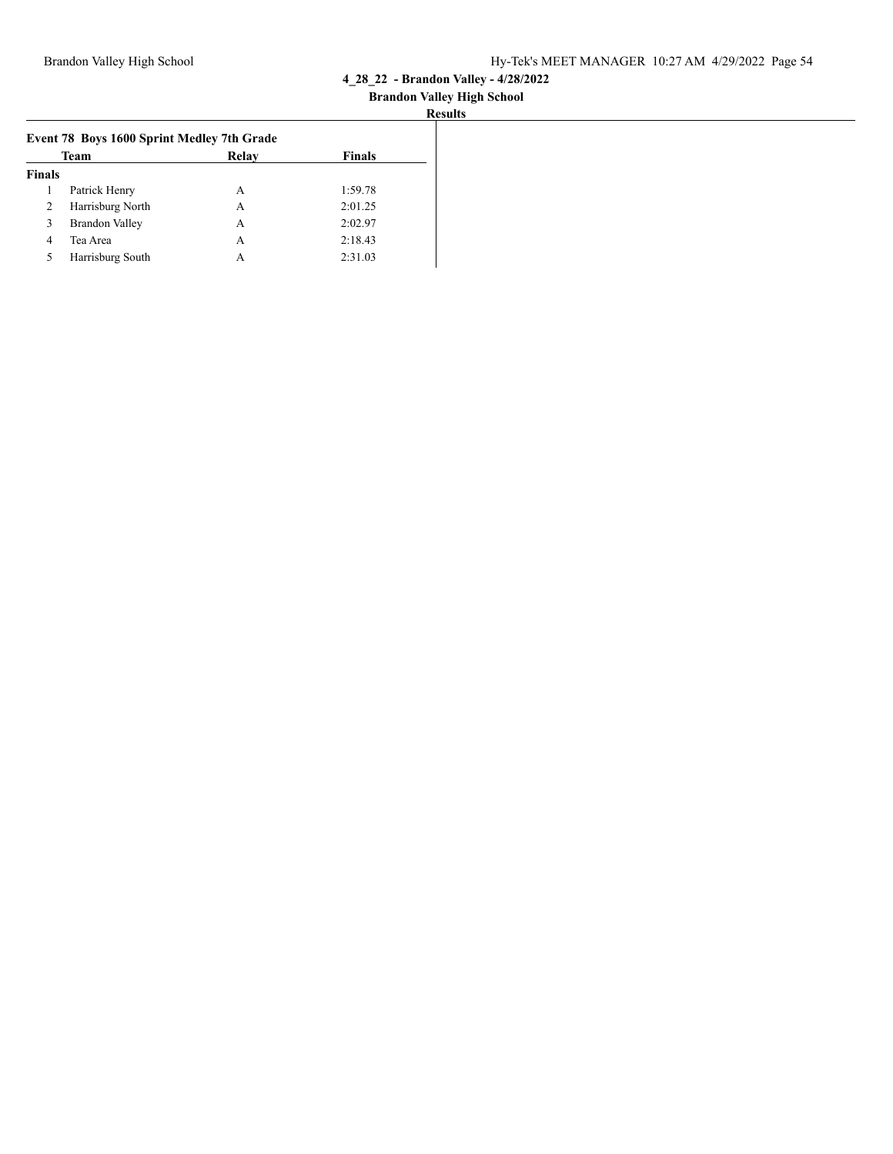#### **Brandon Valley High School Results**

|               | Team                  | Relay | <b>Finals</b> |
|---------------|-----------------------|-------|---------------|
| <b>Finals</b> |                       |       |               |
|               | Patrick Henry         | А     | 1:59.78       |
| 2             | Harrisburg North      | А     | 2:01.25       |
| 3             | <b>Brandon Valley</b> | А     | 2:02.97       |
| 4             | Tea Area              | А     | 2:18.43       |
| 5             | Harrisburg South      | А     | 2:31.03       |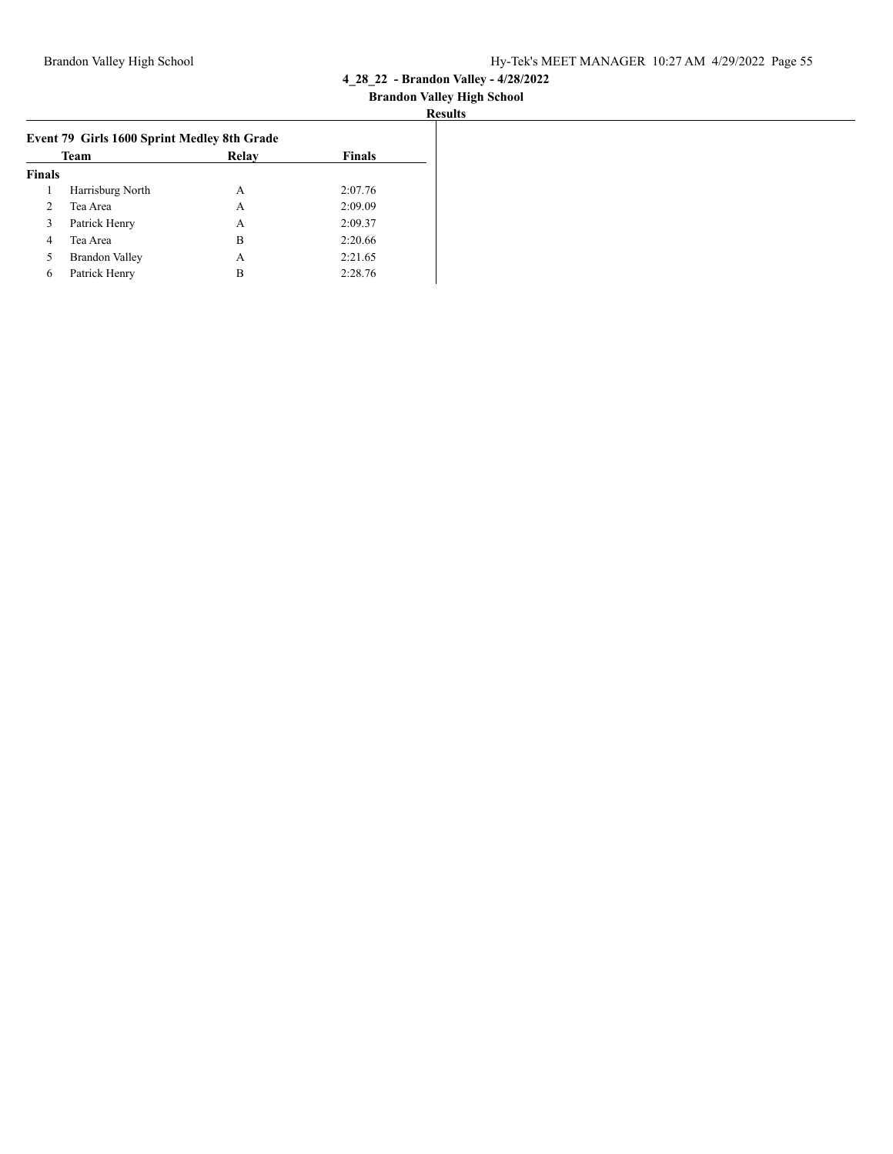| Team          |                       | Relay | <b>Finals</b> |
|---------------|-----------------------|-------|---------------|
| <b>Finals</b> |                       |       |               |
| 1             | Harrisburg North      | А     | 2:07.76       |
| $\mathcal{L}$ | Tea Area              | А     | 2:09.09       |
| 3             | Patrick Henry         | А     | 2:09.37       |
| 4             | Tea Area              | в     | 2:20.66       |
| 5             | <b>Brandon Valley</b> | A     | 2:21.65       |
| 6             | Patrick Henry         | в     | 2:28.76       |
|               |                       |       |               |